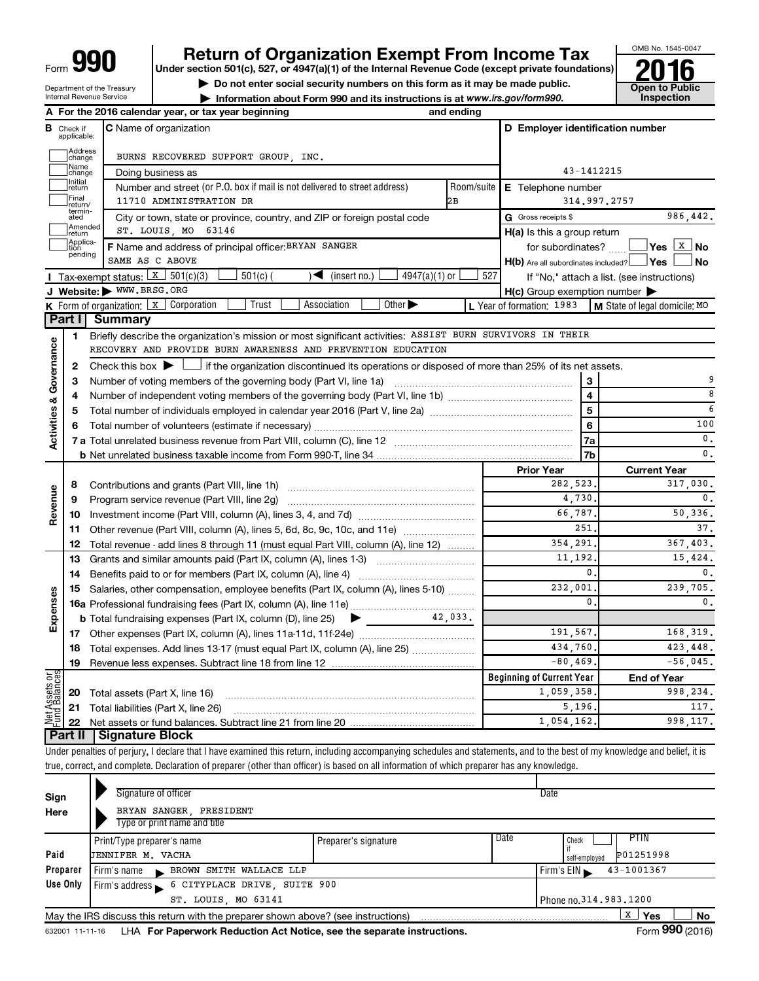# **Return of Organization Exempt From Income Tax**<br>Under section 501(c), 527, or 4947(a)(1) of the Internal Revenue Code (except private foundations)<br> **2016**

**Under section 501(c), 527, or 4947(a)(1) of the Internal Revenue Code (except private foundations) ■** Do not enter social security numbers on this form as it may be made public.<br>■ Do not enter social security numbers on this form as it may be made public. ● Open to Public **Dependence** Dublic **Dependence** Open to Publi

**• Information about Form 990 and its instructions is at www.irs.gov/form990. and inspection** 



Department of the Treasury Internal Revenue Service

|                                |                                  | A For the 2016 calendar year, or tax year beginning                                                                                                                        | and ending |                                                     |                                            |  |  |  |
|--------------------------------|----------------------------------|----------------------------------------------------------------------------------------------------------------------------------------------------------------------------|------------|-----------------------------------------------------|--------------------------------------------|--|--|--|
|                                | <b>B</b> Check if<br>applicable: | <b>C</b> Name of organization                                                                                                                                              |            | D Employer identification number                    |                                            |  |  |  |
|                                | Address<br> change               | BURNS RECOVERED SUPPORT GROUP, INC.                                                                                                                                        |            |                                                     |                                            |  |  |  |
|                                | Name<br>change                   | Doing business as                                                                                                                                                          |            | 43-1412215                                          |                                            |  |  |  |
|                                | Initial<br>return                | Number and street (or P.O. box if mail is not delivered to street address)                                                                                                 | Room/suite | E Telephone number                                  |                                            |  |  |  |
|                                | Final<br>return/                 | 11710 ADMINISTRATION DR                                                                                                                                                    | 2B         |                                                     | 314,997,2757                               |  |  |  |
|                                | termin-<br>ated                  | City or town, state or province, country, and ZIP or foreign postal code                                                                                                   |            | G Gross receipts \$                                 | 986,442.                                   |  |  |  |
|                                | Amended<br>return                | ST. LOUIS, MO 63146                                                                                                                                                        |            | $H(a)$ is this a group return                       |                                            |  |  |  |
|                                | Applica-<br>Ition                | F Name and address of principal officer: BRYAN SANGER                                                                                                                      |            | for subordinates?                                   |                                            |  |  |  |
|                                | pending                          | SAME AS C ABOVE                                                                                                                                                            |            | $H(b)$ Are all subordinates included? $\Box$ Yes    | No                                         |  |  |  |
|                                |                                  | Tax-exempt status: $X \ 501(c)(3)$<br>$501(c)$ (<br>$4947(a)(1)$ or<br>(insert no.)<br>$\blacktriangleright$                                                               | 527        |                                                     | If "No," attach a list. (see instructions) |  |  |  |
|                                |                                  | J Website: WWW.BRSG.ORG                                                                                                                                                    |            | $H(c)$ Group exemption number $\blacktriangleright$ |                                            |  |  |  |
|                                |                                  | Association<br>Other $\blacktriangleright$<br><b>K</b> Form of organization: $\boxed{x}$ Corporation<br>Trust                                                              |            | L Year of formation: 1983                           | M State of legal domicile: MO              |  |  |  |
|                                |                                  | Part I Summary                                                                                                                                                             |            |                                                     |                                            |  |  |  |
|                                | 1                                | Briefly describe the organization's mission or most significant activities: ASSIST BURN SURVIVORS IN THEIR                                                                 |            |                                                     |                                            |  |  |  |
|                                |                                  | RECOVERY AND PROVIDE BURN AWARENESS AND PREVENTION EDUCATION                                                                                                               |            |                                                     |                                            |  |  |  |
| Governance                     | 2                                | Check this box $\blacktriangleright$ $\Box$ if the organization discontinued its operations or disposed of more than 25% of its net assets.                                |            |                                                     |                                            |  |  |  |
|                                | з                                |                                                                                                                                                                            |            | 3                                                   | 9                                          |  |  |  |
|                                | 4                                |                                                                                                                                                                            |            | 4                                                   | 8                                          |  |  |  |
|                                | 5                                |                                                                                                                                                                            |            | 5                                                   | 6                                          |  |  |  |
|                                | 6                                |                                                                                                                                                                            |            | 6                                                   | 100                                        |  |  |  |
| <b>Activities &amp;</b>        |                                  |                                                                                                                                                                            |            | 7a                                                  | $\mathbf{0}$ .                             |  |  |  |
|                                |                                  |                                                                                                                                                                            |            | 7b                                                  | $\mathbf{0}$ .                             |  |  |  |
|                                |                                  |                                                                                                                                                                            |            | <b>Prior Year</b>                                   | <b>Current Year</b>                        |  |  |  |
|                                | 8                                |                                                                                                                                                                            |            |                                                     |                                            |  |  |  |
| Revenue                        | 9                                |                                                                                                                                                                            | 4,730.     | 0.                                                  |                                            |  |  |  |
|                                | 10                               |                                                                                                                                                                            |            | 66,787.                                             | 50, 336.                                   |  |  |  |
|                                | 11                               | Other revenue (Part VIII, column (A), lines 5, 6d, 8c, 9c, 10c, and 11e)                                                                                                   |            | 251                                                 | 37.                                        |  |  |  |
|                                | 12                               | Total revenue - add lines 8 through 11 (must equal Part VIII, column (A), line 12)                                                                                         |            | 354,291                                             | 367,403.                                   |  |  |  |
|                                | 13                               | Grants and similar amounts paid (Part IX, column (A), lines 1-3)                                                                                                           |            | 11, 192.                                            | 15,424.                                    |  |  |  |
|                                | 14                               |                                                                                                                                                                            |            | 0.                                                  | 0.                                         |  |  |  |
|                                | 15                               | Salaries, other compensation, employee benefits (Part IX, column (A), lines 5-10)                                                                                          |            | 232,001                                             | 239,705.                                   |  |  |  |
| Expenses                       |                                  |                                                                                                                                                                            |            | $\mathbf{0}$                                        | 0.                                         |  |  |  |
|                                |                                  |                                                                                                                                                                            |            |                                                     |                                            |  |  |  |
|                                |                                  |                                                                                                                                                                            |            | 191,567.                                            | 168,319.                                   |  |  |  |
|                                | 18                               | Total expenses. Add lines 13-17 (must equal Part IX, column (A), line 25)                                                                                                  |            | 434,760.                                            | 423,448.                                   |  |  |  |
|                                |                                  | 19 Revenue less expenses. Subtract line 18 from line 12                                                                                                                    |            | $-80, 469.$                                         | $-56,045.$                                 |  |  |  |
| Net Assets or<br>Fund Balances |                                  |                                                                                                                                                                            |            | <b>Beginning of Current Year</b>                    | <b>End of Year</b>                         |  |  |  |
|                                | 20                               | Total assets (Part X, line 16)                                                                                                                                             |            | 1,059,358                                           | 998,234.                                   |  |  |  |
|                                | 21                               | Total liabilities (Part X, line 26)                                                                                                                                        |            | 5,196                                               | 117.                                       |  |  |  |
|                                | 22                               |                                                                                                                                                                            |            | 1,054,162                                           | 998, 117.                                  |  |  |  |
|                                | Part II                          | <b>Signature Block</b>                                                                                                                                                     |            |                                                     |                                            |  |  |  |
|                                |                                  | Under penalties of perjury, I declare that I have examined this return, including accompanying schedules and statements, and to the best of my knowledge and belief, it is |            |                                                     |                                            |  |  |  |
|                                |                                  | true, correct, and complete. Declaration of preparer (other than officer) is based on all information of which preparer has any knowledge.                                 |            |                                                     |                                            |  |  |  |
|                                |                                  | Signature of officer                                                                                                                                                       |            |                                                     |                                            |  |  |  |
| Sign                           |                                  |                                                                                                                                                                            |            | Date                                                |                                            |  |  |  |

| Sign     | Signature of officer                                                              | Date                     |                            |
|----------|-----------------------------------------------------------------------------------|--------------------------|----------------------------|
| Here     | BRYAN SANGER PRESIDENT                                                            |                          |                            |
|          | Type or print name and title                                                      |                          |                            |
|          | Print/Type preparer's name                                                        | Preparer's signature     | Date<br>PTIN<br>Check      |
| Paid     | JENNIFER M. VACHA                                                                 |                          | P01251998<br>self-employed |
| Preparer | BROWN SMITH WALLACE LLP<br>Firm's name                                            |                          | 43-1001367<br>Firm's $EIN$ |
| Use Only | Firm's address 6 CITYPLACE DRIVE, SUITE 900                                       |                          |                            |
|          | ST. LOUIS, MO 63141                                                               | Phone no. 314, 983, 1200 |                            |
|          | May the IRS discuss this return with the preparer shown above? (see instructions) |                          | X<br>Yes<br>No             |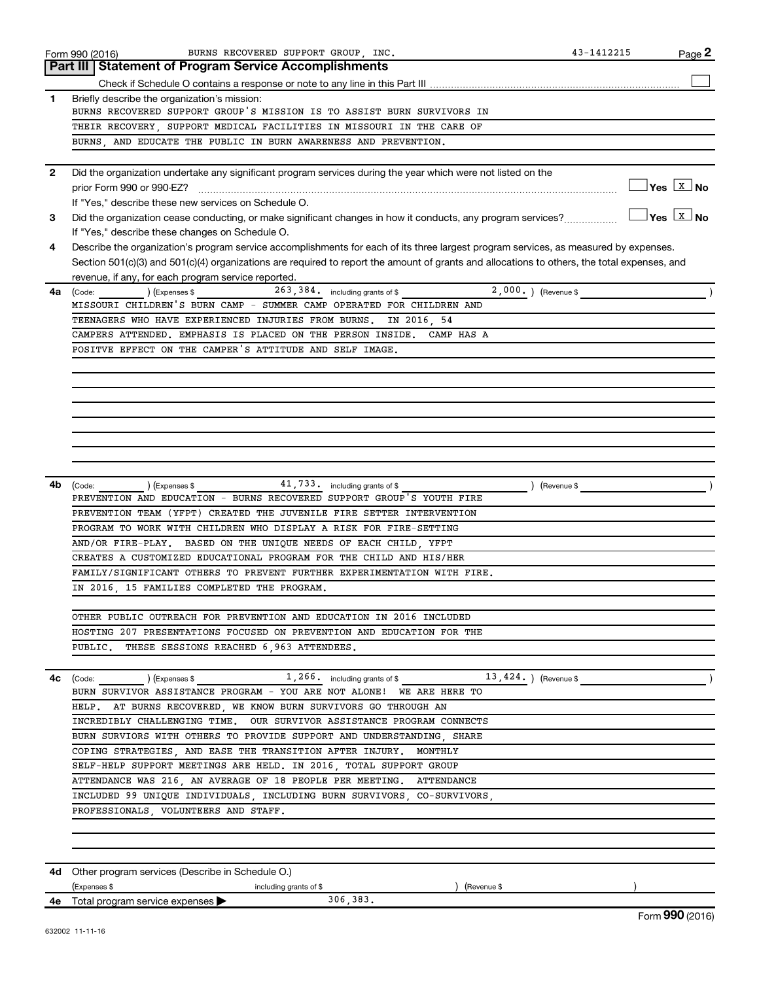|              | Form 990 (2016)<br>43-1412215<br>BURNS RECOVERED SUPPORT GROUP, INC.<br>Page 2                                                                          |
|--------------|---------------------------------------------------------------------------------------------------------------------------------------------------------|
|              | <b>Part III Statement of Program Service Accomplishments</b>                                                                                            |
|              |                                                                                                                                                         |
| $\mathbf{1}$ | Briefly describe the organization's mission:                                                                                                            |
|              | BURNS RECOVERED SUPPORT GROUP'S MISSION IS TO ASSIST BURN SURVIVORS IN                                                                                  |
|              | THEIR RECOVERY, SUPPORT MEDICAL FACILITIES IN MISSOURI IN THE CARE OF                                                                                   |
|              | BURNS, AND EDUCATE THE PUBLIC IN BURN AWARENESS AND PREVENTION.                                                                                         |
| $\mathbf{2}$ | Did the organization undertake any significant program services during the year which were not listed on the                                            |
|              |                                                                                                                                                         |
|              | If "Yes," describe these new services on Schedule O.                                                                                                    |
| 3            | $\frac{1}{2}$ Yes $\boxed{\text{x}}$ No<br>Did the organization cease conducting, or make significant changes in how it conducts, any program services? |
|              | If "Yes," describe these changes on Schedule O.                                                                                                         |
| 4            | Describe the organization's program service accomplishments for each of its three largest program services, as measured by expenses.                    |
|              | Section 501(c)(3) and 501(c)(4) organizations are required to report the amount of grants and allocations to others, the total expenses, and            |
|              | revenue, if any, for each program service reported.                                                                                                     |
| 4a           | $2,000.$ (Revenue \$<br>263, 384. including grants of \$<br>(Code: ) (Expenses \$                                                                       |
|              | MISSOURI CHILDREN'S BURN CAMP - SUMMER CAMP OPERATED FOR CHILDREN AND                                                                                   |
|              | TEENAGERS WHO HAVE EXPERIENCED INJURIES FROM BURNS.<br>IN 2016, 54                                                                                      |
|              | CAMPERS ATTENDED. EMPHASIS IS PLACED ON THE PERSON INSIDE. CAMP HAS A                                                                                   |
|              | POSITVE EFFECT ON THE CAMPER'S ATTITUDE AND SELF IMAGE.                                                                                                 |
|              |                                                                                                                                                         |
|              |                                                                                                                                                         |
|              |                                                                                                                                                         |
|              |                                                                                                                                                         |
|              |                                                                                                                                                         |
|              |                                                                                                                                                         |
|              |                                                                                                                                                         |
|              |                                                                                                                                                         |
| 4b           | 41,733. including grants of \$<br>$(Ex)$ (Expenses \$<br>) (Revenue \$<br>(Code:                                                                        |
|              | PREVENTION AND EDUCATION - BURNS RECOVERED SUPPORT GROUP'S YOUTH FIRE                                                                                   |
|              | PREVENTION TEAM (YFPT) CREATED THE JUVENILE FIRE SETTER INTERVENTION                                                                                    |
|              | PROGRAM TO WORK WITH CHILDREN WHO DISPLAY A RISK FOR FIRE-SETTING                                                                                       |
|              | AND/OR FIRE-PLAY. BASED ON THE UNIQUE NEEDS OF EACH CHILD, YFPT                                                                                         |
|              | CREATES A CUSTOMIZED EDUCATIONAL PROGRAM FOR THE CHILD AND HIS/HER                                                                                      |
|              | FAMILY/SIGNIFICANT OTHERS TO PREVENT FURTHER EXPERIMENTATION WITH FIRE.                                                                                 |
|              | IN 2016 15 FAMILIES COMPLETED THE PROGRAM.                                                                                                              |
|              |                                                                                                                                                         |
|              |                                                                                                                                                         |
|              |                                                                                                                                                         |
|              | OTHER PUBLIC OUTREACH FOR PREVENTION AND EDUCATION IN 2016 INCLUDED                                                                                     |
|              | HOSTING 207 PRESENTATIONS FOCUSED ON PREVENTION AND EDUCATION FOR THE                                                                                   |
|              | PUBLIC. THESE SESSIONS REACHED 6,963 ATTENDEES.                                                                                                         |
|              |                                                                                                                                                         |
|              | $(\text{Code:})$ (Expenses \$ 1, 266. including grants of \$ 13, 424.) (Revenue \$                                                                      |
|              | BURN SURVIVOR ASSISTANCE PROGRAM - YOU ARE NOT ALONE! WE ARE HERE TO                                                                                    |
|              | HELP. AT BURNS RECOVERED, WE KNOW BURN SURVIVORS GO THROUGH AN                                                                                          |
|              | INCREDIBLY CHALLENGING TIME. OUR SURVIVOR ASSISTANCE PROGRAM CONNECTS                                                                                   |
|              | BURN SURVIORS WITH OTHERS TO PROVIDE SUPPORT AND UNDERSTANDING SHARE                                                                                    |
|              | COPING STRATEGIES, AND EASE THE TRANSITION AFTER INJURY. MONTHLY                                                                                        |
|              | SELF-HELP SUPPORT MEETINGS ARE HELD. IN 2016, TOTAL SUPPORT GROUP                                                                                       |
|              | ATTENDANCE WAS 216, AN AVERAGE OF 18 PEOPLE PER MEETING. ATTENDANCE                                                                                     |
|              | INCLUDED 99 UNIQUE INDIVIDUALS, INCLUDING BURN SURVIVORS, CO-SURVIVORS,                                                                                 |
|              | PROFESSIONALS, VOLUNTEERS AND STAFF.                                                                                                                    |
|              |                                                                                                                                                         |
|              |                                                                                                                                                         |
| 4c           |                                                                                                                                                         |
|              | 4d Other program services (Describe in Schedule O.)                                                                                                     |
|              | (Expenses \$<br>(Revenue \$<br>including grants of \$<br>306,383.<br><b>4e</b> Total program service expenses $\blacktriangleright$                     |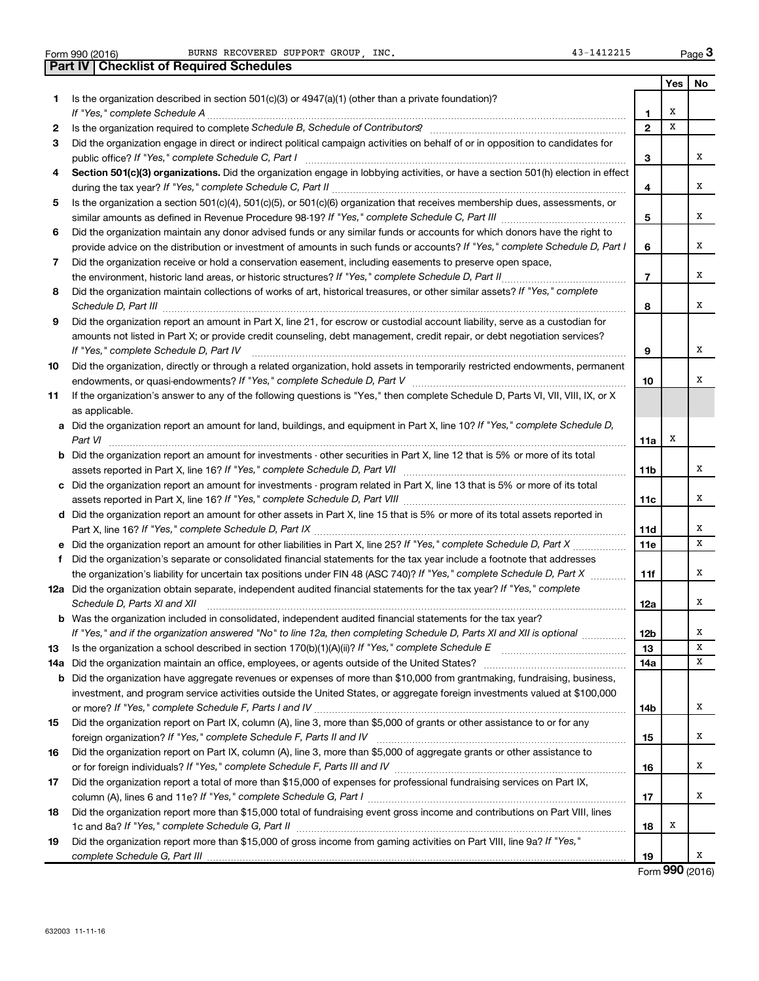|     | BURNS RECOVERED SUPPORT GROUP . INC.<br>43-1412215<br>Form 990 (2016)                                                                                                                                                                |                 |     | Page 3      |
|-----|--------------------------------------------------------------------------------------------------------------------------------------------------------------------------------------------------------------------------------------|-----------------|-----|-------------|
|     | <b>Part IV   Checklist of Required Schedules</b>                                                                                                                                                                                     |                 |     |             |
|     |                                                                                                                                                                                                                                      |                 | Yes | No          |
| 1.  | Is the organization described in section $501(c)(3)$ or $4947(a)(1)$ (other than a private foundation)?                                                                                                                              |                 |     |             |
|     | If "Yes," complete Schedule A                                                                                                                                                                                                        | 1               | х   |             |
| 2   |                                                                                                                                                                                                                                      | $\mathbf{2}$    | X   |             |
| 3   | Did the organization engage in direct or indirect political campaign activities on behalf of or in opposition to candidates for                                                                                                      |                 |     |             |
|     |                                                                                                                                                                                                                                      | 3               |     | х           |
| 4   | Section 501(c)(3) organizations. Did the organization engage in lobbying activities, or have a section 501(h) election in effect                                                                                                     |                 |     |             |
|     |                                                                                                                                                                                                                                      | 4               |     | х           |
| 5   | Is the organization a section 501(c)(4), 501(c)(5), or 501(c)(6) organization that receives membership dues, assessments, or                                                                                                         |                 |     |             |
|     |                                                                                                                                                                                                                                      | 5               |     | х           |
| 6   | Did the organization maintain any donor advised funds or any similar funds or accounts for which donors have the right to                                                                                                            |                 |     |             |
|     | provide advice on the distribution or investment of amounts in such funds or accounts? If "Yes," complete Schedule D, Part I                                                                                                         | 6               |     | х           |
| 7   | Did the organization receive or hold a conservation easement, including easements to preserve open space,                                                                                                                            |                 |     |             |
|     | the environment, historic land areas, or historic structures? If "Yes," complete Schedule D, Part II                                                                                                                                 | $\overline{7}$  |     | х           |
| 8   | Did the organization maintain collections of works of art, historical treasures, or other similar assets? If "Yes," complete                                                                                                         |                 |     |             |
|     |                                                                                                                                                                                                                                      | 8               |     | х           |
| 9   | Did the organization report an amount in Part X, line 21, for escrow or custodial account liability, serve as a custodian for                                                                                                        |                 |     |             |
|     | amounts not listed in Part X; or provide credit counseling, debt management, credit repair, or debt negotiation services?                                                                                                            |                 |     |             |
|     | If "Yes," complete Schedule D, Part IV                                                                                                                                                                                               | 9               |     | x           |
| 10  | Did the organization, directly or through a related organization, hold assets in temporarily restricted endowments, permanent                                                                                                        |                 |     |             |
|     |                                                                                                                                                                                                                                      | 10              |     | х           |
| 11  | If the organization's answer to any of the following questions is "Yes," then complete Schedule D, Parts VI, VII, VIII, IX, or X                                                                                                     |                 |     |             |
|     | as applicable.                                                                                                                                                                                                                       |                 |     |             |
|     | a Did the organization report an amount for land, buildings, and equipment in Part X, line 10? If "Yes," complete Schedule D,                                                                                                        |                 |     |             |
|     | Part VI                                                                                                                                                                                                                              | 11a             | х   |             |
|     | <b>b</b> Did the organization report an amount for investments - other securities in Part X, line 12 that is 5% or more of its total                                                                                                 |                 |     |             |
|     |                                                                                                                                                                                                                                      | 11b             |     | x           |
|     | c Did the organization report an amount for investments - program related in Part X, line 13 that is 5% or more of its total                                                                                                         |                 |     |             |
|     |                                                                                                                                                                                                                                      | 11c             |     | х           |
|     | d Did the organization report an amount for other assets in Part X, line 15 that is 5% or more of its total assets reported in                                                                                                       |                 |     |             |
|     |                                                                                                                                                                                                                                      | 11d             |     | х           |
|     | e Did the organization report an amount for other liabilities in Part X, line 25? If "Yes," complete Schedule D, Part X                                                                                                              | 11 <sub>e</sub> |     | x           |
| f   | Did the organization's separate or consolidated financial statements for the tax year include a footnote that addresses                                                                                                              |                 |     |             |
|     | the organization's liability for uncertain tax positions under FIN 48 (ASC 740)? If "Yes," complete Schedule D, Part X                                                                                                               | 11f             |     | x           |
|     | 12a Did the organization obtain separate, independent audited financial statements for the tax year? If "Yes," complete                                                                                                              |                 |     |             |
|     | Schedule D, Parts XI and XII <b>construents and Construents and Construents and Construents and Construents and Construents and Construents and Construents and Construents and Construents and Construents and Construents and </b> | 12a             |     | $\mathbf X$ |
|     | <b>b</b> Was the organization included in consolidated, independent audited financial statements for the tax year?                                                                                                                   |                 |     |             |
|     | If "Yes," and if the organization answered "No" to line 12a, then completing Schedule D, Parts XI and XII is optional <i>manumum</i>                                                                                                 | 12 <sub>b</sub> |     | х           |
| 13  | Is the organization a school described in section 170(b)(1)(A)(ii)? If "Yes," complete Schedule E [[[[[[[[[[[[                                                                                                                       | 13              |     | x           |
| 14a |                                                                                                                                                                                                                                      | 14a             |     | х           |
| b   | Did the organization have aggregate revenues or expenses of more than \$10,000 from grantmaking, fundraising, business,                                                                                                              |                 |     |             |
|     | investment, and program service activities outside the United States, or aggregate foreign investments valued at \$100,000                                                                                                           |                 |     |             |
|     |                                                                                                                                                                                                                                      | 14b             |     | х           |
| 15  | Did the organization report on Part IX, column (A), line 3, more than \$5,000 of grants or other assistance to or for any                                                                                                            |                 |     |             |
|     |                                                                                                                                                                                                                                      | 15              |     | х           |
| 16  | Did the organization report on Part IX, column (A), line 3, more than \$5,000 of aggregate grants or other assistance to                                                                                                             |                 |     |             |
|     |                                                                                                                                                                                                                                      | 16              |     | х           |
| 17  | Did the organization report a total of more than \$15,000 of expenses for professional fundraising services on Part IX,                                                                                                              |                 |     |             |
|     |                                                                                                                                                                                                                                      | 17              |     | X           |
| 18  | Did the organization report more than \$15,000 total of fundraising event gross income and contributions on Part VIII, lines                                                                                                         |                 |     |             |
|     |                                                                                                                                                                                                                                      | 18              | х   |             |
| 19  | Did the organization report more than \$15,000 of gross income from gaming activities on Part VIII, line 9a? If "Yes,"                                                                                                               |                 |     |             |
|     |                                                                                                                                                                                                                                      | 19              |     | x           |

Form (2016) **990**

**3**

 $\overline{a}$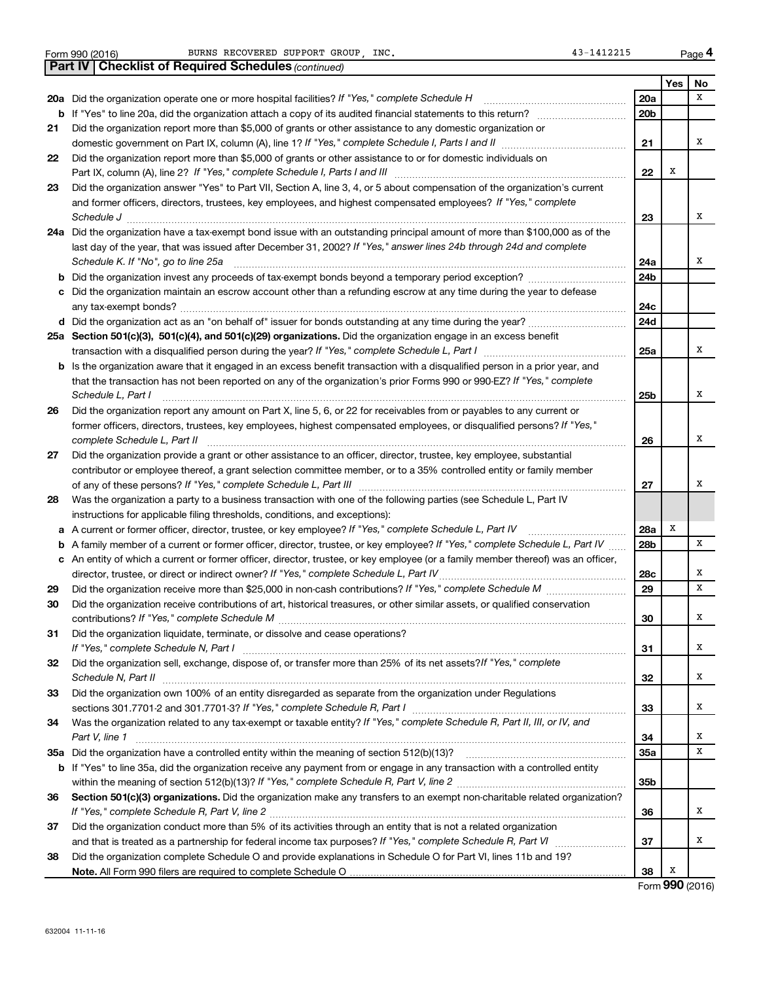|  | Form 990 (2016) |  |
|--|-----------------|--|

**20 a**

**21**

**22**

**23**

**24 a**

**25 a**

**26**

**27**

**28**

**29 30**

**31**

**32**

**33**

**34**

**35 a**

**36**

**37**

|     | Part IV   Checklist of Required Schedules (continued)                                                                                                                                                                          |     |     |    |
|-----|--------------------------------------------------------------------------------------------------------------------------------------------------------------------------------------------------------------------------------|-----|-----|----|
|     |                                                                                                                                                                                                                                |     | Yes | No |
|     | 20a Did the organization operate one or more hospital facilities? If "Yes," complete Schedule H                                                                                                                                | 20a |     | x  |
|     | b If "Yes" to line 20a, did the organization attach a copy of its audited financial statements to this return?                                                                                                                 | 20b |     |    |
| 21. | Did the organization report more than \$5,000 of grants or other assistance to any domestic organization or                                                                                                                    |     |     |    |
|     |                                                                                                                                                                                                                                | 21  |     | x  |
| 22  | Did the organization report more than \$5,000 of grants or other assistance to or for domestic individuals on                                                                                                                  |     |     |    |
|     |                                                                                                                                                                                                                                | 22  | Х   |    |
| 23  | Did the organization answer "Yes" to Part VII, Section A, line 3, 4, or 5 about compensation of the organization's current                                                                                                     |     |     |    |
|     | and former officers, directors, trustees, key employees, and highest compensated employees? If "Yes," complete                                                                                                                 |     |     |    |
|     |                                                                                                                                                                                                                                | 23  |     | х  |
|     | 24a Did the organization have a tax-exempt bond issue with an outstanding principal amount of more than \$100,000 as of the                                                                                                    |     |     |    |
|     | last day of the year, that was issued after December 31, 2002? If "Yes," answer lines 24b through 24d and complete                                                                                                             |     |     |    |
|     | Schedule K. If "No", go to line 25a                                                                                                                                                                                            | 24a |     | х  |
| b   |                                                                                                                                                                                                                                | 24b |     |    |
|     | c Did the organization maintain an escrow account other than a refunding escrow at any time during the year to defease                                                                                                         |     |     |    |
|     |                                                                                                                                                                                                                                | 24с |     |    |
|     | d Did the organization act as an "on behalf of" issuer for bonds outstanding at any time during the year?                                                                                                                      | 24d |     |    |
|     | 25a Section 501(c)(3), 501(c)(4), and 501(c)(29) organizations. Did the organization engage in an excess benefit                                                                                                               |     |     |    |
|     | transaction with a disqualified person during the year? If "Yes," complete Schedule L, Part I manual manual manual manual manual manual manual manual manual manual manual manual manual manual manual manual manual manual ma | 25a |     | х  |
|     | b Is the organization aware that it engaged in an excess benefit transaction with a disqualified person in a prior year, and                                                                                                   |     |     |    |
|     | that the transaction has not been reported on any of the organization's prior Forms 990 or 990-EZ? If "Yes," complete                                                                                                          |     |     |    |
|     | Schedule L, Part I                                                                                                                                                                                                             | 25b |     | х  |
| 26  | Did the organization report any amount on Part X, line 5, 6, or 22 for receivables from or payables to any current or                                                                                                          |     |     |    |
|     | former officers, directors, trustees, key employees, highest compensated employees, or disqualified persons? If "Yes,"                                                                                                         |     |     |    |
|     | complete Schedule L, Part II                                                                                                                                                                                                   | 26  |     | х  |
| 27  | Did the organization provide a grant or other assistance to an officer, director, trustee, key employee, substantial                                                                                                           |     |     |    |
|     | contributor or employee thereof, a grant selection committee member, or to a 35% controlled entity or family member                                                                                                            |     |     |    |
|     |                                                                                                                                                                                                                                | 27  |     | х  |
| 28  | Was the organization a party to a business transaction with one of the following parties (see Schedule L, Part IV                                                                                                              |     |     |    |
|     | instructions for applicable filing thresholds, conditions, and exceptions):                                                                                                                                                    |     |     |    |
| а   | A current or former officer, director, trustee, or key employee? If "Yes," complete Schedule L, Part IV                                                                                                                        | 28a | X   |    |
| b   | A family member of a current or former officer, director, trustee, or key employee? If "Yes," complete Schedule L, Part IV                                                                                                     | 28b |     | х  |
|     | c An entity of which a current or former officer, director, trustee, or key employee (or a family member thereof) was an officer,                                                                                              |     |     |    |
|     | director, trustee, or direct or indirect owner? If "Yes," complete Schedule L, Part IV                                                                                                                                         | 28c |     | x  |
| 29  |                                                                                                                                                                                                                                | 29  |     | x  |
| 30  | Did the organization receive contributions of art, historical treasures, or other similar assets, or qualified conservation                                                                                                    |     |     |    |
|     |                                                                                                                                                                                                                                | 30  |     | x  |
| 31  | Did the organization liquidate, terminate, or dissolve and cease operations?                                                                                                                                                   |     |     |    |
|     |                                                                                                                                                                                                                                | 31  |     | x  |
| 32. | Did the organization sell, exchange, dispose of, or transfer more than 25% of its net assets?/f "Yes," complete                                                                                                                |     |     |    |
|     | Schedule N, Part II                                                                                                                                                                                                            | 32  |     | x  |
| 33  | Did the organization own 100% of an entity disregarded as separate from the organization under Regulations                                                                                                                     |     |     |    |
|     |                                                                                                                                                                                                                                | 33  |     | x  |
| 34  | Was the organization related to any tax-exempt or taxable entity? If "Yes," complete Schedule R, Part II, III, or IV, and                                                                                                      |     |     |    |
|     | Part V, line 1                                                                                                                                                                                                                 | 34  |     | x  |
|     |                                                                                                                                                                                                                                | 35а |     | х  |
|     | b If "Yes" to line 35a, did the organization receive any payment from or engage in any transaction with a controlled entity                                                                                                    |     |     |    |
|     |                                                                                                                                                                                                                                | 35b |     |    |
| 36  | Section 501(c)(3) organizations. Did the organization make any transfers to an exempt non-charitable related organization?                                                                                                     |     |     |    |
|     |                                                                                                                                                                                                                                | 36  |     | x  |
| 37  | Did the organization conduct more than 5% of its activities through an entity that is not a related organization                                                                                                               |     |     |    |
|     |                                                                                                                                                                                                                                | 37  |     | x  |
|     |                                                                                                                                                                                                                                |     |     |    |

**38 Note.**  All Form 990 filers are required to complete Schedule O Did the organization complete Schedule O and provide explanations in Schedule O for Part VI, lines 11b and 19?

Form (2016) **990** X

**38**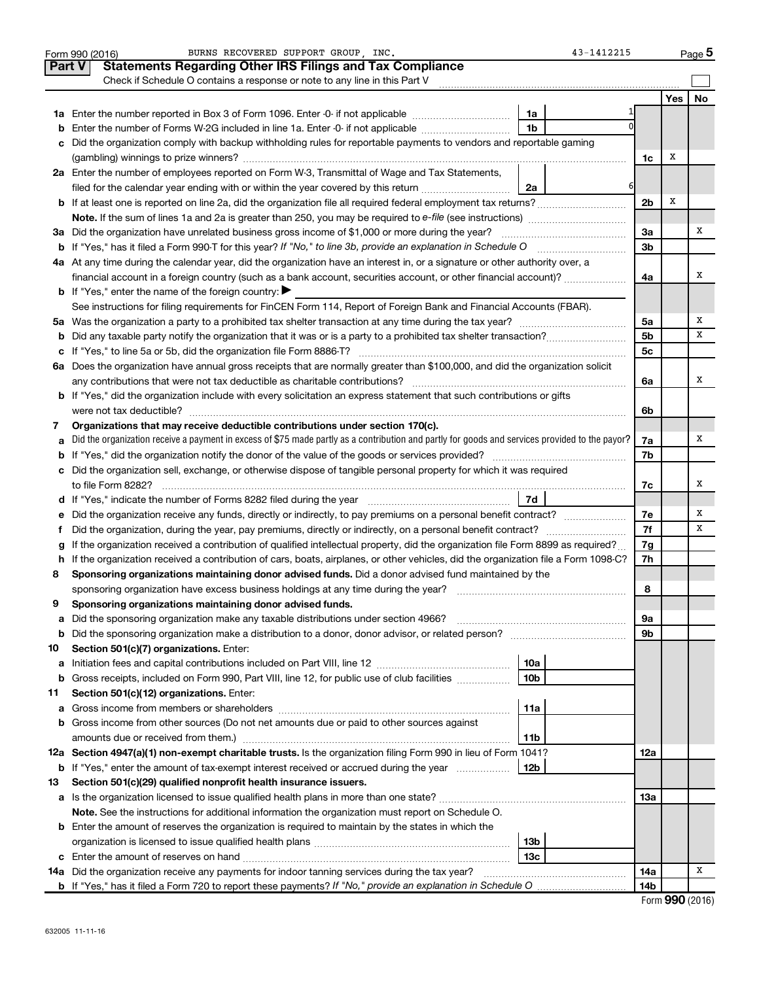|               | BURNS RECOVERED SUPPORT GROUP . INC.<br>43-1412215<br>Form 990 (2016)                                                                                                                                                            |                |     | Page 5 |
|---------------|----------------------------------------------------------------------------------------------------------------------------------------------------------------------------------------------------------------------------------|----------------|-----|--------|
| <b>Part V</b> | <b>Statements Regarding Other IRS Filings and Tax Compliance</b>                                                                                                                                                                 |                |     |        |
|               | Check if Schedule O contains a response or note to any line in this Part V                                                                                                                                                       |                |     |        |
|               |                                                                                                                                                                                                                                  |                | Yes | No     |
|               | 1a                                                                                                                                                                                                                               |                |     |        |
| b             | 1 <sub>b</sub><br>Enter the number of Forms W-2G included in line 1a. Enter -0- if not applicable                                                                                                                                |                |     |        |
| с             | Did the organization comply with backup withholding rules for reportable payments to vendors and reportable gaming                                                                                                               |                |     |        |
|               |                                                                                                                                                                                                                                  | 1c             | x   |        |
|               | 2a Enter the number of employees reported on Form W-3, Transmittal of Wage and Tax Statements,                                                                                                                                   |                |     |        |
|               | 6<br>filed for the calendar year ending with or within the year covered by this return<br>2a                                                                                                                                     |                |     |        |
|               |                                                                                                                                                                                                                                  | 2 <sub>b</sub> | Х   |        |
|               |                                                                                                                                                                                                                                  |                |     |        |
|               | 3a Did the organization have unrelated business gross income of \$1,000 or more during the year?                                                                                                                                 | За             |     | х      |
|               |                                                                                                                                                                                                                                  | 3b             |     |        |
|               | 4a At any time during the calendar year, did the organization have an interest in, or a signature or other authority over, a                                                                                                     |                |     |        |
|               | financial account in a foreign country (such as a bank account, securities account, or other financial account)?                                                                                                                 | 4a             |     | х      |
|               | <b>b</b> If "Yes," enter the name of the foreign country: $\blacktriangleright$                                                                                                                                                  |                |     |        |
|               | See instructions for filing requirements for FinCEN Form 114, Report of Foreign Bank and Financial Accounts (FBAR).                                                                                                              |                |     |        |
|               |                                                                                                                                                                                                                                  | 5a             |     | Χ      |
| b             |                                                                                                                                                                                                                                  | 5b             |     | x      |
|               |                                                                                                                                                                                                                                  | 5c             |     |        |
|               | 6a Does the organization have annual gross receipts that are normally greater than \$100,000, and did the organization solicit                                                                                                   |                |     |        |
|               |                                                                                                                                                                                                                                  | 6a             |     | x      |
|               | <b>b</b> If "Yes," did the organization include with every solicitation an express statement that such contributions or gifts                                                                                                    |                |     |        |
|               |                                                                                                                                                                                                                                  | 6b             |     |        |
| 7             | Organizations that may receive deductible contributions under section 170(c).<br>Did the organization receive a payment in excess of \$75 made partly as a contribution and partly for goods and services provided to the payor? |                |     | Χ      |
| а             |                                                                                                                                                                                                                                  | 7a<br>7b       |     |        |
| b             | c Did the organization sell, exchange, or otherwise dispose of tangible personal property for which it was required                                                                                                              |                |     |        |
|               |                                                                                                                                                                                                                                  | 7c             |     | х      |
|               |                                                                                                                                                                                                                                  |                |     |        |
| е             | Did the organization receive any funds, directly or indirectly, to pay premiums on a personal benefit contract?                                                                                                                  | 7e             |     | Χ      |
| f.            |                                                                                                                                                                                                                                  | 7f             |     | х      |
|               | If the organization received a contribution of qualified intellectual property, did the organization file Form 8899 as required?                                                                                                 | 7g             |     |        |
|               | h If the organization received a contribution of cars, boats, airplanes, or other vehicles, did the organization file a Form 1098-C?                                                                                             | 7h             |     |        |
| 8             | Sponsoring organizations maintaining donor advised funds. Did a donor advised fund maintained by the                                                                                                                             |                |     |        |
|               |                                                                                                                                                                                                                                  | 8              |     |        |
|               | Sponsoring organizations maintaining donor advised funds.                                                                                                                                                                        |                |     |        |
| а             | Did the sponsoring organization make any taxable distributions under section 4966?                                                                                                                                               | 9а             |     |        |
| b             |                                                                                                                                                                                                                                  | 9b             |     |        |
| 10            | Section 501(c)(7) organizations. Enter:                                                                                                                                                                                          |                |     |        |
| а             | 10a                                                                                                                                                                                                                              |                |     |        |
| b             | 10 <sub>b</sub><br>Gross receipts, included on Form 990, Part VIII, line 12, for public use of club facilities                                                                                                                   |                |     |        |
| 11            | Section 501(c)(12) organizations. Enter:                                                                                                                                                                                         |                |     |        |
| а             | 11a                                                                                                                                                                                                                              |                |     |        |
| b             | Gross income from other sources (Do not net amounts due or paid to other sources against                                                                                                                                         |                |     |        |
|               | amounts due or received from them.)<br>11b                                                                                                                                                                                       |                |     |        |
|               | 12a Section 4947(a)(1) non-exempt charitable trusts. Is the organization filing Form 990 in lieu of Form 1041?                                                                                                                   | 12a            |     |        |
|               | <b>b</b> If "Yes," enter the amount of tax-exempt interest received or accrued during the year<br>  12b                                                                                                                          |                |     |        |
| 13            | Section 501(c)(29) qualified nonprofit health insurance issuers.                                                                                                                                                                 |                |     |        |
|               | a Is the organization licensed to issue qualified health plans in more than one state?                                                                                                                                           | 13a            |     |        |
|               | Note. See the instructions for additional information the organization must report on Schedule O.                                                                                                                                |                |     |        |
|               | <b>b</b> Enter the amount of reserves the organization is required to maintain by the states in which the                                                                                                                        |                |     |        |
|               | 13b                                                                                                                                                                                                                              |                |     |        |
|               | 13 <sub>c</sub>                                                                                                                                                                                                                  |                |     |        |
|               | 14a Did the organization receive any payments for indoor tanning services during the tax year?                                                                                                                                   | 14a            |     | x      |
|               |                                                                                                                                                                                                                                  | 14b            |     |        |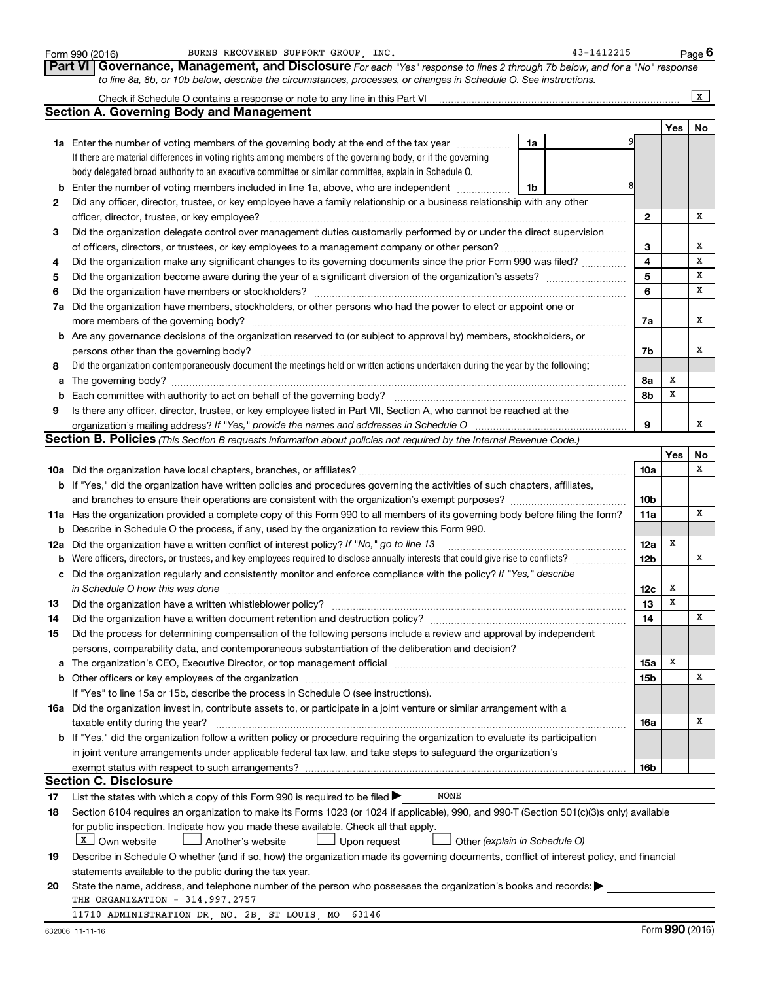|        | BURNS RECOVERED SUPPORT GROUP, INC.<br>Form 990 (2016)                                                                                                                                                                                 |    | 43-1412215 |                 |             | Page $6$     |
|--------|----------------------------------------------------------------------------------------------------------------------------------------------------------------------------------------------------------------------------------------|----|------------|-----------------|-------------|--------------|
|        | Governance, Management, and Disclosure For each "Yes" response to lines 2 through 7b below, and for a "No" response<br><b>Part VI</b>                                                                                                  |    |            |                 |             |              |
|        | to line 8a, 8b, or 10b below, describe the circumstances, processes, or changes in Schedule O. See instructions.                                                                                                                       |    |            |                 |             |              |
|        |                                                                                                                                                                                                                                        |    |            |                 |             | $\mathbf{x}$ |
|        | <b>Section A. Governing Body and Management</b>                                                                                                                                                                                        |    |            |                 |             |              |
|        |                                                                                                                                                                                                                                        |    |            |                 | Yes         | No           |
|        | <b>1a</b> Enter the number of voting members of the governing body at the end of the tax year                                                                                                                                          | 1a |            |                 |             |              |
|        | If there are material differences in voting rights among members of the governing body, or if the governing                                                                                                                            |    |            |                 |             |              |
|        | body delegated broad authority to an executive committee or similar committee, explain in Schedule O.                                                                                                                                  |    |            |                 |             |              |
| b      | Enter the number of voting members included in line 1a, above, who are independent                                                                                                                                                     | 1b |            |                 |             |              |
| 2      | Did any officer, director, trustee, or key employee have a family relationship or a business relationship with any other                                                                                                               |    |            |                 |             |              |
|        | officer, director, trustee, or key employee?                                                                                                                                                                                           |    |            | $\mathbf{2}$    |             | х            |
| 3      | Did the organization delegate control over management duties customarily performed by or under the direct supervision                                                                                                                  |    |            |                 |             |              |
|        |                                                                                                                                                                                                                                        |    |            | З               |             | X            |
| 4      | Did the organization make any significant changes to its governing documents since the prior Form 990 was filed?                                                                                                                       |    |            | 4               |             | x            |
| 5      |                                                                                                                                                                                                                                        |    |            | 5               |             | x            |
| 6      | Did the organization have members or stockholders?                                                                                                                                                                                     |    |            | 6               |             | х            |
| 7a     | Did the organization have members, stockholders, or other persons who had the power to elect or appoint one or                                                                                                                         |    |            |                 |             |              |
|        |                                                                                                                                                                                                                                        |    |            | 7a              |             | х            |
|        | more members of the governing body?                                                                                                                                                                                                    |    |            |                 |             |              |
|        | <b>b</b> Are any governance decisions of the organization reserved to (or subject to approval by) members, stockholders, or                                                                                                            |    |            |                 |             | х            |
|        | persons other than the governing body?<br>Did the organization contemporaneously document the meetings held or written actions undertaken during the year by the following:                                                            |    |            | 7b              |             |              |
| 8      |                                                                                                                                                                                                                                        |    |            |                 | х           |              |
| a      | Each committee with authority to act on behalf of the governing body?                                                                                                                                                                  |    |            | 8a<br>8b        | X           |              |
| b<br>9 | Is there any officer, director, trustee, or key employee listed in Part VII, Section A, who cannot be reached at the                                                                                                                   |    |            |                 |             |              |
|        |                                                                                                                                                                                                                                        |    |            | 9               |             | х            |
|        | <b>Section B. Policies</b> (This Section B requests information about policies not required by the Internal Revenue Code.)                                                                                                             |    |            |                 |             |              |
|        |                                                                                                                                                                                                                                        |    |            |                 | Yes         | No           |
|        |                                                                                                                                                                                                                                        |    |            | 10a             |             | x            |
|        |                                                                                                                                                                                                                                        |    |            |                 |             |              |
|        | <b>b</b> If "Yes," did the organization have written policies and procedures governing the activities of such chapters, affiliates,<br>and branches to ensure their operations are consistent with the organization's exempt purposes? |    |            | 10b             |             |              |
|        | 11a Has the organization provided a complete copy of this Form 990 to all members of its governing body before filing the form?                                                                                                        |    |            | 11a             |             | x            |
| b      | Describe in Schedule O the process, if any, used by the organization to review this Form 990.                                                                                                                                          |    |            |                 |             |              |
|        | 12a Did the organization have a written conflict of interest policy? If "No," go to line 13                                                                                                                                            |    |            | 12a             | X           |              |
| b      | Were officers, directors, or trustees, and key employees required to disclose annually interests that could give rise to conflicts?                                                                                                    |    |            | 12 <sub>b</sub> |             | x            |
| c      | Did the organization regularly and consistently monitor and enforce compliance with the policy? If "Yes," describe                                                                                                                     |    |            |                 |             |              |
|        |                                                                                                                                                                                                                                        |    |            | 12c             | x           |              |
| 13     | Did the organization have a written whistleblower policy?                                                                                                                                                                              |    |            | 13              | $\mathbf x$ |              |
| 14     | Did the organization have a written document retention and destruction policy? [11] manufaction in the organization have a written document retention and destruction policy?                                                          |    |            | 14              |             | X            |
| 15     | Did the process for determining compensation of the following persons include a review and approval by independent                                                                                                                     |    |            |                 |             |              |
|        | persons, comparability data, and contemporaneous substantiation of the deliberation and decision?                                                                                                                                      |    |            |                 |             |              |
| а      | The organization's CEO, Executive Director, or top management official manufactured content of the organization's CEO, Executive Director, or top management official manufactured content of the organization's                       |    |            | <b>15a</b>      | х           |              |
| b      | Other officers or key employees of the organization                                                                                                                                                                                    |    |            | <b>15b</b>      |             | X            |
|        | If "Yes" to line 15a or 15b, describe the process in Schedule O (see instructions).                                                                                                                                                    |    |            |                 |             |              |
|        | 16a Did the organization invest in, contribute assets to, or participate in a joint venture or similar arrangement with a                                                                                                              |    |            |                 |             |              |
|        | taxable entity during the year?                                                                                                                                                                                                        |    |            | 16a             |             | Х            |
|        | b If "Yes," did the organization follow a written policy or procedure requiring the organization to evaluate its participation                                                                                                         |    |            |                 |             |              |
|        | in joint venture arrangements under applicable federal tax law, and take steps to safeguard the organization's                                                                                                                         |    |            |                 |             |              |
|        | exempt status with respect to such arrangements?                                                                                                                                                                                       |    |            | 16 <sub>b</sub> |             |              |
|        | <b>Section C. Disclosure</b>                                                                                                                                                                                                           |    |            |                 |             |              |
| 17     | <b>NONE</b><br>List the states with which a copy of this Form 990 is required to be filed $\blacktriangleright$                                                                                                                        |    |            |                 |             |              |
| 18     | Section 6104 requires an organization to make its Forms 1023 (or 1024 if applicable), 990, and 990-T (Section 501(c)(3)s only) available                                                                                               |    |            |                 |             |              |
|        | for public inspection. Indicate how you made these available. Check all that apply.                                                                                                                                                    |    |            |                 |             |              |
|        | $x$ Own website<br>Another's website<br>Upon request<br>Other (explain in Schedule O)                                                                                                                                                  |    |            |                 |             |              |
| 19     | Describe in Schedule O whether (and if so, how) the organization made its governing documents, conflict of interest policy, and financial                                                                                              |    |            |                 |             |              |
|        | statements available to the public during the tax year.                                                                                                                                                                                |    |            |                 |             |              |
| 20     | State the name, address, and telephone number of the person who possesses the organization's books and records:                                                                                                                        |    |            |                 |             |              |
|        | THE ORGANIZATION - 314.997.2757                                                                                                                                                                                                        |    |            |                 |             |              |
|        | 11710 ADMINISTRATION DR, NO. 2B, ST LOUIS, MO<br>63146                                                                                                                                                                                 |    |            |                 |             |              |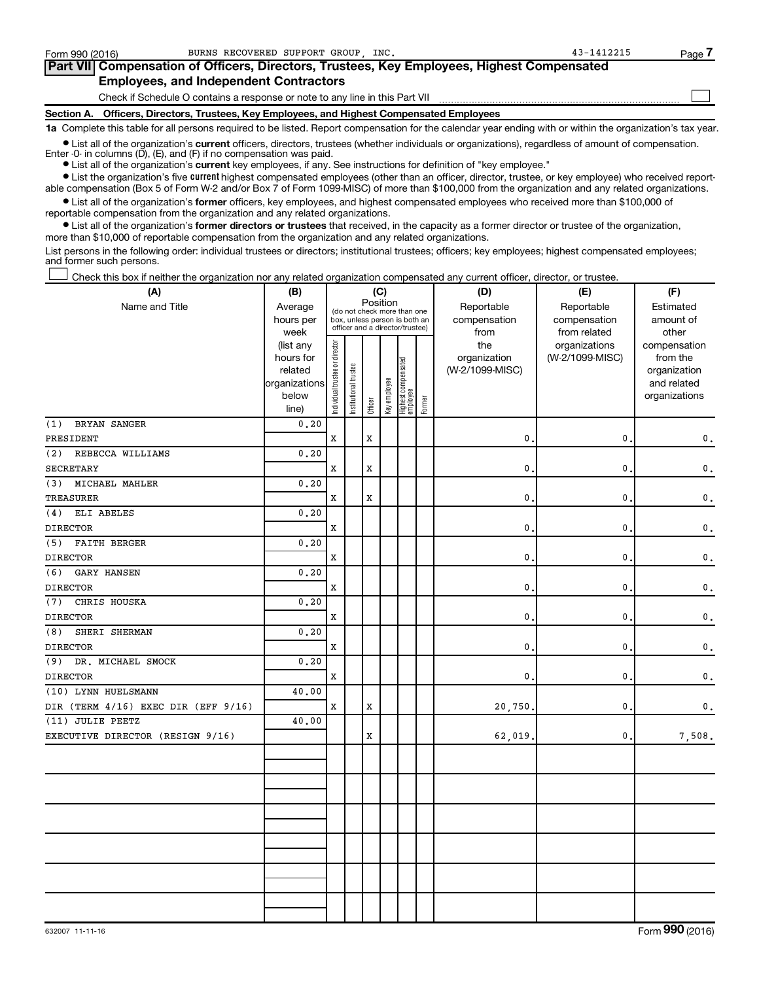| Form 990 (2016) | BURNS RECOVERED SUPPORT GROUP INC.                                                         | 43-1412215 | Page / |  |  |  |  |  |
|-----------------|--------------------------------------------------------------------------------------------|------------|--------|--|--|--|--|--|
|                 | Part VII Compensation of Officers, Directors, Trustees, Key Employees, Highest Compensated |            |        |  |  |  |  |  |
|                 | <b>Employees, and Independent Contractors</b>                                              |            |        |  |  |  |  |  |
|                 | Check if Schedule O contains a response or note to any line in this Part VII               |            |        |  |  |  |  |  |
|                 | Section A. Officers, Directors, Trustees, Key Employees, and Highest Compensated Employees |            |        |  |  |  |  |  |

**1a**  Complete this table for all persons required to be listed. Report compensation for the calendar year ending with or within the organization's tax year.

**•** List all of the organization's current officers, directors, trustees (whether individuals or organizations), regardless of amount of compensation. Enter -0- in columns (D), (E), and (F) if no compensation was paid.

**•** List all of the organization's **current** key employees, if any. See instructions for definition of "key employee."

**•** List the organization's five current highest compensated employees (other than an officer, director, trustee, or key employee) who received reportable compensation (Box 5 of Form W-2 and/or Box 7 of Form 1099-MISC) of more than \$100,000 from the organization and any related organizations.

**•** List all of the organization's former officers, key employees, and highest compensated employees who received more than \$100,000 of reportable compensation from the organization and any related organizations.

**•** List all of the organization's former directors or trustees that received, in the capacity as a former director or trustee of the organization, more than \$10,000 of reportable compensation from the organization and any related organizations.

List persons in the following order: individual trustees or directors; institutional trustees; officers; key employees; highest compensated employees; and former such persons.

Check this box if neither the organization nor any related organization compensated any current officer, director, or trustee. †

| (A)                                 | (B)                    | (C)                            |                                         |             |              |                                 |        | (D)             | (E)             | (F)           |
|-------------------------------------|------------------------|--------------------------------|-----------------------------------------|-------------|--------------|---------------------------------|--------|-----------------|-----------------|---------------|
| Name and Title                      | Average                |                                | Position<br>(do not check more than one |             |              |                                 |        | Reportable      | Reportable      | Estimated     |
|                                     | hours per              |                                | box, unless person is both an           |             |              |                                 |        | compensation    | compensation    | amount of     |
|                                     | week                   |                                | officer and a director/trustee)         |             |              |                                 | from   | from related    | other           |               |
|                                     | (list any              |                                |                                         |             |              |                                 |        | the             | organizations   | compensation  |
|                                     | hours for              |                                |                                         |             |              |                                 |        | organization    | (W-2/1099-MISC) | from the      |
|                                     | related                |                                |                                         |             |              |                                 |        | (W-2/1099-MISC) |                 | organization  |
|                                     | organizations<br>below |                                |                                         |             |              |                                 |        |                 |                 | and related   |
|                                     | line)                  | Individual trustee or director | Institutional trustee                   | Officer     | Key employee | Highest compensated<br>employee | Former |                 |                 | organizations |
| (1)<br><b>BRYAN SANGER</b>          | 0.20                   |                                |                                         |             |              |                                 |        |                 |                 |               |
| PRESIDENT                           |                        | X                              |                                         | X           |              |                                 |        | $\mathbf{0}$ .  | 0               | 0.            |
| (2)<br>REBECCA WILLIAMS             | 0.20                   |                                |                                         |             |              |                                 |        |                 |                 |               |
| SECRETARY                           |                        | X                              |                                         | X           |              |                                 |        | 0.              | 0               | 0.            |
| MICHAEL MAHLER<br>(3)               | 0, 20                  |                                |                                         |             |              |                                 |        |                 |                 |               |
| <b>TREASURER</b>                    |                        | $\mathbf x$                    |                                         | $\mathbf x$ |              |                                 |        | $\mathbf{0}$ .  | 0               | 0.            |
| ELI ABELES<br>(4)                   | 0.20                   |                                |                                         |             |              |                                 |        |                 |                 |               |
| <b>DIRECTOR</b>                     |                        | X                              |                                         |             |              |                                 |        | 0.              | 0               | $\mathbf 0$ . |
| (5)<br><b>FAITH BERGER</b>          | 0.20                   |                                |                                         |             |              |                                 |        |                 |                 |               |
| <b>DIRECTOR</b>                     |                        | X                              |                                         |             |              |                                 |        | 0.              | 0               | 0.            |
| (6)<br><b>GARY HANSEN</b>           | 0.20                   |                                |                                         |             |              |                                 |        |                 |                 |               |
| <b>DIRECTOR</b>                     |                        | X                              |                                         |             |              |                                 |        | 0.              | 0               | 0.            |
| CHRIS HOUSKA<br>(7)                 | 0, 20                  |                                |                                         |             |              |                                 |        |                 |                 |               |
| <b>DIRECTOR</b>                     |                        | X                              |                                         |             |              |                                 |        | $\mathbf{0}$ .  | 0               | 0.            |
| SHERI SHERMAN<br>(8)                | 0.20                   |                                |                                         |             |              |                                 |        |                 |                 |               |
| <b>DIRECTOR</b>                     |                        | X                              |                                         |             |              |                                 |        | 0.              | 0               | 0.            |
| DR. MICHAEL SMOCK<br>(9)            | 0.20                   |                                |                                         |             |              |                                 |        |                 |                 |               |
| <b>DIRECTOR</b>                     |                        | X                              |                                         |             |              |                                 |        | 0.              | 0               | 0.            |
| (10) LYNN HUELSMANN                 | 40.00                  |                                |                                         |             |              |                                 |        |                 |                 |               |
| DIR (TERM 4/16) EXEC DIR (EFF 9/16) |                        | х                              |                                         | X           |              |                                 |        | 20,750.         | 0               | 0.            |
| (11) JULIE PEETZ                    | 40.00                  |                                |                                         |             |              |                                 |        |                 |                 |               |
| EXECUTIVE DIRECTOR (RESIGN 9/16)    |                        |                                |                                         | X           |              |                                 |        | 62,019.         | 0               | 7,508.        |
|                                     |                        |                                |                                         |             |              |                                 |        |                 |                 |               |
|                                     |                        |                                |                                         |             |              |                                 |        |                 |                 |               |
|                                     |                        |                                |                                         |             |              |                                 |        |                 |                 |               |
|                                     |                        |                                |                                         |             |              |                                 |        |                 |                 |               |
|                                     |                        |                                |                                         |             |              |                                 |        |                 |                 |               |
|                                     |                        |                                |                                         |             |              |                                 |        |                 |                 |               |
|                                     |                        |                                |                                         |             |              |                                 |        |                 |                 |               |
|                                     |                        |                                |                                         |             |              |                                 |        |                 |                 |               |
|                                     |                        |                                |                                         |             |              |                                 |        |                 |                 |               |
|                                     |                        |                                |                                         |             |              |                                 |        |                 |                 |               |
|                                     |                        |                                |                                         |             |              |                                 |        |                 |                 |               |
|                                     |                        |                                |                                         |             |              |                                 |        |                 |                 |               |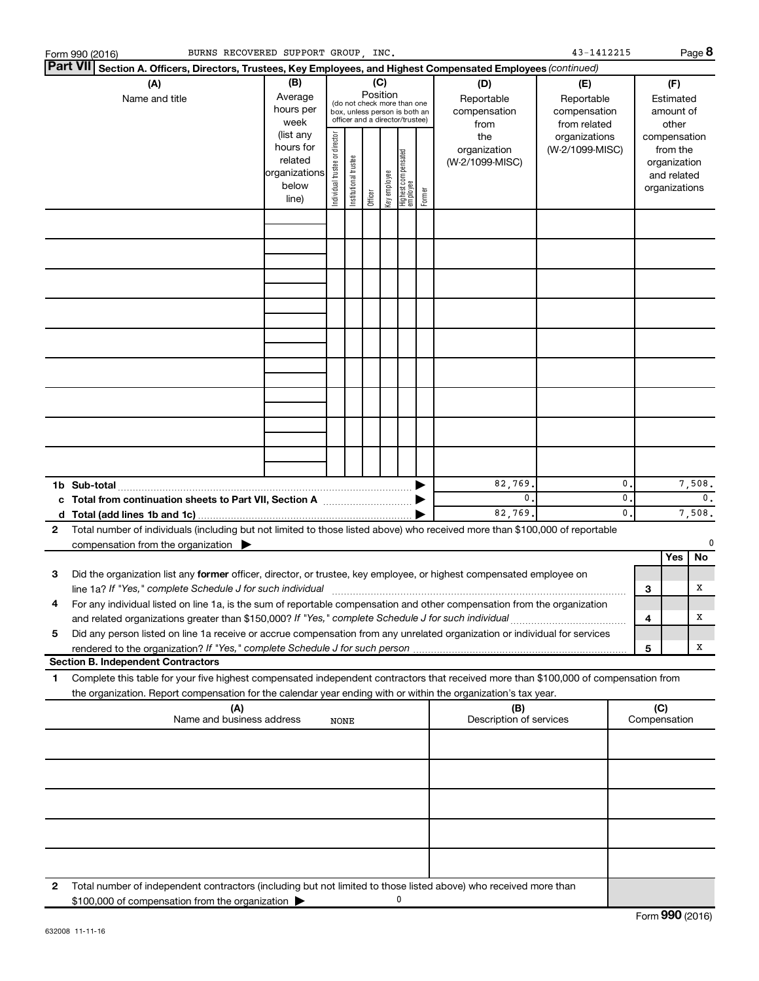|              | BURNS RECOVERED SUPPORT GROUP, INC.<br>Form 990 (2016)                                                                                                                                                                                  |                                                                                                                                                           |                                |                       |         |              |                                 |        |                                           | 43-1412215                                        |                     |                                        |                                                                          | Page 8                   |
|--------------|-----------------------------------------------------------------------------------------------------------------------------------------------------------------------------------------------------------------------------------------|-----------------------------------------------------------------------------------------------------------------------------------------------------------|--------------------------------|-----------------------|---------|--------------|---------------------------------|--------|-------------------------------------------|---------------------------------------------------|---------------------|----------------------------------------|--------------------------------------------------------------------------|--------------------------|
|              | <b>Part VII</b><br>Section A. Officers, Directors, Trustees, Key Employees, and Highest Compensated Employees (continued)                                                                                                               |                                                                                                                                                           |                                |                       |         |              |                                 |        |                                           |                                                   |                     |                                        |                                                                          |                          |
|              | (A)<br>Name and title                                                                                                                                                                                                                   | (B)<br>(C)<br>Position<br>Average<br>(do not check more than one<br>hours per<br>box, unless person is both an<br>officer and a director/trustee)<br>week |                                |                       |         |              |                                 |        | (D)<br>Reportable<br>compensation<br>from | (E)<br>Reportable<br>compensation<br>from related |                     | (F)<br>Estimated<br>amount of<br>other |                                                                          |                          |
|              |                                                                                                                                                                                                                                         | (list any<br>hours for<br>related<br>organizations<br>below<br>line)                                                                                      | Individual trustee or director | Institutional trustee | Officer | Key employee | Highest compensated<br>employee | Former | the<br>organization<br>(W-2/1099-MISC)    | organizations<br>(W-2/1099-MISC)                  |                     |                                        | compensation<br>from the<br>organization<br>and related<br>organizations |                          |
|              |                                                                                                                                                                                                                                         |                                                                                                                                                           |                                |                       |         |              |                                 |        |                                           |                                                   |                     |                                        |                                                                          |                          |
|              |                                                                                                                                                                                                                                         |                                                                                                                                                           |                                |                       |         |              |                                 |        |                                           |                                                   |                     |                                        |                                                                          |                          |
|              |                                                                                                                                                                                                                                         |                                                                                                                                                           |                                |                       |         |              |                                 |        |                                           |                                                   |                     |                                        |                                                                          |                          |
|              |                                                                                                                                                                                                                                         |                                                                                                                                                           |                                |                       |         |              |                                 |        |                                           |                                                   |                     |                                        |                                                                          |                          |
|              |                                                                                                                                                                                                                                         |                                                                                                                                                           |                                |                       |         |              |                                 |        |                                           |                                                   |                     |                                        |                                                                          |                          |
|              |                                                                                                                                                                                                                                         |                                                                                                                                                           |                                |                       |         |              |                                 |        |                                           |                                                   |                     |                                        |                                                                          |                          |
|              |                                                                                                                                                                                                                                         |                                                                                                                                                           |                                |                       |         |              |                                 |        |                                           |                                                   |                     |                                        |                                                                          |                          |
|              |                                                                                                                                                                                                                                         |                                                                                                                                                           |                                |                       |         |              |                                 |        |                                           |                                                   |                     |                                        |                                                                          |                          |
|              |                                                                                                                                                                                                                                         |                                                                                                                                                           |                                |                       |         |              |                                 |        |                                           |                                                   |                     |                                        |                                                                          |                          |
|              |                                                                                                                                                                                                                                         |                                                                                                                                                           |                                |                       |         |              |                                 |        | 82,769.                                   |                                                   | 0                   |                                        |                                                                          | 7,508.                   |
|              |                                                                                                                                                                                                                                         |                                                                                                                                                           |                                |                       |         |              |                                 |        | $\mathbf{0}$ .<br>82,769.                 |                                                   | 0<br>$\mathbf{0}$ . |                                        |                                                                          | $\mathbf{0}$ .<br>7,508. |
| $\mathbf{2}$ | Total number of individuals (including but not limited to those listed above) who received more than \$100,000 of reportable                                                                                                            |                                                                                                                                                           |                                |                       |         |              |                                 |        |                                           |                                                   |                     |                                        |                                                                          |                          |
|              | compensation from the organization                                                                                                                                                                                                      |                                                                                                                                                           |                                |                       |         |              |                                 |        |                                           |                                                   |                     |                                        | Yes                                                                      | No                       |
| 3            | Did the organization list any former officer, director, or trustee, key employee, or highest compensated employee on<br>line 1a? If "Yes," complete Schedule J for such individual [11] manufacture manufacture in the set of the set o |                                                                                                                                                           |                                |                       |         |              |                                 |        |                                           |                                                   |                     | 3                                      |                                                                          | x                        |
|              | For any individual listed on line 1a, is the sum of reportable compensation and other compensation from the organization                                                                                                                |                                                                                                                                                           |                                |                       |         |              |                                 |        |                                           |                                                   |                     |                                        |                                                                          |                          |
| 5            | and related organizations greater than \$150,000? If "Yes," complete Schedule J for such individual<br>Did any person listed on line 1a receive or accrue compensation from any unrelated organization or individual for services       |                                                                                                                                                           |                                |                       |         |              |                                 |        |                                           |                                                   |                     | 4                                      |                                                                          | х                        |
|              | rendered to the organization? If "Yes," complete Schedule J for such person<br><b>Section B. Independent Contractors</b>                                                                                                                |                                                                                                                                                           |                                |                       |         |              |                                 |        |                                           |                                                   |                     | 5                                      |                                                                          | х                        |
| 1            | Complete this table for your five highest compensated independent contractors that received more than \$100,000 of compensation from                                                                                                    |                                                                                                                                                           |                                |                       |         |              |                                 |        |                                           |                                                   |                     |                                        |                                                                          |                          |
|              | the organization. Report compensation for the calendar year ending with or within the organization's tax year.<br>(A)<br>Name and business address                                                                                      |                                                                                                                                                           |                                |                       |         |              |                                 |        | (B)<br>Description of services            |                                                   |                     | (C)                                    | Compensation                                                             |                          |
|              |                                                                                                                                                                                                                                         |                                                                                                                                                           | NONE                           |                       |         |              |                                 |        |                                           |                                                   |                     |                                        |                                                                          |                          |
|              |                                                                                                                                                                                                                                         |                                                                                                                                                           |                                |                       |         |              |                                 |        |                                           |                                                   |                     |                                        |                                                                          |                          |
|              |                                                                                                                                                                                                                                         |                                                                                                                                                           |                                |                       |         |              |                                 |        |                                           |                                                   |                     |                                        |                                                                          |                          |
|              |                                                                                                                                                                                                                                         |                                                                                                                                                           |                                |                       |         |              |                                 |        |                                           |                                                   |                     |                                        |                                                                          |                          |
|              |                                                                                                                                                                                                                                         |                                                                                                                                                           |                                |                       |         |              |                                 |        |                                           |                                                   |                     |                                        |                                                                          |                          |
| 2            | Total number of independent contractors (including but not limited to those listed above) who received more than                                                                                                                        |                                                                                                                                                           |                                |                       |         |              |                                 |        |                                           |                                                   |                     |                                        |                                                                          |                          |
|              | \$100,000 of compensation from the organization                                                                                                                                                                                         |                                                                                                                                                           |                                |                       |         |              | 0                               |        |                                           |                                                   |                     |                                        |                                                                          |                          |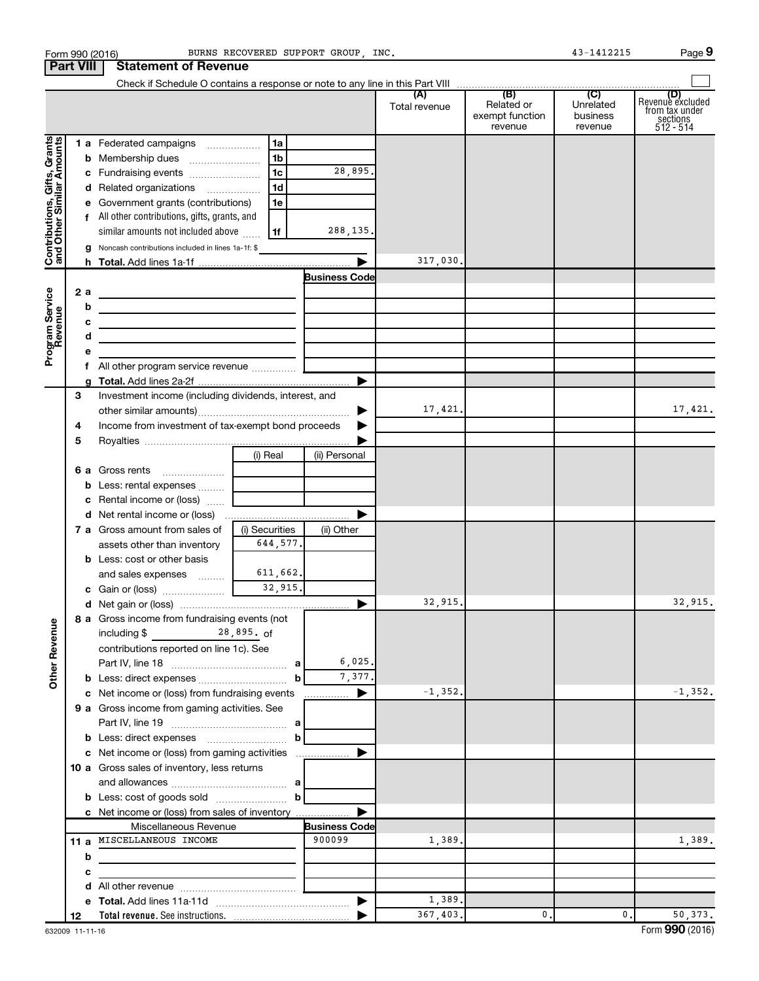|                                                           |                  | Form 990 (2016)                                                                           | BURNS RECOVERED SUPPORT GROUP, INC. |                       |               |                                          | 43-1412215                       | Page 9                                                      |
|-----------------------------------------------------------|------------------|-------------------------------------------------------------------------------------------|-------------------------------------|-----------------------|---------------|------------------------------------------|----------------------------------|-------------------------------------------------------------|
|                                                           | <b>Part VIII</b> | <b>Statement of Revenue</b>                                                               |                                     |                       |               |                                          |                                  |                                                             |
|                                                           |                  |                                                                                           |                                     |                       |               |                                          |                                  |                                                             |
|                                                           |                  |                                                                                           |                                     |                       | Total revenue | Related or<br>exempt function<br>revenue | Unrelated<br>business<br>revenue | Revenue excluded<br>from tax under<br>sections<br>512 - 514 |
|                                                           |                  | 1 a Federated campaigns                                                                   | 1a                                  |                       |               |                                          |                                  |                                                             |
| Contributions, Gifts, Grants<br>and Other Similar Amounts |                  |                                                                                           | 1b                                  |                       |               |                                          |                                  |                                                             |
|                                                           |                  | c Fundraising events                                                                      | 1 <sub>c</sub>                      | 28,895.               |               |                                          |                                  |                                                             |
|                                                           |                  | d Related organizations                                                                   | 1 <sub>d</sub>                      |                       |               |                                          |                                  |                                                             |
|                                                           |                  | e Government grants (contributions)                                                       | 1e                                  |                       |               |                                          |                                  |                                                             |
|                                                           |                  | f All other contributions, gifts, grants, and                                             |                                     |                       |               |                                          |                                  |                                                             |
|                                                           |                  | similar amounts not included above                                                        | 1f                                  | 288, 135.             |               |                                          |                                  |                                                             |
|                                                           |                  |                                                                                           |                                     |                       |               |                                          |                                  |                                                             |
|                                                           |                  | <b>g</b> Noncash contributions included in lines 1a-1f: \$                                |                                     |                       | 317,030.      |                                          |                                  |                                                             |
|                                                           |                  |                                                                                           |                                     | <b>Business Codel</b> |               |                                          |                                  |                                                             |
|                                                           |                  |                                                                                           |                                     |                       |               |                                          |                                  |                                                             |
|                                                           | 2a               | the control of the control of the control of the control of the control of                |                                     |                       |               |                                          |                                  |                                                             |
|                                                           | b                | <u> 1980 - Johann Barbara, martxa alemaniar arg</u>                                       |                                     |                       |               |                                          |                                  |                                                             |
|                                                           | c                | the control of the control of the control of the control of the control of the control of |                                     |                       |               |                                          |                                  |                                                             |
|                                                           | d                | <u> 1989 - Johann Barbara, martxa alemaniar arg</u>                                       |                                     |                       |               |                                          |                                  |                                                             |
| Program Service<br>Revenue                                | е                |                                                                                           |                                     |                       |               |                                          |                                  |                                                             |
|                                                           |                  |                                                                                           |                                     |                       |               |                                          |                                  |                                                             |
|                                                           |                  |                                                                                           |                                     |                       |               |                                          |                                  |                                                             |
|                                                           | З                | Investment income (including dividends, interest, and                                     |                                     |                       |               |                                          |                                  |                                                             |
|                                                           |                  |                                                                                           |                                     | ▶                     | 17,421.       |                                          |                                  | 17,421.                                                     |
|                                                           | 4                | Income from investment of tax-exempt bond proceeds                                        |                                     | ▶                     |               |                                          |                                  |                                                             |
|                                                           | 5                |                                                                                           |                                     |                       |               |                                          |                                  |                                                             |
|                                                           |                  |                                                                                           | (i) Real                            | (ii) Personal         |               |                                          |                                  |                                                             |
|                                                           |                  |                                                                                           |                                     |                       |               |                                          |                                  |                                                             |
|                                                           |                  | <b>b</b> Less: rental expenses                                                            |                                     |                       |               |                                          |                                  |                                                             |
|                                                           |                  | c Rental income or (loss)                                                                 |                                     |                       |               |                                          |                                  |                                                             |
|                                                           |                  |                                                                                           |                                     | ▶                     |               |                                          |                                  |                                                             |
|                                                           |                  | <b>7 a</b> Gross amount from sales of                                                     | (i) Securities                      | (ii) Other            |               |                                          |                                  |                                                             |
|                                                           |                  | assets other than inventory                                                               | 644,577.                            |                       |               |                                          |                                  |                                                             |
|                                                           |                  | <b>b</b> Less: cost or other basis                                                        |                                     |                       |               |                                          |                                  |                                                             |
|                                                           |                  | and sales expenses                                                                        | 611,662.                            |                       |               |                                          |                                  |                                                             |
|                                                           |                  | c Gain or (loss)                                                                          | 32.915.                             |                       |               |                                          |                                  |                                                             |
|                                                           |                  |                                                                                           |                                     | ▶                     | 32,915.       |                                          |                                  | 32,915.                                                     |
|                                                           |                  | 8 a Gross income from fundraising events (not                                             |                                     |                       |               |                                          |                                  |                                                             |
|                                                           |                  | $28,895.$ of<br>including \$                                                              |                                     |                       |               |                                          |                                  |                                                             |
|                                                           |                  | contributions reported on line 1c). See                                                   |                                     |                       |               |                                          |                                  |                                                             |
|                                                           |                  |                                                                                           |                                     | 6,025.                |               |                                          |                                  |                                                             |
| <b>Other Revenue</b>                                      |                  |                                                                                           |                                     | 7,377.                |               |                                          |                                  |                                                             |
|                                                           |                  | c Net income or (loss) from fundraising events                                            |                                     | ▶                     | $-1, 352.$    |                                          |                                  | $-1, 352.$                                                  |
|                                                           |                  | 9 a Gross income from gaming activities. See                                              |                                     |                       |               |                                          |                                  |                                                             |
|                                                           |                  |                                                                                           |                                     |                       |               |                                          |                                  |                                                             |
|                                                           |                  |                                                                                           |                                     |                       |               |                                          |                                  |                                                             |
|                                                           |                  | c Net income or (loss) from gaming activities                                             |                                     | ▶                     |               |                                          |                                  |                                                             |
|                                                           |                  | 10 a Gross sales of inventory, less returns                                               |                                     |                       |               |                                          |                                  |                                                             |
|                                                           |                  |                                                                                           |                                     |                       |               |                                          |                                  |                                                             |
|                                                           |                  |                                                                                           |                                     |                       |               |                                          |                                  |                                                             |
|                                                           |                  | c Net income or (loss) from sales of inventory                                            |                                     |                       |               |                                          |                                  |                                                             |
|                                                           |                  | Miscellaneous Revenue                                                                     |                                     | <b>Business Code</b>  |               |                                          |                                  |                                                             |
|                                                           |                  | 11 a MISCELLANEOUS INCOME                                                                 |                                     | 900099                | 1,389.        |                                          |                                  | 1,389.                                                      |
|                                                           | b                |                                                                                           |                                     |                       |               |                                          |                                  |                                                             |
|                                                           | c                |                                                                                           |                                     |                       |               |                                          |                                  |                                                             |
|                                                           | d                |                                                                                           |                                     |                       |               |                                          |                                  |                                                             |
|                                                           |                  |                                                                                           |                                     |                       | 1,389.        |                                          |                                  |                                                             |
|                                                           | 12               |                                                                                           |                                     |                       | 367,403.      | $\mathbf 0$ .                            | 0.                               | 50,373.                                                     |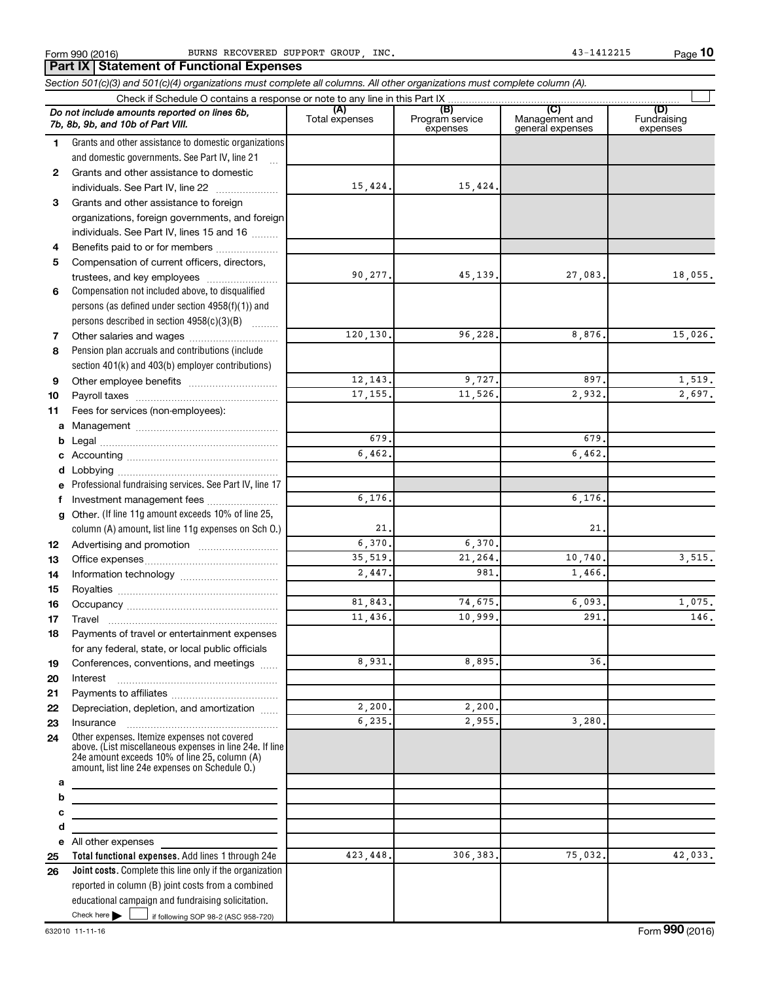**10**

|              | Check if Schedule O contains a response or note to any line in this Part IX                                                                                                                                 |                       |                                    |                                    |                                |
|--------------|-------------------------------------------------------------------------------------------------------------------------------------------------------------------------------------------------------------|-----------------------|------------------------------------|------------------------------------|--------------------------------|
|              | Do not include amounts reported on lines 6b,<br>7b, 8b, 9b, and 10b of Part VIII.                                                                                                                           | (A)<br>Total expenses | (B)<br>Program service<br>expenses | Management and<br>general expenses | (D)<br>Fundraising<br>expenses |
| 1.           | Grants and other assistance to domestic organizations                                                                                                                                                       |                       |                                    |                                    |                                |
|              | and domestic governments. See Part IV, line 21                                                                                                                                                              |                       |                                    |                                    |                                |
| $\mathbf{2}$ | Grants and other assistance to domestic                                                                                                                                                                     |                       |                                    |                                    |                                |
|              | individuals. See Part IV, line 22                                                                                                                                                                           | 15,424.               | 15,424.                            |                                    |                                |
| 3            | Grants and other assistance to foreign                                                                                                                                                                      |                       |                                    |                                    |                                |
|              | organizations, foreign governments, and foreign                                                                                                                                                             |                       |                                    |                                    |                                |
|              | individuals. See Part IV, lines 15 and 16                                                                                                                                                                   |                       |                                    |                                    |                                |
| 4            | Benefits paid to or for members                                                                                                                                                                             |                       |                                    |                                    |                                |
| 5            | Compensation of current officers, directors,                                                                                                                                                                |                       |                                    |                                    |                                |
|              | trustees, and key employees                                                                                                                                                                                 | 90,277.               | 45,139.                            | 27,083.                            | 18,055.                        |
| 6            | Compensation not included above, to disqualified                                                                                                                                                            |                       |                                    |                                    |                                |
|              | persons (as defined under section 4958(f)(1)) and                                                                                                                                                           |                       |                                    |                                    |                                |
|              | persons described in section 4958(c)(3)(B)                                                                                                                                                                  |                       |                                    |                                    |                                |
| 7            |                                                                                                                                                                                                             | 120,130.              | 96,228                             | 8,876                              | 15,026.                        |
| 8            | Pension plan accruals and contributions (include                                                                                                                                                            |                       |                                    |                                    |                                |
|              | section 401(k) and 403(b) employer contributions)                                                                                                                                                           |                       |                                    |                                    |                                |
| 9            |                                                                                                                                                                                                             | 12,143.               | 9,727                              | 897.                               | 1,519.                         |
| 10           |                                                                                                                                                                                                             | 17, 155.              | 11,526                             | 2,932.                             | 2,697.                         |
| 11           | Fees for services (non-employees):                                                                                                                                                                          |                       |                                    |                                    |                                |
| a            |                                                                                                                                                                                                             |                       |                                    |                                    |                                |
|              |                                                                                                                                                                                                             | 679.                  |                                    | 679                                |                                |
|              |                                                                                                                                                                                                             | 6,462,                |                                    | 6,462.                             |                                |
|              |                                                                                                                                                                                                             |                       |                                    |                                    |                                |
| е            | Professional fundraising services. See Part IV, line 17                                                                                                                                                     |                       |                                    |                                    |                                |
| f            | Investment management fees                                                                                                                                                                                  | 6,176.                |                                    | 6,176                              |                                |
|              | g Other. (If line 11g amount exceeds 10% of line 25,                                                                                                                                                        |                       |                                    |                                    |                                |
|              | column (A) amount, list line 11g expenses on Sch O.)                                                                                                                                                        | 21 <sub>1</sub>       |                                    | 21.                                |                                |
| 12           |                                                                                                                                                                                                             | 6,370.                | 6,370                              |                                    |                                |
| 13           |                                                                                                                                                                                                             | 35,519.               | 21,264                             | 10,740.                            | 3,515.                         |
| 14           |                                                                                                                                                                                                             | 2,447.                | 981                                | 1,466,                             |                                |
| 15           |                                                                                                                                                                                                             |                       |                                    |                                    |                                |
| 16           |                                                                                                                                                                                                             | 81,843.               | 74,675                             | 6,093.                             | 1,075.                         |
| 17           |                                                                                                                                                                                                             | 11,436.               | 10,999                             | 291                                | 146.                           |
| 18           | Payments of travel or entertainment expenses                                                                                                                                                                |                       |                                    |                                    |                                |
|              | for any federal, state, or local public officials                                                                                                                                                           |                       |                                    |                                    |                                |
| 19           | Conferences, conventions, and meetings                                                                                                                                                                      | 8,931.                | 8,895                              | 36.                                |                                |
| 20           | Interest                                                                                                                                                                                                    |                       |                                    |                                    |                                |
| 21           |                                                                                                                                                                                                             |                       |                                    |                                    |                                |
| 22           | Depreciation, depletion, and amortization                                                                                                                                                                   | 2,200.                | 2,200.                             |                                    |                                |
| 23           | Insurance                                                                                                                                                                                                   | 6,235.                | 2,955.                             | 3,280.                             |                                |
| 24           | Other expenses. Itemize expenses not covered<br>above. (List miscellaneous expenses in line 24e. If line<br>24e amount exceeds 10% of line 25, column (A)<br>amount, list line 24e expenses on Schedule O.) |                       |                                    |                                    |                                |
| a            |                                                                                                                                                                                                             |                       |                                    |                                    |                                |
| b            | the control of the control of the control of the control of the control of                                                                                                                                  |                       |                                    |                                    |                                |
| c            | the control of the control of the control of the control of the control of                                                                                                                                  |                       |                                    |                                    |                                |
| d            |                                                                                                                                                                                                             |                       |                                    |                                    |                                |
|              | e All other expenses                                                                                                                                                                                        |                       |                                    |                                    |                                |
| 25           | Total functional expenses. Add lines 1 through 24e                                                                                                                                                          | 423, 448.             | 306,383.                           | 75,032.                            | 42,033.                        |
| 26           | <b>Joint costs.</b> Complete this line only if the organization                                                                                                                                             |                       |                                    |                                    |                                |
|              | reported in column (B) joint costs from a combined                                                                                                                                                          |                       |                                    |                                    |                                |
|              | educational campaign and fundraising solicitation.                                                                                                                                                          |                       |                                    |                                    |                                |
|              | Check here       if following SOP 98-2 (ASC 958-720)                                                                                                                                                        |                       |                                    |                                    |                                |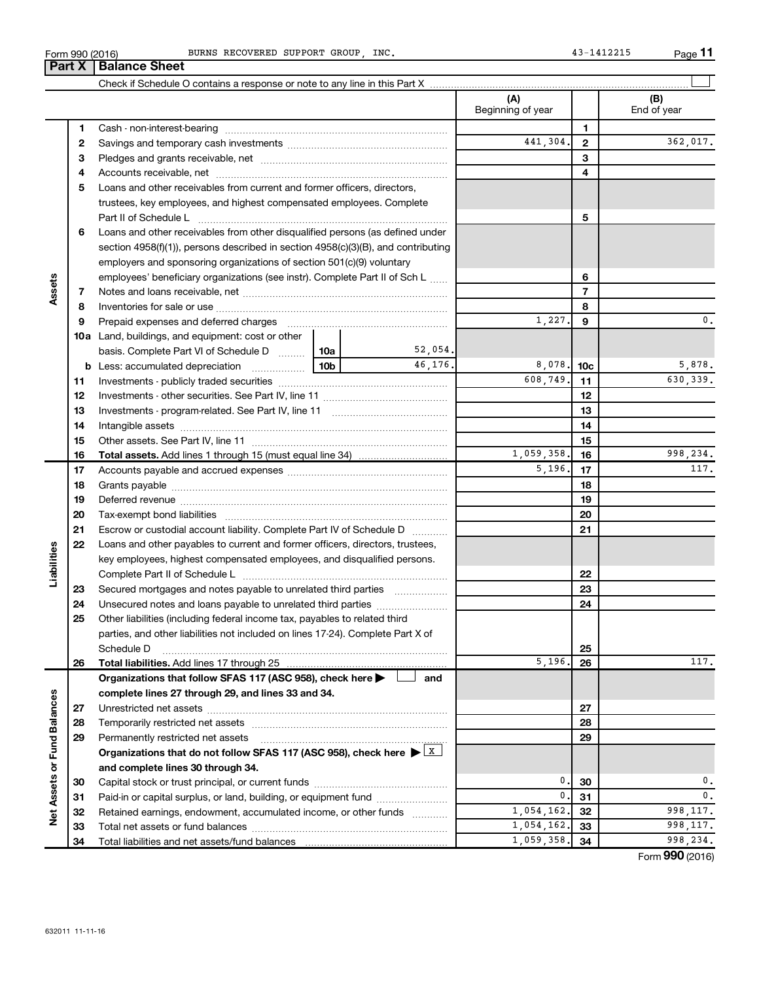| BURNS RECOVERED SUPPORT GROUP, INC. |  |
|-------------------------------------|--|
|-------------------------------------|--|

|                             |    |                                                                                                                                                                                                                                |            | (A)<br>Beginning of year |                 | (B)<br>End of year |
|-----------------------------|----|--------------------------------------------------------------------------------------------------------------------------------------------------------------------------------------------------------------------------------|------------|--------------------------|-----------------|--------------------|
|                             | 1  |                                                                                                                                                                                                                                |            |                          | 1               |                    |
|                             | 2  |                                                                                                                                                                                                                                |            | 441,304.                 | 2               | 362,017.           |
|                             | 3  |                                                                                                                                                                                                                                |            |                          | 3               |                    |
|                             | 4  |                                                                                                                                                                                                                                |            |                          | 4               |                    |
|                             | 5  | Loans and other receivables from current and former officers, directors,                                                                                                                                                       |            |                          |                 |                    |
|                             |    | trustees, key employees, and highest compensated employees. Complete                                                                                                                                                           |            |                          |                 |                    |
|                             |    |                                                                                                                                                                                                                                |            |                          | 5               |                    |
|                             | 6  | Loans and other receivables from other disqualified persons (as defined under                                                                                                                                                  |            |                          |                 |                    |
|                             |    | section 4958(f)(1)), persons described in section 4958(c)(3)(B), and contributing                                                                                                                                              |            |                          |                 |                    |
|                             |    | employers and sponsoring organizations of section 501(c)(9) voluntary                                                                                                                                                          |            |                          |                 |                    |
|                             |    | employees' beneficiary organizations (see instr). Complete Part II of Sch L                                                                                                                                                    |            |                          | 6               |                    |
| Assets                      | 7  |                                                                                                                                                                                                                                |            |                          | $\overline{7}$  |                    |
|                             | 8  |                                                                                                                                                                                                                                |            |                          | 8               |                    |
|                             | 9  | Prepaid expenses and deferred charges [11] [11] prepaid expenses and deferred charges [11] [11] minimum and the Prepaid expenses and deferred charges [11] minimum and the Prepaid experiment of Prepaid experiment and the Pr |            | 1,227.                   | 9               | 0.                 |
|                             |    | 10a Land, buildings, and equipment: cost or other                                                                                                                                                                              |            |                          |                 |                    |
|                             |    | 10a  <br>basis. Complete Part VI of Schedule D                                                                                                                                                                                 | 52,054.    |                          |                 |                    |
|                             |    | 10 <sub>b</sub><br><b>b</b> Less: accumulated depreciation                                                                                                                                                                     | 46.176.    | 8,078.                   | 10 <sub>c</sub> | 5,878.             |
|                             | 11 |                                                                                                                                                                                                                                |            | 608,749.                 | 11              | 630,339.           |
|                             | 12 |                                                                                                                                                                                                                                |            |                          | 12              |                    |
|                             | 13 |                                                                                                                                                                                                                                |            | 13                       |                 |                    |
|                             | 14 |                                                                                                                                                                                                                                |            | 14                       |                 |                    |
|                             | 15 |                                                                                                                                                                                                                                |            | 15                       |                 |                    |
|                             | 16 |                                                                                                                                                                                                                                | 1,059,358. | 16                       | 998,234.        |                    |
|                             | 17 |                                                                                                                                                                                                                                |            | 5,196.                   | 17              | 117.               |
|                             | 18 |                                                                                                                                                                                                                                |            |                          | 18              |                    |
|                             | 19 |                                                                                                                                                                                                                                |            |                          | 19              |                    |
|                             | 20 |                                                                                                                                                                                                                                |            |                          | 20              |                    |
|                             | 21 | Escrow or custodial account liability. Complete Part IV of Schedule D                                                                                                                                                          |            |                          | 21              |                    |
|                             | 22 | Loans and other payables to current and former officers, directors, trustees,                                                                                                                                                  |            |                          |                 |                    |
| Liabilities                 |    | key employees, highest compensated employees, and disqualified persons.                                                                                                                                                        |            |                          |                 |                    |
|                             |    |                                                                                                                                                                                                                                |            |                          | 22              |                    |
|                             | 23 | Secured mortgages and notes payable to unrelated third parties                                                                                                                                                                 |            |                          | 23              |                    |
|                             | 24 | Unsecured notes and loans payable to unrelated third parties                                                                                                                                                                   |            |                          | 24              |                    |
|                             | 25 | Other liabilities (including federal income tax, payables to related third                                                                                                                                                     |            |                          |                 |                    |
|                             |    | parties, and other liabilities not included on lines 17-24). Complete Part X of                                                                                                                                                |            |                          |                 |                    |
|                             |    | Schedule D                                                                                                                                                                                                                     |            |                          | 25              |                    |
|                             | 26 |                                                                                                                                                                                                                                |            | 5,196.                   | 26              | 117.               |
|                             |    | Organizations that follow SFAS 117 (ASC 958), check here >                                                                                                                                                                     | and        |                          |                 |                    |
|                             |    | complete lines 27 through 29, and lines 33 and 34.                                                                                                                                                                             |            |                          |                 |                    |
|                             | 27 |                                                                                                                                                                                                                                |            |                          | 27              |                    |
|                             | 28 |                                                                                                                                                                                                                                |            |                          | 28              |                    |
|                             | 29 | Permanently restricted net assets                                                                                                                                                                                              |            |                          | 29              |                    |
|                             |    | Organizations that do not follow SFAS 117 (ASC 958), check here $\blacktriangleright \lfloor x \rfloor$                                                                                                                        |            |                          |                 |                    |
|                             |    | and complete lines 30 through 34.                                                                                                                                                                                              |            |                          |                 |                    |
|                             | 30 |                                                                                                                                                                                                                                |            | 0.                       | 30              | 0.                 |
|                             | 31 | Paid-in or capital surplus, or land, building, or equipment fund                                                                                                                                                               |            | 0.                       | 31              | 0.                 |
| Net Assets or Fund Balances | 32 | Retained earnings, endowment, accumulated income, or other funds                                                                                                                                                               |            | 1,054,162.               | 32              | 998, 117.          |
|                             | 33 |                                                                                                                                                                                                                                |            | 1,054,162.               | 33              | 998, 117.          |
|                             | 34 |                                                                                                                                                                                                                                |            | 1,059,358.               | 34              | 998,234.           |

BURNS RECOVERED SUPPORT GROUP, INC. 43-1412215

**11**

Form (2016) **990**

Form 990 (2016) **Part X Balance Sheet**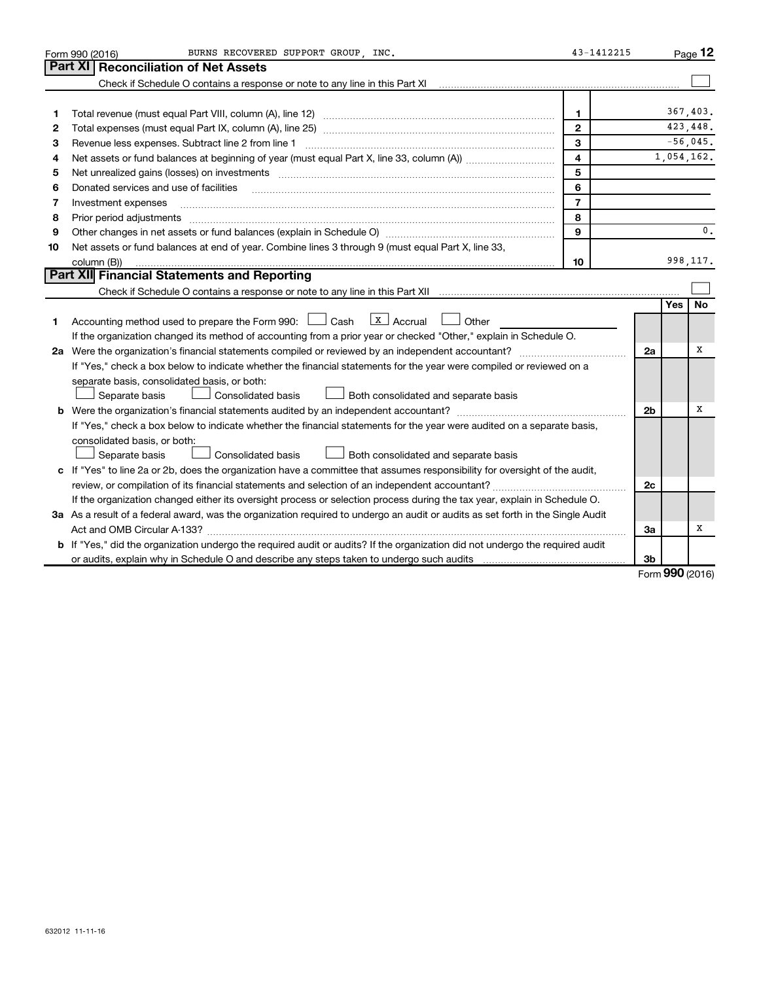| Part XI<br><b>Reconciliation of Net Assets</b><br>Check if Schedule O contains a response or note to any line in this Part XI<br>$\mathbf{1}$<br>1                                                                                       | 367.403.<br>423, 448.<br>$-56,045.$<br>1,054,162. |
|------------------------------------------------------------------------------------------------------------------------------------------------------------------------------------------------------------------------------------------|---------------------------------------------------|
|                                                                                                                                                                                                                                          |                                                   |
|                                                                                                                                                                                                                                          |                                                   |
|                                                                                                                                                                                                                                          |                                                   |
|                                                                                                                                                                                                                                          |                                                   |
| $\mathbf{2}$<br>2                                                                                                                                                                                                                        |                                                   |
| 3<br>Revenue less expenses. Subtract line 2 from line 1<br>З                                                                                                                                                                             |                                                   |
| $\overline{\mathbf{4}}$<br>4                                                                                                                                                                                                             |                                                   |
| 5<br>Net unrealized gains (losses) on investments [111] www.marting.community.community.community.community.communi<br>5                                                                                                                 |                                                   |
| 6<br>Donated services and use of facilities<br>6                                                                                                                                                                                         |                                                   |
| $\overline{7}$<br>Investment expenses<br>7                                                                                                                                                                                               |                                                   |
| 8<br>Prior period adjustments [111] matter contract and adjustments and account and account and adjustments and account and account and account and account and account and account and account and account and account account and<br>8 |                                                   |
| 9<br>9                                                                                                                                                                                                                                   | $\mathbf{0}$ .                                    |
| Net assets or fund balances at end of year. Combine lines 3 through 9 (must equal Part X, line 33,<br>10                                                                                                                                 |                                                   |
| column (B))<br>10                                                                                                                                                                                                                        | 998, 117.                                         |
| Part XII Financial Statements and Reporting                                                                                                                                                                                              |                                                   |
|                                                                                                                                                                                                                                          |                                                   |
|                                                                                                                                                                                                                                          | No<br>Yes                                         |
| $\lfloor x \rfloor$ Accrual<br>Accounting method used to prepare the Form 990: [130] Cash<br>Other<br>1.                                                                                                                                 |                                                   |
| If the organization changed its method of accounting from a prior year or checked "Other," explain in Schedule O.                                                                                                                        |                                                   |
| 2a Were the organization's financial statements compiled or reviewed by an independent accountant?<br>2a                                                                                                                                 | x                                                 |
| If "Yes," check a box below to indicate whether the financial statements for the year were compiled or reviewed on a                                                                                                                     |                                                   |
| separate basis, consolidated basis, or both:                                                                                                                                                                                             |                                                   |
| Separate basis<br>Consolidated basis<br>Both consolidated and separate basis                                                                                                                                                             |                                                   |
| <b>b</b> Were the organization's financial statements audited by an independent accountant?<br>2 <sub>b</sub>                                                                                                                            | x                                                 |
| If "Yes," check a box below to indicate whether the financial statements for the year were audited on a separate basis,                                                                                                                  |                                                   |
| consolidated basis, or both:                                                                                                                                                                                                             |                                                   |
| Consolidated basis<br>Separate basis<br>Both consolidated and separate basis                                                                                                                                                             |                                                   |
| c If "Yes" to line 2a or 2b, does the organization have a committee that assumes responsibility for oversight of the audit,                                                                                                              |                                                   |
| 2c                                                                                                                                                                                                                                       |                                                   |
| If the organization changed either its oversight process or selection process during the tax year, explain in Schedule O.                                                                                                                |                                                   |
| 3a As a result of a federal award, was the organization required to undergo an audit or audits as set forth in the Single Audit                                                                                                          |                                                   |
| За                                                                                                                                                                                                                                       | х                                                 |
| b If "Yes," did the organization undergo the required audit or audits? If the organization did not undergo the required audit                                                                                                            |                                                   |
| 3b                                                                                                                                                                                                                                       | <b>000</b>                                        |

Form (2016) **990**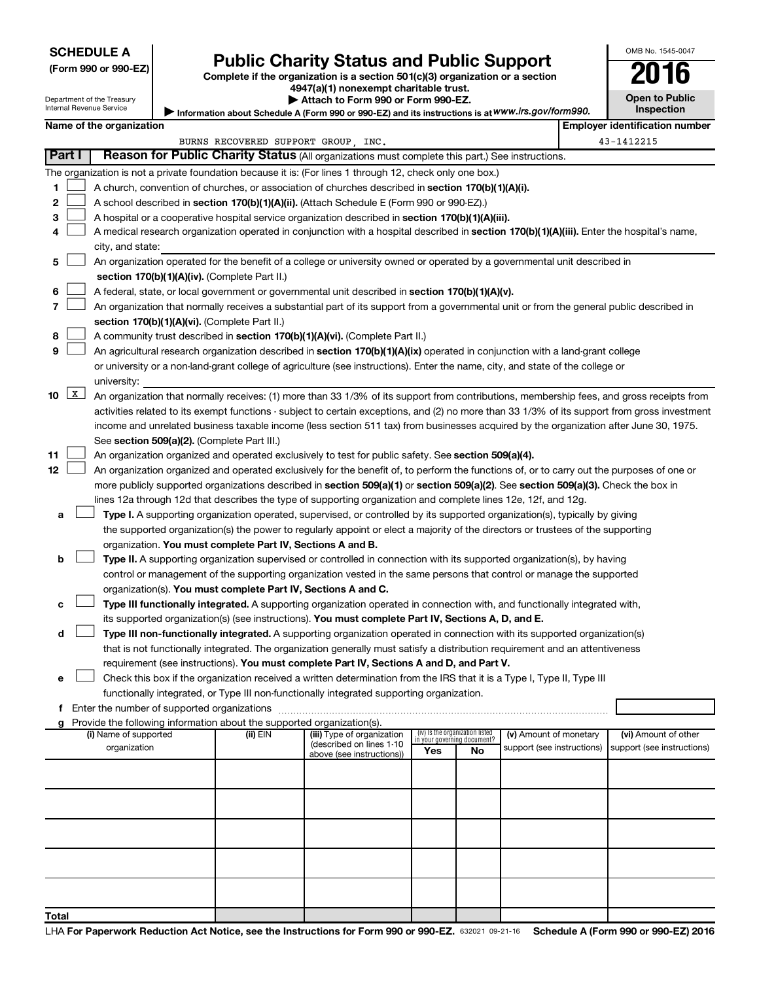### **SCHEDULE A**

Department of the Treasury Internal Revenue Service

## Form 990 or 990-EZ) **Public Charity Status and Public Support**<br>
Complete if the organization is a section 501(c)(3) organization or a section<br> **2016**

**4947(a)(1) nonexempt charitable trust. | Attach to Form 990 or Form 990-EZ.** 

| LU.                   | IJ |  |  |  |  |
|-----------------------|----|--|--|--|--|
| <b>Open to Public</b> |    |  |  |  |  |
| <b>Inspection</b>     |    |  |  |  |  |

OMB No. 1545-0047

Information about Schedule A (Form 990 or 990-EZ) and its instructions is at WWW.irs.gov/form990.

|                    |                                                                                                                           | Name of the organization                                                                                                                      |          |                                                       |                                                                |    |                            |  | <b>Employer identification number</b> |  |
|--------------------|---------------------------------------------------------------------------------------------------------------------------|-----------------------------------------------------------------------------------------------------------------------------------------------|----------|-------------------------------------------------------|----------------------------------------------------------------|----|----------------------------|--|---------------------------------------|--|
|                    | 43-1412215<br>BURNS RECOVERED SUPPORT GROUP, INC.                                                                         |                                                                                                                                               |          |                                                       |                                                                |    |                            |  |                                       |  |
|                    | Part I<br>Reason for Public Charity Status (All organizations must complete this part.) See instructions.                 |                                                                                                                                               |          |                                                       |                                                                |    |                            |  |                                       |  |
|                    | The organization is not a private foundation because it is: (For lines 1 through 12, check only one box.)                 |                                                                                                                                               |          |                                                       |                                                                |    |                            |  |                                       |  |
| 1                  |                                                                                                                           | A church, convention of churches, or association of churches described in section 170(b)(1)(A)(i).                                            |          |                                                       |                                                                |    |                            |  |                                       |  |
| 2                  |                                                                                                                           | A school described in section 170(b)(1)(A)(ii). (Attach Schedule E (Form 990 or 990-EZ).)                                                     |          |                                                       |                                                                |    |                            |  |                                       |  |
| з                  |                                                                                                                           | A hospital or a cooperative hospital service organization described in section 170(b)(1)(A)(iii).                                             |          |                                                       |                                                                |    |                            |  |                                       |  |
|                    |                                                                                                                           | A medical research organization operated in conjunction with a hospital described in section 170(b)(1)(A)(iii). Enter the hospital's name,    |          |                                                       |                                                                |    |                            |  |                                       |  |
|                    |                                                                                                                           | city, and state:                                                                                                                              |          |                                                       |                                                                |    |                            |  |                                       |  |
| 5                  | An organization operated for the benefit of a college or university owned or operated by a governmental unit described in |                                                                                                                                               |          |                                                       |                                                                |    |                            |  |                                       |  |
|                    |                                                                                                                           | section 170(b)(1)(A)(iv). (Complete Part II.)                                                                                                 |          |                                                       |                                                                |    |                            |  |                                       |  |
| 6                  |                                                                                                                           | A federal, state, or local government or governmental unit described in section 170(b)(1)(A)(v).                                              |          |                                                       |                                                                |    |                            |  |                                       |  |
|                    |                                                                                                                           | An organization that normally receives a substantial part of its support from a governmental unit or from the general public described in     |          |                                                       |                                                                |    |                            |  |                                       |  |
|                    |                                                                                                                           | section 170(b)(1)(A)(vi). (Complete Part II.)                                                                                                 |          |                                                       |                                                                |    |                            |  |                                       |  |
| 8                  |                                                                                                                           | A community trust described in section 170(b)(1)(A)(vi). (Complete Part II.)                                                                  |          |                                                       |                                                                |    |                            |  |                                       |  |
| 9                  |                                                                                                                           | An agricultural research organization described in section 170(b)(1)(A)(ix) operated in conjunction with a land-grant college                 |          |                                                       |                                                                |    |                            |  |                                       |  |
|                    |                                                                                                                           | or university or a non-land-grant college of agriculture (see instructions). Enter the name, city, and state of the college or                |          |                                                       |                                                                |    |                            |  |                                       |  |
|                    |                                                                                                                           | university:                                                                                                                                   |          |                                                       |                                                                |    |                            |  |                                       |  |
| 10                 | $\mathbf{x}$                                                                                                              | An organization that normally receives: (1) more than 33 1/3% of its support from contributions, membership fees, and gross receipts from     |          |                                                       |                                                                |    |                            |  |                                       |  |
|                    |                                                                                                                           | activities related to its exempt functions - subject to certain exceptions, and (2) no more than 33 1/3% of its support from gross investment |          |                                                       |                                                                |    |                            |  |                                       |  |
|                    |                                                                                                                           | income and unrelated business taxable income (less section 511 tax) from businesses acquired by the organization after June 30, 1975.         |          |                                                       |                                                                |    |                            |  |                                       |  |
|                    |                                                                                                                           | See section 509(a)(2). (Complete Part III.)                                                                                                   |          |                                                       |                                                                |    |                            |  |                                       |  |
| 11                 |                                                                                                                           | An organization organized and operated exclusively to test for public safety. See section 509(a)(4).                                          |          |                                                       |                                                                |    |                            |  |                                       |  |
| 12                 |                                                                                                                           | An organization organized and operated exclusively for the benefit of, to perform the functions of, or to carry out the purposes of one or    |          |                                                       |                                                                |    |                            |  |                                       |  |
|                    |                                                                                                                           | more publicly supported organizations described in section 509(a)(1) or section 509(a)(2). See section 509(a)(3). Check the box in            |          |                                                       |                                                                |    |                            |  |                                       |  |
|                    |                                                                                                                           | lines 12a through 12d that describes the type of supporting organization and complete lines 12e, 12f, and 12g.                                |          |                                                       |                                                                |    |                            |  |                                       |  |
| а                  |                                                                                                                           | Type I. A supporting organization operated, supervised, or controlled by its supported organization(s), typically by giving                   |          |                                                       |                                                                |    |                            |  |                                       |  |
|                    |                                                                                                                           | the supported organization(s) the power to regularly appoint or elect a majority of the directors or trustees of the supporting               |          |                                                       |                                                                |    |                            |  |                                       |  |
|                    |                                                                                                                           | organization. You must complete Part IV, Sections A and B.                                                                                    |          |                                                       |                                                                |    |                            |  |                                       |  |
| b                  |                                                                                                                           | Type II. A supporting organization supervised or controlled in connection with its supported organization(s), by having                       |          |                                                       |                                                                |    |                            |  |                                       |  |
|                    |                                                                                                                           | control or management of the supporting organization vested in the same persons that control or manage the supported                          |          |                                                       |                                                                |    |                            |  |                                       |  |
|                    |                                                                                                                           | organization(s). You must complete Part IV, Sections A and C.                                                                                 |          |                                                       |                                                                |    |                            |  |                                       |  |
|                    |                                                                                                                           | Type III functionally integrated. A supporting organization operated in connection with, and functionally integrated with,                    |          |                                                       |                                                                |    |                            |  |                                       |  |
|                    |                                                                                                                           | its supported organization(s) (see instructions). You must complete Part IV, Sections A, D, and E.                                            |          |                                                       |                                                                |    |                            |  |                                       |  |
| d                  |                                                                                                                           | Type III non-functionally integrated. A supporting organization operated in connection with its supported organization(s)                     |          |                                                       |                                                                |    |                            |  |                                       |  |
|                    |                                                                                                                           | that is not functionally integrated. The organization generally must satisfy a distribution requirement and an attentiveness                  |          |                                                       |                                                                |    |                            |  |                                       |  |
|                    |                                                                                                                           | requirement (see instructions). You must complete Part IV, Sections A and D, and Part V.                                                      |          |                                                       |                                                                |    |                            |  |                                       |  |
| е                  |                                                                                                                           | Check this box if the organization received a written determination from the IRS that it is a Type I, Type II, Type III                       |          |                                                       |                                                                |    |                            |  |                                       |  |
|                    |                                                                                                                           | functionally integrated, or Type III non-functionally integrated supporting organization.                                                     |          |                                                       |                                                                |    |                            |  |                                       |  |
|                    |                                                                                                                           | f Enter the number of supported organizations                                                                                                 |          |                                                       |                                                                |    |                            |  |                                       |  |
|                    |                                                                                                                           | Provide the following information about the supported organization(s).                                                                        |          |                                                       |                                                                |    |                            |  |                                       |  |
|                    |                                                                                                                           | (i) Name of supported                                                                                                                         | (ii) EIN | (iii) Type of organization                            | (iv) Is the organization listed<br>in your governing document? |    | (v) Amount of monetary     |  | (vi) Amount of other                  |  |
|                    |                                                                                                                           | organization                                                                                                                                  |          | (described on lines 1-10<br>above (see instructions)) | Yes                                                            | No | support (see instructions) |  | support (see instructions)            |  |
|                    |                                                                                                                           |                                                                                                                                               |          |                                                       |                                                                |    |                            |  |                                       |  |
|                    |                                                                                                                           |                                                                                                                                               |          |                                                       |                                                                |    |                            |  |                                       |  |
|                    |                                                                                                                           |                                                                                                                                               |          |                                                       |                                                                |    |                            |  |                                       |  |
|                    |                                                                                                                           |                                                                                                                                               |          |                                                       |                                                                |    |                            |  |                                       |  |
|                    |                                                                                                                           |                                                                                                                                               |          |                                                       |                                                                |    |                            |  |                                       |  |
|                    |                                                                                                                           |                                                                                                                                               |          |                                                       |                                                                |    |                            |  |                                       |  |
|                    |                                                                                                                           |                                                                                                                                               |          |                                                       |                                                                |    |                            |  |                                       |  |
|                    |                                                                                                                           |                                                                                                                                               |          |                                                       |                                                                |    |                            |  |                                       |  |
|                    |                                                                                                                           |                                                                                                                                               |          |                                                       |                                                                |    |                            |  |                                       |  |
|                    |                                                                                                                           |                                                                                                                                               |          |                                                       |                                                                |    |                            |  |                                       |  |
| $T_{\text{shell}}$ |                                                                                                                           |                                                                                                                                               |          |                                                       |                                                                |    |                            |  |                                       |  |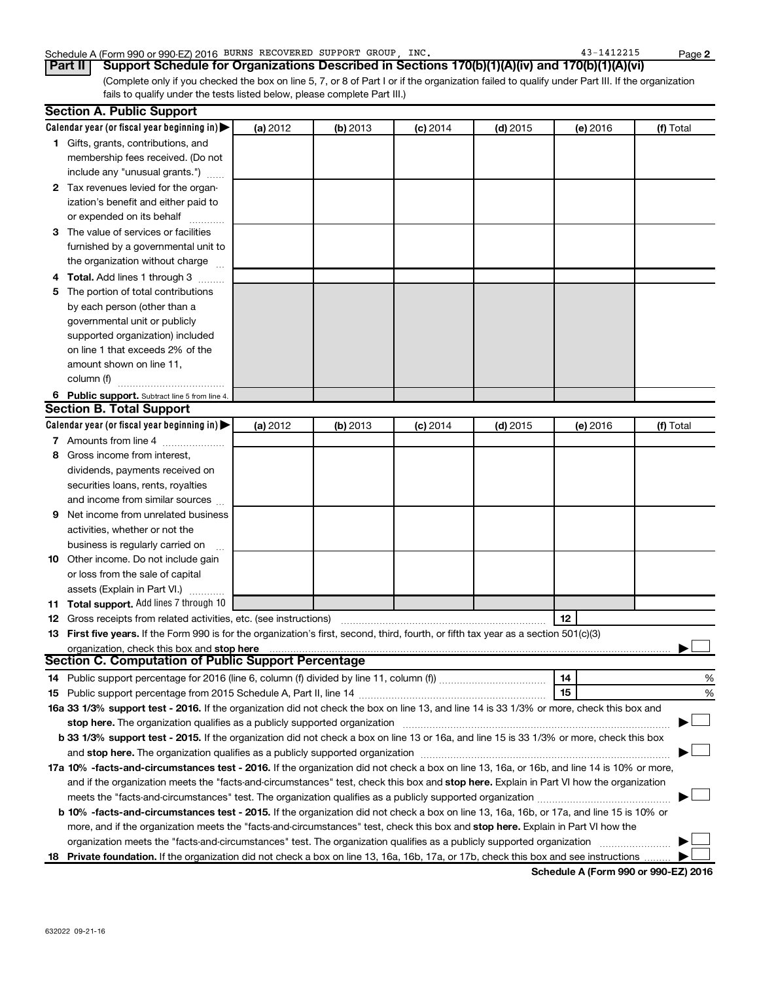### Schedule A (Form 990 or 990-EZ) 2016 BURNS RECOVERED SUPPORT GROUP, INC. 43-1412215 Page

(Complete only if you checked the box on line 5, 7, or 8 of Part I or if the organization failed to qualify under Part III. If the organization fails to qualify under the tests listed below, please complete Part III.) **Part II Support Schedule for Organizations Described in Sections 170(b)(1)(A)(iv) and 170(b)(1)(A)(vi)**

| Calendar year (or fiscal year beginning in)<br>(a) 2012<br>(b) 2013<br>$(d)$ 2015<br>(e) 2016<br>(f) Total<br>$(c)$ 2014<br>1 Gifts, grants, contributions, and<br>membership fees received. (Do not<br>include any "unusual grants.")<br>2 Tax revenues levied for the organ-<br>ization's benefit and either paid to<br>or expended on its behalf<br>3 The value of services or facilities<br>furnished by a governmental unit to<br>the organization without charge<br>4 Total. Add lines 1 through 3<br>The portion of total contributions<br>5.<br>by each person (other than a<br>governmental unit or publicly<br>supported organization) included<br>on line 1 that exceeds 2% of the<br>amount shown on line 11,<br>column (f)<br>6 Public support. Subtract line 5 from line 4.<br><b>Section B. Total Support</b><br>Calendar year (or fiscal year beginning in)<br>(a) 2012<br>(b) 2013<br>$(d)$ 2015<br>(f) Total<br>$(c)$ 2014<br>(e) 2016<br>7 Amounts from line 4<br>Gross income from interest,<br>8<br>dividends, payments received on<br>securities loans, rents, royalties<br>and income from similar sources<br>Net income from unrelated business<br>9.<br>activities, whether or not the<br>business is regularly carried on |   |
|-----------------------------------------------------------------------------------------------------------------------------------------------------------------------------------------------------------------------------------------------------------------------------------------------------------------------------------------------------------------------------------------------------------------------------------------------------------------------------------------------------------------------------------------------------------------------------------------------------------------------------------------------------------------------------------------------------------------------------------------------------------------------------------------------------------------------------------------------------------------------------------------------------------------------------------------------------------------------------------------------------------------------------------------------------------------------------------------------------------------------------------------------------------------------------------------------------------------------------------------------------|---|
|                                                                                                                                                                                                                                                                                                                                                                                                                                                                                                                                                                                                                                                                                                                                                                                                                                                                                                                                                                                                                                                                                                                                                                                                                                                     |   |
|                                                                                                                                                                                                                                                                                                                                                                                                                                                                                                                                                                                                                                                                                                                                                                                                                                                                                                                                                                                                                                                                                                                                                                                                                                                     |   |
|                                                                                                                                                                                                                                                                                                                                                                                                                                                                                                                                                                                                                                                                                                                                                                                                                                                                                                                                                                                                                                                                                                                                                                                                                                                     |   |
|                                                                                                                                                                                                                                                                                                                                                                                                                                                                                                                                                                                                                                                                                                                                                                                                                                                                                                                                                                                                                                                                                                                                                                                                                                                     |   |
|                                                                                                                                                                                                                                                                                                                                                                                                                                                                                                                                                                                                                                                                                                                                                                                                                                                                                                                                                                                                                                                                                                                                                                                                                                                     |   |
|                                                                                                                                                                                                                                                                                                                                                                                                                                                                                                                                                                                                                                                                                                                                                                                                                                                                                                                                                                                                                                                                                                                                                                                                                                                     |   |
|                                                                                                                                                                                                                                                                                                                                                                                                                                                                                                                                                                                                                                                                                                                                                                                                                                                                                                                                                                                                                                                                                                                                                                                                                                                     |   |
|                                                                                                                                                                                                                                                                                                                                                                                                                                                                                                                                                                                                                                                                                                                                                                                                                                                                                                                                                                                                                                                                                                                                                                                                                                                     |   |
|                                                                                                                                                                                                                                                                                                                                                                                                                                                                                                                                                                                                                                                                                                                                                                                                                                                                                                                                                                                                                                                                                                                                                                                                                                                     |   |
|                                                                                                                                                                                                                                                                                                                                                                                                                                                                                                                                                                                                                                                                                                                                                                                                                                                                                                                                                                                                                                                                                                                                                                                                                                                     |   |
|                                                                                                                                                                                                                                                                                                                                                                                                                                                                                                                                                                                                                                                                                                                                                                                                                                                                                                                                                                                                                                                                                                                                                                                                                                                     |   |
|                                                                                                                                                                                                                                                                                                                                                                                                                                                                                                                                                                                                                                                                                                                                                                                                                                                                                                                                                                                                                                                                                                                                                                                                                                                     |   |
|                                                                                                                                                                                                                                                                                                                                                                                                                                                                                                                                                                                                                                                                                                                                                                                                                                                                                                                                                                                                                                                                                                                                                                                                                                                     |   |
|                                                                                                                                                                                                                                                                                                                                                                                                                                                                                                                                                                                                                                                                                                                                                                                                                                                                                                                                                                                                                                                                                                                                                                                                                                                     |   |
|                                                                                                                                                                                                                                                                                                                                                                                                                                                                                                                                                                                                                                                                                                                                                                                                                                                                                                                                                                                                                                                                                                                                                                                                                                                     |   |
|                                                                                                                                                                                                                                                                                                                                                                                                                                                                                                                                                                                                                                                                                                                                                                                                                                                                                                                                                                                                                                                                                                                                                                                                                                                     |   |
|                                                                                                                                                                                                                                                                                                                                                                                                                                                                                                                                                                                                                                                                                                                                                                                                                                                                                                                                                                                                                                                                                                                                                                                                                                                     |   |
|                                                                                                                                                                                                                                                                                                                                                                                                                                                                                                                                                                                                                                                                                                                                                                                                                                                                                                                                                                                                                                                                                                                                                                                                                                                     |   |
|                                                                                                                                                                                                                                                                                                                                                                                                                                                                                                                                                                                                                                                                                                                                                                                                                                                                                                                                                                                                                                                                                                                                                                                                                                                     |   |
|                                                                                                                                                                                                                                                                                                                                                                                                                                                                                                                                                                                                                                                                                                                                                                                                                                                                                                                                                                                                                                                                                                                                                                                                                                                     |   |
|                                                                                                                                                                                                                                                                                                                                                                                                                                                                                                                                                                                                                                                                                                                                                                                                                                                                                                                                                                                                                                                                                                                                                                                                                                                     |   |
|                                                                                                                                                                                                                                                                                                                                                                                                                                                                                                                                                                                                                                                                                                                                                                                                                                                                                                                                                                                                                                                                                                                                                                                                                                                     |   |
|                                                                                                                                                                                                                                                                                                                                                                                                                                                                                                                                                                                                                                                                                                                                                                                                                                                                                                                                                                                                                                                                                                                                                                                                                                                     |   |
|                                                                                                                                                                                                                                                                                                                                                                                                                                                                                                                                                                                                                                                                                                                                                                                                                                                                                                                                                                                                                                                                                                                                                                                                                                                     |   |
|                                                                                                                                                                                                                                                                                                                                                                                                                                                                                                                                                                                                                                                                                                                                                                                                                                                                                                                                                                                                                                                                                                                                                                                                                                                     |   |
|                                                                                                                                                                                                                                                                                                                                                                                                                                                                                                                                                                                                                                                                                                                                                                                                                                                                                                                                                                                                                                                                                                                                                                                                                                                     |   |
|                                                                                                                                                                                                                                                                                                                                                                                                                                                                                                                                                                                                                                                                                                                                                                                                                                                                                                                                                                                                                                                                                                                                                                                                                                                     |   |
|                                                                                                                                                                                                                                                                                                                                                                                                                                                                                                                                                                                                                                                                                                                                                                                                                                                                                                                                                                                                                                                                                                                                                                                                                                                     |   |
|                                                                                                                                                                                                                                                                                                                                                                                                                                                                                                                                                                                                                                                                                                                                                                                                                                                                                                                                                                                                                                                                                                                                                                                                                                                     |   |
| 10 Other income. Do not include gain                                                                                                                                                                                                                                                                                                                                                                                                                                                                                                                                                                                                                                                                                                                                                                                                                                                                                                                                                                                                                                                                                                                                                                                                                |   |
| or loss from the sale of capital                                                                                                                                                                                                                                                                                                                                                                                                                                                                                                                                                                                                                                                                                                                                                                                                                                                                                                                                                                                                                                                                                                                                                                                                                    |   |
| assets (Explain in Part VI.)                                                                                                                                                                                                                                                                                                                                                                                                                                                                                                                                                                                                                                                                                                                                                                                                                                                                                                                                                                                                                                                                                                                                                                                                                        |   |
| 11 Total support. Add lines 7 through 10                                                                                                                                                                                                                                                                                                                                                                                                                                                                                                                                                                                                                                                                                                                                                                                                                                                                                                                                                                                                                                                                                                                                                                                                            |   |
| 12<br><b>12</b> Gross receipts from related activities, etc. (see instructions)                                                                                                                                                                                                                                                                                                                                                                                                                                                                                                                                                                                                                                                                                                                                                                                                                                                                                                                                                                                                                                                                                                                                                                     |   |
| 13 First five years. If the Form 990 is for the organization's first, second, third, fourth, or fifth tax year as a section 501(c)(3)                                                                                                                                                                                                                                                                                                                                                                                                                                                                                                                                                                                                                                                                                                                                                                                                                                                                                                                                                                                                                                                                                                               |   |
| organization, check this box and stop here                                                                                                                                                                                                                                                                                                                                                                                                                                                                                                                                                                                                                                                                                                                                                                                                                                                                                                                                                                                                                                                                                                                                                                                                          |   |
| <b>Section C. Computation of Public Support Percentage</b>                                                                                                                                                                                                                                                                                                                                                                                                                                                                                                                                                                                                                                                                                                                                                                                                                                                                                                                                                                                                                                                                                                                                                                                          |   |
| 14                                                                                                                                                                                                                                                                                                                                                                                                                                                                                                                                                                                                                                                                                                                                                                                                                                                                                                                                                                                                                                                                                                                                                                                                                                                  | % |
| 15                                                                                                                                                                                                                                                                                                                                                                                                                                                                                                                                                                                                                                                                                                                                                                                                                                                                                                                                                                                                                                                                                                                                                                                                                                                  | % |
| 16a 33 1/3% support test - 2016. If the organization did not check the box on line 13, and line 14 is 33 1/3% or more, check this box and                                                                                                                                                                                                                                                                                                                                                                                                                                                                                                                                                                                                                                                                                                                                                                                                                                                                                                                                                                                                                                                                                                           |   |
| stop here. The organization qualifies as a publicly supported organization manufaction manufacture or the organization                                                                                                                                                                                                                                                                                                                                                                                                                                                                                                                                                                                                                                                                                                                                                                                                                                                                                                                                                                                                                                                                                                                              |   |
| b 33 1/3% support test - 2015. If the organization did not check a box on line 13 or 16a, and line 15 is 33 1/3% or more, check this box                                                                                                                                                                                                                                                                                                                                                                                                                                                                                                                                                                                                                                                                                                                                                                                                                                                                                                                                                                                                                                                                                                            |   |
|                                                                                                                                                                                                                                                                                                                                                                                                                                                                                                                                                                                                                                                                                                                                                                                                                                                                                                                                                                                                                                                                                                                                                                                                                                                     |   |
| 17a 10% -facts-and-circumstances test - 2016. If the organization did not check a box on line 13, 16a, or 16b, and line 14 is 10% or more,                                                                                                                                                                                                                                                                                                                                                                                                                                                                                                                                                                                                                                                                                                                                                                                                                                                                                                                                                                                                                                                                                                          |   |
| and if the organization meets the "facts-and-circumstances" test, check this box and stop here. Explain in Part VI how the organization                                                                                                                                                                                                                                                                                                                                                                                                                                                                                                                                                                                                                                                                                                                                                                                                                                                                                                                                                                                                                                                                                                             |   |
|                                                                                                                                                                                                                                                                                                                                                                                                                                                                                                                                                                                                                                                                                                                                                                                                                                                                                                                                                                                                                                                                                                                                                                                                                                                     |   |
| b 10% -facts-and-circumstances test - 2015. If the organization did not check a box on line 13, 16a, 16b, or 17a, and line 15 is 10% or                                                                                                                                                                                                                                                                                                                                                                                                                                                                                                                                                                                                                                                                                                                                                                                                                                                                                                                                                                                                                                                                                                             |   |
| more, and if the organization meets the "facts-and-circumstances" test, check this box and stop here. Explain in Part VI how the                                                                                                                                                                                                                                                                                                                                                                                                                                                                                                                                                                                                                                                                                                                                                                                                                                                                                                                                                                                                                                                                                                                    |   |
| organization meets the "facts-and-circumstances" test. The organization qualifies as a publicly supported organization                                                                                                                                                                                                                                                                                                                                                                                                                                                                                                                                                                                                                                                                                                                                                                                                                                                                                                                                                                                                                                                                                                                              |   |
| 18 Private foundation. If the organization did not check a box on line 13, 16a, 16b, 17a, or 17b, check this box and see instructions                                                                                                                                                                                                                                                                                                                                                                                                                                                                                                                                                                                                                                                                                                                                                                                                                                                                                                                                                                                                                                                                                                               |   |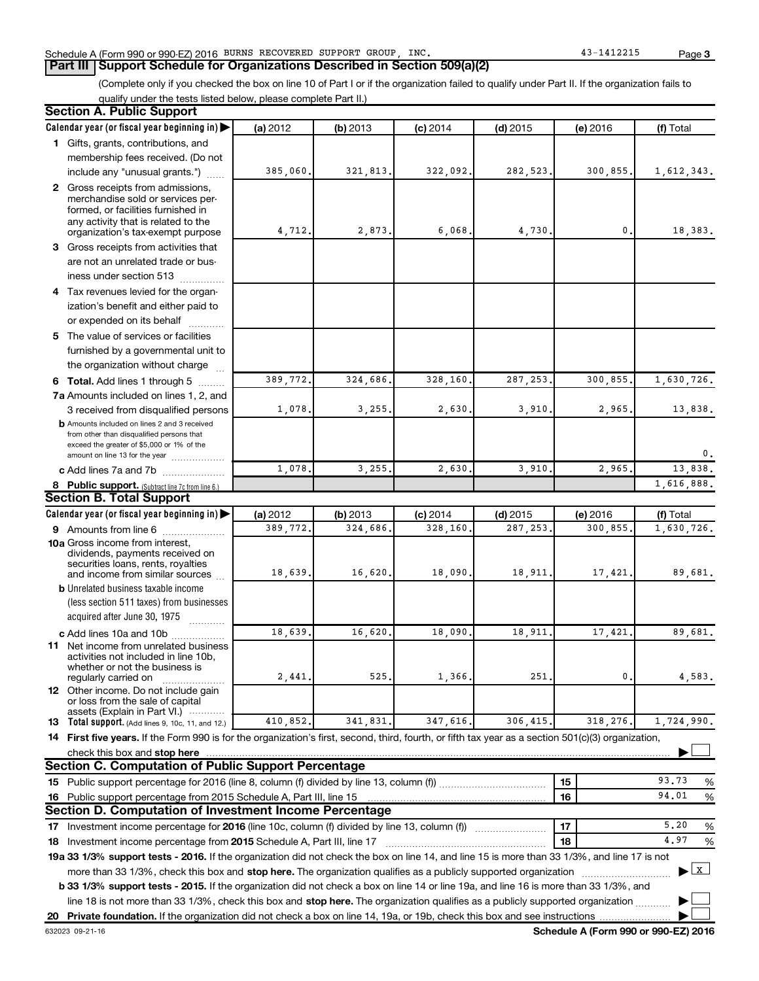### Schedule A (Form 990 or 990-EZ) 2016 BURNS RECOVERED SUPPORT GROUP, INC. 43-1412215 Page

### **Part III Support Schedule for Organizations Described in Section 509(a)(2)**

(Complete only if you checked the box on line 10 of Part I or if the organization failed to qualify under Part II. If the organization fails to qualify under the tests listed below, please complete Part II.)

| <b>Section A. Public Support</b>                                                                                                                                                                                                                          |                 |               |                 |               |              |                   |
|-----------------------------------------------------------------------------------------------------------------------------------------------------------------------------------------------------------------------------------------------------------|-----------------|---------------|-----------------|---------------|--------------|-------------------|
| Calendar year (or fiscal year beginning in)                                                                                                                                                                                                               | (a) 2012        | (b) 2013      | $(c)$ 2014      | $(d)$ 2015    | (e) 2016     | (f) Total         |
| 1 Gifts, grants, contributions, and                                                                                                                                                                                                                       |                 |               |                 |               |              |                   |
| membership fees received. (Do not                                                                                                                                                                                                                         |                 |               |                 |               |              |                   |
| include any "unusual grants.")                                                                                                                                                                                                                            | 385,060.        | 321,813       | 322,092         | 282,523.      | 300,855.     | 1,612,343.        |
| 2 Gross receipts from admissions,<br>merchandise sold or services per-<br>formed, or facilities furnished in<br>any activity that is related to the<br>organization's tax-exempt purpose                                                                  | 4,712.          | 2,873         | 6,068           | 4,730         | 0.           | 18,383.           |
| 3 Gross receipts from activities that                                                                                                                                                                                                                     |                 |               |                 |               |              |                   |
| are not an unrelated trade or bus-                                                                                                                                                                                                                        |                 |               |                 |               |              |                   |
| iness under section 513                                                                                                                                                                                                                                   |                 |               |                 |               |              |                   |
| 4 Tax revenues levied for the organ-                                                                                                                                                                                                                      |                 |               |                 |               |              |                   |
| ization's benefit and either paid to                                                                                                                                                                                                                      |                 |               |                 |               |              |                   |
| or expended on its behalf<br>.                                                                                                                                                                                                                            |                 |               |                 |               |              |                   |
| 5 The value of services or facilities                                                                                                                                                                                                                     |                 |               |                 |               |              |                   |
| furnished by a governmental unit to<br>the organization without charge                                                                                                                                                                                    |                 |               |                 |               |              |                   |
| <b>6 Total.</b> Add lines 1 through 5                                                                                                                                                                                                                     | 389,772         | 324,686       | 328,160         | 287, 253      | 300,855      | 1,630,726.        |
| 7a Amounts included on lines 1, 2, and                                                                                                                                                                                                                    |                 |               |                 |               |              |                   |
| 3 received from disqualified persons                                                                                                                                                                                                                      | 1,078           | 3,255         | 2,630           | 3,910         | 2,965        | 13,838.           |
| <b>b</b> Amounts included on lines 2 and 3 received<br>from other than disqualified persons that<br>exceed the greater of \$5,000 or 1% of the<br>amount on line 13 for the year                                                                          |                 |               |                 |               |              | 0.                |
| c Add lines 7a and 7b                                                                                                                                                                                                                                     | 1,078           | 3,255         | 2,630           | 3,910         | 2,965        | 13,838.           |
| 8 Public support. (Subtract line 7c from line 6.)                                                                                                                                                                                                         |                 |               |                 |               |              | 1,616,888.        |
| <b>Section B. Total Support</b>                                                                                                                                                                                                                           |                 |               |                 |               |              |                   |
| Calendar year (or fiscal year beginning in)                                                                                                                                                                                                               | (a) 2012        | (b) 2013      | $(c)$ 2014      | $(d)$ 2015    | (e) 2016     | (f) Total         |
| 9 Amounts from line 6                                                                                                                                                                                                                                     | 389,772         | 324,686       | 328,160         | 287,253       | 300,855      | 1,630,726.        |
| <b>10a</b> Gross income from interest,<br>dividends, payments received on<br>securities loans, rents, royalties<br>and income from similar sources<br><b>b</b> Unrelated business taxable income                                                          | 18,639.         | 16,620        | 18,090          | 18,911        | 17,421.      | 89,681.           |
| (less section 511 taxes) from businesses<br>acquired after June 30, 1975                                                                                                                                                                                  |                 |               |                 |               |              |                   |
|                                                                                                                                                                                                                                                           |                 |               |                 |               |              |                   |
| c Add lines 10a and 10b<br>11 Net income from unrelated business<br>activities not included in line 10b.<br>whether or not the business is                                                                                                                | 18,639<br>2,441 | 16,620<br>525 | 18,090<br>1,366 | 18,911<br>251 | 17,421<br>0. | 89,681.<br>4,583. |
| regularly carried on<br>12 Other income. Do not include gain<br>or loss from the sale of capital                                                                                                                                                          |                 |               |                 |               |              |                   |
| assets (Explain in Part VI.)<br><b>13</b> Total support. (Add lines 9, 10c, 11, and 12.)                                                                                                                                                                  | 410,852.        | 341,831       | 347,616         | 306,415.      | 318,276.     | 1,724,990.        |
|                                                                                                                                                                                                                                                           |                 |               |                 |               |              |                   |
| 14 First five years. If the Form 990 is for the organization's first, second, third, fourth, or fifth tax year as a section 501(c)(3) organization,                                                                                                       |                 |               |                 |               |              |                   |
| check this box and stop here<br><b>Section C. Computation of Public Support Percentage</b>                                                                                                                                                                |                 |               |                 |               |              |                   |
|                                                                                                                                                                                                                                                           |                 |               |                 |               |              | 93.73             |
|                                                                                                                                                                                                                                                           |                 |               |                 |               | 15           | %<br>94.01        |
| 16 Public support percentage from 2015 Schedule A, Part III, line 15<br>Section D. Computation of Investment Income Percentage                                                                                                                            |                 |               |                 |               | 16           | %                 |
|                                                                                                                                                                                                                                                           |                 |               |                 |               |              |                   |
| 17 Investment income percentage for 2016 (line 10c, column (f) divided by line 13, column (f))                                                                                                                                                            |                 |               |                 |               | 17           | 5,20<br>%         |
| 18 Investment income percentage from 2015 Schedule A, Part III, line 17                                                                                                                                                                                   |                 |               |                 |               | 18           | 4.97<br>%         |
| 19a 33 1/3% support tests - 2016. If the organization did not check the box on line 14, and line 15 is more than 33 1/3%, and line 17 is not                                                                                                              |                 |               |                 |               |              |                   |
| more than 33 1/3%, check this box and stop here. The organization qualifies as a publicly supported organization<br>b 33 1/3% support tests - 2015. If the organization did not check a box on line 14 or line 19a, and line 16 is more than 33 1/3%, and |                 |               |                 |               |              | $\mathbf{x}$<br>▶ |
| line 18 is not more than 33 1/3%, check this box and stop here. The organization qualifies as a publicly supported organization                                                                                                                           |                 |               |                 |               |              |                   |
| 20 Private foundation. If the organization did not check a box on line 14, 19a, or 19b, check this box and see instructions                                                                                                                               |                 |               |                 |               |              |                   |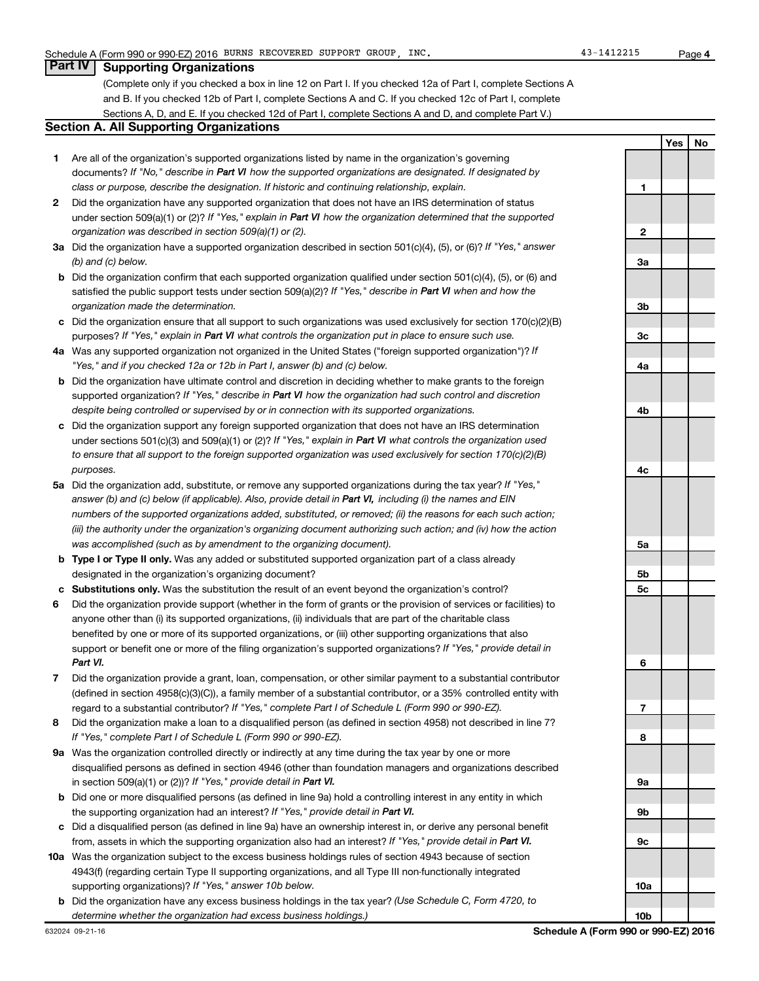**4**

**Yes No**

### **Part IV Supporting Organizations**

(Complete only if you checked a box in line 12 on Part I. If you checked 12a of Part I, complete Sections A and B. If you checked 12b of Part I, complete Sections A and C. If you checked 12c of Part I, complete Sections A, D, and E. If you checked 12d of Part I, complete Sections A and D, and complete Part V.)

### **Section A. All Supporting Organizations**

- **1** Are all of the organization's supported organizations listed by name in the organization's governing documents? If "No," describe in Part VI how the supported organizations are designated. If designated by *class or purpose, describe the designation. If historic and continuing relationship, explain.*
- **2** Did the organization have any supported organization that does not have an IRS determination of status under section 509(a)(1) or (2)? If "Yes," explain in Part VI how the organization determined that the supported *organization was described in section 509(a)(1) or (2).*
- **3a** Did the organization have a supported organization described in section 501(c)(4), (5), or (6)? If "Yes," answer *(b) and (c) below.*
- **b** Did the organization confirm that each supported organization qualified under section 501(c)(4), (5), or (6) and satisfied the public support tests under section 509(a)(2)? If "Yes," describe in Part VI when and how the *organization made the determination.*
- **c** Did the organization ensure that all support to such organizations was used exclusively for section 170(c)(2)(B) purposes? If "Yes," explain in Part VI what controls the organization put in place to ensure such use.
- **4 a** *If* Was any supported organization not organized in the United States ("foreign supported organization")? *"Yes," and if you checked 12a or 12b in Part I, answer (b) and (c) below.*
- **b** Did the organization have ultimate control and discretion in deciding whether to make grants to the foreign supported organization? If "Yes," describe in Part VI how the organization had such control and discretion *despite being controlled or supervised by or in connection with its supported organizations.*
- **c** Did the organization support any foreign supported organization that does not have an IRS determination under sections 501(c)(3) and 509(a)(1) or (2)? If "Yes," explain in Part VI what controls the organization used *to ensure that all support to the foreign supported organization was used exclusively for section 170(c)(2)(B) purposes.*
- **5a** Did the organization add, substitute, or remove any supported organizations during the tax year? If "Yes," answer (b) and (c) below (if applicable). Also, provide detail in Part VI, including (i) the names and EIN *numbers of the supported organizations added, substituted, or removed; (ii) the reasons for each such action; (iii) the authority under the organization's organizing document authorizing such action; and (iv) how the action was accomplished (such as by amendment to the organizing document).*
- **b Type I or Type II only.** Was any added or substituted supported organization part of a class already designated in the organization's organizing document?
- **c Substitutions only.**  Was the substitution the result of an event beyond the organization's control?
- **6** Did the organization provide support (whether in the form of grants or the provision of services or facilities) to support or benefit one or more of the filing organization's supported organizations? If "Yes," provide detail in anyone other than (i) its supported organizations, (ii) individuals that are part of the charitable class benefited by one or more of its supported organizations, or (iii) other supporting organizations that also *Part VI.*
- **7** Did the organization provide a grant, loan, compensation, or other similar payment to a substantial contributor regard to a substantial contributor? If "Yes," complete Part I of Schedule L (Form 990 or 990-EZ). (defined in section 4958(c)(3)(C)), a family member of a substantial contributor, or a 35% controlled entity with
- **8** Did the organization make a loan to a disqualified person (as defined in section 4958) not described in line 7? *If "Yes," complete Part I of Schedule L (Form 990 or 990-EZ).*
- **9 a** Was the organization controlled directly or indirectly at any time during the tax year by one or more in section 509(a)(1) or (2))? If "Yes," provide detail in Part VI. disqualified persons as defined in section 4946 (other than foundation managers and organizations described
- **b** Did one or more disqualified persons (as defined in line 9a) hold a controlling interest in any entity in which the supporting organization had an interest? If "Yes," provide detail in Part VI.
- **c** Did a disqualified person (as defined in line 9a) have an ownership interest in, or derive any personal benefit from, assets in which the supporting organization also had an interest? If "Yes," provide detail in Part VI.
- **10 a** Was the organization subject to the excess business holdings rules of section 4943 because of section supporting organizations)? If "Yes," answer 10b below. 4943(f) (regarding certain Type II supporting organizations, and all Type III non-functionally integrated
- **b** Did the organization have any excess business holdings in the tax year? (Use Schedule C, Form 4720, to *determine whether the organization had excess business holdings.)*

**1 2 3a 3b 3c 4a 4b 4c 5a 5b 5c 6 7 8 9a 9b 9c 10a**

**10b**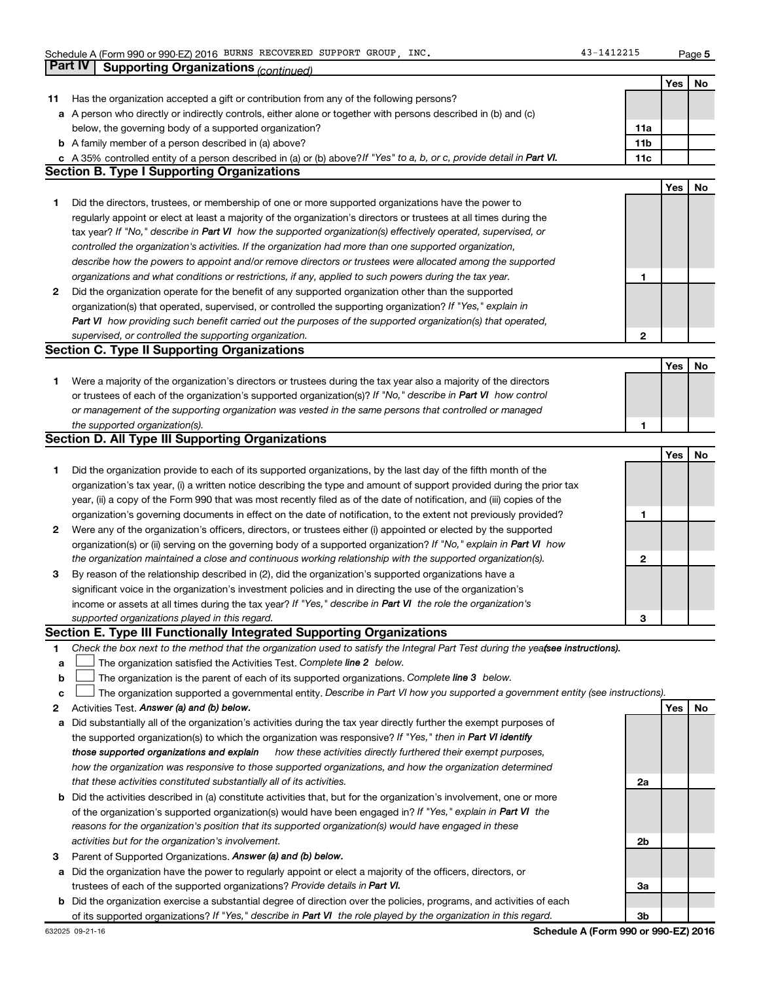**5**

|    | Part IV<br><b>Supporting Organizations (continued)</b>                                                                          |                 |            |    |
|----|---------------------------------------------------------------------------------------------------------------------------------|-----------------|------------|----|
|    |                                                                                                                                 |                 | Yes        | No |
| 11 | Has the organization accepted a gift or contribution from any of the following persons?                                         |                 |            |    |
|    | a A person who directly or indirectly controls, either alone or together with persons described in (b) and (c)                  |                 |            |    |
|    | below, the governing body of a supported organization?                                                                          | 11a             |            |    |
|    | <b>b</b> A family member of a person described in (a) above?                                                                    | 11 <sub>b</sub> |            |    |
|    | c A 35% controlled entity of a person described in (a) or (b) above? If "Yes" to a, b, or c, provide detail in Part VI.         | 11c             |            |    |
|    | <b>Section B. Type I Supporting Organizations</b>                                                                               |                 |            |    |
|    |                                                                                                                                 |                 | <b>Yes</b> | No |
| 1. | Did the directors, trustees, or membership of one or more supported organizations have the power to                             |                 |            |    |
|    | regularly appoint or elect at least a majority of the organization's directors or trustees at all times during the              |                 |            |    |
|    | tax year? If "No," describe in Part VI how the supported organization(s) effectively operated, supervised, or                   |                 |            |    |
|    | controlled the organization's activities. If the organization had more than one supported organization,                         |                 |            |    |
|    |                                                                                                                                 |                 |            |    |
|    | describe how the powers to appoint and/or remove directors or trustees were allocated among the supported                       |                 |            |    |
|    | organizations and what conditions or restrictions, if any, applied to such powers during the tax year.                          | 1               |            |    |
| 2  | Did the organization operate for the benefit of any supported organization other than the supported                             |                 |            |    |
|    | organization(s) that operated, supervised, or controlled the supporting organization? If "Yes," explain in                      |                 |            |    |
|    | Part VI how providing such benefit carried out the purposes of the supported organization(s) that operated,                     |                 |            |    |
|    | supervised, or controlled the supporting organization.                                                                          | $\mathbf{2}$    |            |    |
|    | <b>Section C. Type II Supporting Organizations</b>                                                                              |                 |            |    |
|    |                                                                                                                                 |                 | <b>Yes</b> | No |
| 1. | Were a majority of the organization's directors or trustees during the tax year also a majority of the directors                |                 |            |    |
|    | or trustees of each of the organization's supported organization(s)? If "No," describe in Part VI how control                   |                 |            |    |
|    | or management of the supporting organization was vested in the same persons that controlled or managed                          |                 |            |    |
|    | the supported organization(s).                                                                                                  | 1               |            |    |
|    | <b>Section D. All Type III Supporting Organizations</b>                                                                         |                 |            |    |
|    |                                                                                                                                 |                 | Yes        | No |
| 1  | Did the organization provide to each of its supported organizations, by the last day of the fifth month of the                  |                 |            |    |
|    | organization's tax year, (i) a written notice describing the type and amount of support provided during the prior tax           |                 |            |    |
|    | year, (ii) a copy of the Form 990 that was most recently filed as of the date of notification, and (iii) copies of the          |                 |            |    |
|    | organization's governing documents in effect on the date of notification, to the extent not previously provided?                | 1               |            |    |
| 2  | Were any of the organization's officers, directors, or trustees either (i) appointed or elected by the supported                |                 |            |    |
|    | organization(s) or (ii) serving on the governing body of a supported organization? If "No," explain in Part VI how              |                 |            |    |
|    | the organization maintained a close and continuous working relationship with the supported organization(s).                     | $\mathbf{2}$    |            |    |
| 3  | By reason of the relationship described in (2), did the organization's supported organizations have a                           |                 |            |    |
|    | significant voice in the organization's investment policies and in directing the use of the organization's                      |                 |            |    |
|    | income or assets at all times during the tax year? If "Yes," describe in Part VI the role the organization's                    |                 |            |    |
|    | supported organizations played in this regard.                                                                                  | з               |            |    |
|    | Section E. Type III Functionally Integrated Supporting Organizations                                                            |                 |            |    |
| 1  | Check the box next to the method that the organization used to satisfy the Integral Part Test during the yeafsee instructions). |                 |            |    |
| а  | The organization satisfied the Activities Test. Complete line 2 below.                                                          |                 |            |    |
| b  | The organization is the parent of each of its supported organizations. Complete line 3 below.                                   |                 |            |    |
| с  | The organization supported a governmental entity. Describe in Part VI how you supported a government entity (see instructions). |                 |            |    |
| 2  | Activities Test. Answer (a) and (b) below.                                                                                      |                 | Yes        | No |
| а  | Did substantially all of the organization's activities during the tax year directly further the exempt purposes of              |                 |            |    |
|    | the supported organization(s) to which the organization was responsive? If "Yes," then in Part VI identify                      |                 |            |    |
|    | those supported organizations and explain<br>how these activities directly furthered their exempt purposes,                     |                 |            |    |
|    | how the organization was responsive to those supported organizations, and how the organization determined                       |                 |            |    |
|    | that these activities constituted substantially all of its activities.                                                          | 2a              |            |    |
|    | <b>b</b> Did the activities described in (a) constitute activities that, but for the organization's involvement, one or more    |                 |            |    |
|    | of the organization's supported organization(s) would have been engaged in? If "Yes," explain in Part VI the                    |                 |            |    |
|    | reasons for the organization's position that its supported organization(s) would have engaged in these                          |                 |            |    |
|    | activities but for the organization's involvement.                                                                              | 2b              |            |    |
| 3  | Parent of Supported Organizations. Answer (a) and (b) below.                                                                    |                 |            |    |
| а  | Did the organization have the power to regularly appoint or elect a majority of the officers, directors, or                     |                 |            |    |
|    | trustees of each of the supported organizations? Provide details in Part VI.                                                    | За              |            |    |
|    | b Did the organization exercise a substantial degree of direction over the policies, programs, and activities of each           |                 |            |    |
|    | of its supported organizations? If "Yes," describe in Part VI the role played by the organization in this regard.               | 3b              |            |    |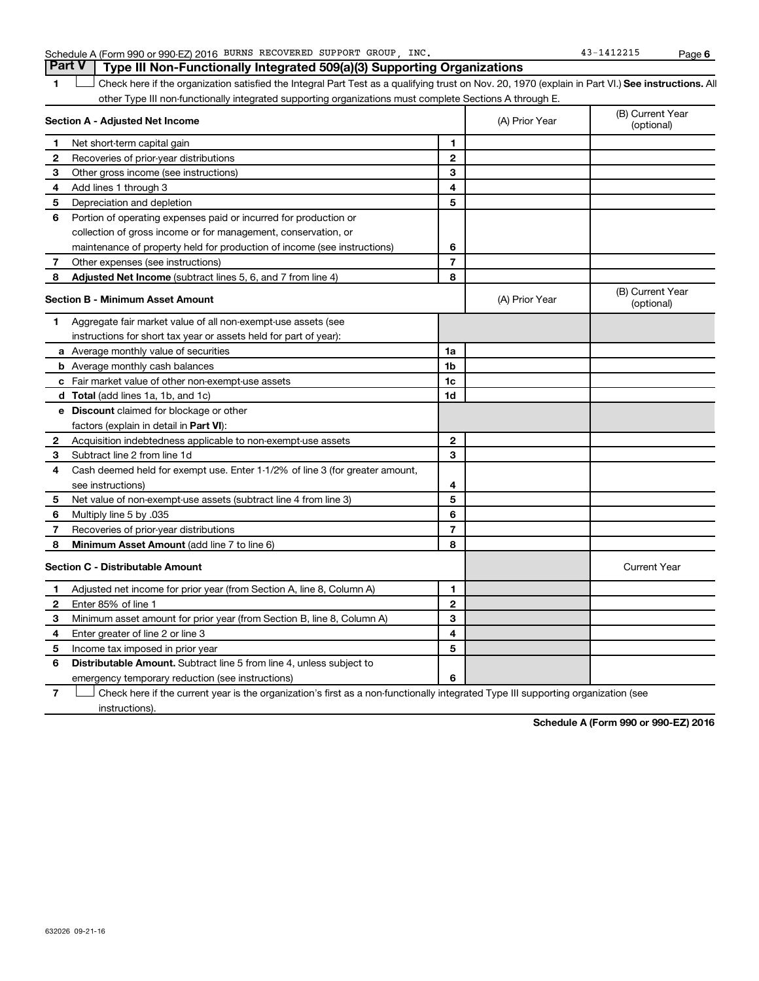| Schedule A (Form 990 or 990-EZ) 2016 | BURNS RECOVERED SUPPORT | GROUP | INC | Page |
|--------------------------------------|-------------------------|-------|-----|------|
|                                      |                         |       |     |      |

1 **Letter See instructions.** All Check here if the organization satisfied the Integral Part Test as a qualifying trust on Nov. 20, 1970 (explain in Part VI.) See instructions. All other Type III non-functionally integrated supporting organizations must complete Sections A through E.

|              | Section A - Adjusted Net Income                                              | (A) Prior Year | (B) Current Year<br>(optional) |                                |
|--------------|------------------------------------------------------------------------------|----------------|--------------------------------|--------------------------------|
| 1            | Net short-term capital gain                                                  | 1              |                                |                                |
| 2            | Recoveries of prior-year distributions                                       | $\mathbf{2}$   |                                |                                |
| 3            | Other gross income (see instructions)                                        | 3              |                                |                                |
| 4            | Add lines 1 through 3                                                        | 4              |                                |                                |
| 5            | Depreciation and depletion                                                   | 5              |                                |                                |
| 6            | Portion of operating expenses paid or incurred for production or             |                |                                |                                |
|              | collection of gross income or for management, conservation, or               |                |                                |                                |
|              | maintenance of property held for production of income (see instructions)     | 6              |                                |                                |
| 7            | Other expenses (see instructions)                                            | $\overline{7}$ |                                |                                |
| 8            | Adjusted Net Income (subtract lines 5, 6, and 7 from line 4)                 | 8              |                                |                                |
|              | <b>Section B - Minimum Asset Amount</b>                                      |                | (A) Prior Year                 | (B) Current Year<br>(optional) |
| 1            | Aggregate fair market value of all non-exempt-use assets (see                |                |                                |                                |
|              | instructions for short tax year or assets held for part of year):            |                |                                |                                |
|              | <b>a</b> Average monthly value of securities                                 | 1a             |                                |                                |
|              | <b>b</b> Average monthly cash balances                                       | 1b             |                                |                                |
|              | c Fair market value of other non-exempt-use assets                           | 1c             |                                |                                |
|              | d Total (add lines 1a, 1b, and 1c)                                           | 1d             |                                |                                |
|              | <b>e</b> Discount claimed for blockage or other                              |                |                                |                                |
|              | factors (explain in detail in <b>Part VI</b> ):                              |                |                                |                                |
| 2            | Acquisition indebtedness applicable to non-exempt-use assets                 | $\mathbf{2}$   |                                |                                |
| З            | Subtract line 2 from line 1d                                                 | 3              |                                |                                |
| 4            | Cash deemed held for exempt use. Enter 1-1/2% of line 3 (for greater amount, |                |                                |                                |
|              | see instructions)                                                            | 4              |                                |                                |
| 5            | Net value of non-exempt-use assets (subtract line 4 from line 3)             | 5              |                                |                                |
| 6            | Multiply line 5 by .035                                                      | 6              |                                |                                |
| 7            | Recoveries of prior-year distributions                                       | $\overline{7}$ |                                |                                |
| 8            | <b>Minimum Asset Amount (add line 7 to line 6)</b>                           | 8              |                                |                                |
|              | <b>Section C - Distributable Amount</b>                                      |                |                                | <b>Current Year</b>            |
| 1            | Adjusted net income for prior year (from Section A, line 8, Column A)        | 1              |                                |                                |
| $\mathbf{2}$ | Enter 85% of line 1                                                          | $\mathbf{2}$   |                                |                                |
| З            | Minimum asset amount for prior year (from Section B, line 8, Column A)       | 3              |                                |                                |
| 4            | Enter greater of line 2 or line 3                                            | 4              |                                |                                |
| 5            | Income tax imposed in prior year                                             | 5              |                                |                                |
| 6            | Distributable Amount. Subtract line 5 from line 4, unless subject to         |                |                                |                                |
|              | emergency temporary reduction (see instructions)                             | 6              |                                |                                |

**7** Check here if the current year is the organization's first as a non-functionally integrated Type III supporting organization (see † instructions).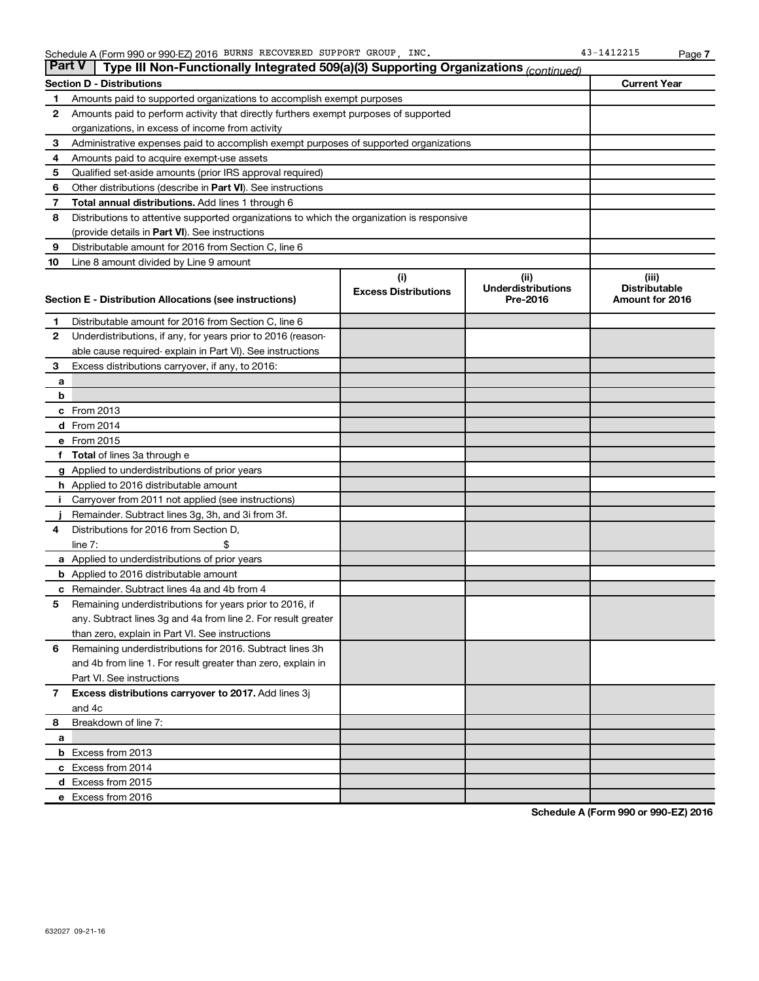| <b>Part V</b> | Type III Non-Functionally Integrated 509(a)(3) Supporting Organizations (continued)        |                             |                           |                      |
|---------------|--------------------------------------------------------------------------------------------|-----------------------------|---------------------------|----------------------|
|               | <b>Section D - Distributions</b>                                                           |                             |                           | <b>Current Year</b>  |
| 1             | Amounts paid to supported organizations to accomplish exempt purposes                      |                             |                           |                      |
| 2             | Amounts paid to perform activity that directly furthers exempt purposes of supported       |                             |                           |                      |
|               | organizations, in excess of income from activity                                           |                             |                           |                      |
| 3             | Administrative expenses paid to accomplish exempt purposes of supported organizations      |                             |                           |                      |
| 4             | Amounts paid to acquire exempt-use assets                                                  |                             |                           |                      |
| 5             | Qualified set-aside amounts (prior IRS approval required)                                  |                             |                           |                      |
| 6             | Other distributions (describe in Part VI). See instructions                                |                             |                           |                      |
| 7             | Total annual distributions. Add lines 1 through 6                                          |                             |                           |                      |
| 8             | Distributions to attentive supported organizations to which the organization is responsive |                             |                           |                      |
|               | (provide details in Part VI). See instructions                                             |                             |                           |                      |
| 9             | Distributable amount for 2016 from Section C, line 6                                       |                             |                           |                      |
| 10            | Line 8 amount divided by Line 9 amount                                                     |                             |                           |                      |
|               |                                                                                            | (i)                         | (ii)                      | (iii)                |
|               |                                                                                            | <b>Excess Distributions</b> | <b>Underdistributions</b> | <b>Distributable</b> |
|               | Section E - Distribution Allocations (see instructions)                                    |                             | Pre-2016                  | Amount for 2016      |
| 1             | Distributable amount for 2016 from Section C, line 6                                       |                             |                           |                      |
| $\mathbf{2}$  | Underdistributions, if any, for years prior to 2016 (reason-                               |                             |                           |                      |
|               | able cause required- explain in Part VI). See instructions                                 |                             |                           |                      |
| 3             | Excess distributions carryover, if any, to 2016:                                           |                             |                           |                      |
| а             |                                                                                            |                             |                           |                      |
| b             |                                                                                            |                             |                           |                      |
|               | c From 2013                                                                                |                             |                           |                      |
|               | <b>d</b> From 2014                                                                         |                             |                           |                      |
|               | e From 2015                                                                                |                             |                           |                      |
|               | <b>Total</b> of lines 3a through e                                                         |                             |                           |                      |
|               | <b>g</b> Applied to underdistributions of prior years                                      |                             |                           |                      |
|               | <b>h</b> Applied to 2016 distributable amount                                              |                             |                           |                      |
|               | Carryover from 2011 not applied (see instructions)                                         |                             |                           |                      |
|               | Remainder. Subtract lines 3g, 3h, and 3i from 3f.                                          |                             |                           |                      |
| 4             | Distributions for 2016 from Section D,                                                     |                             |                           |                      |
|               | $line 7$ :                                                                                 |                             |                           |                      |
|               | <b>a</b> Applied to underdistributions of prior years                                      |                             |                           |                      |
|               | <b>b</b> Applied to 2016 distributable amount                                              |                             |                           |                      |
| с             | Remainder. Subtract lines 4a and 4b from 4                                                 |                             |                           |                      |
| 5             | Remaining underdistributions for years prior to 2016, if                                   |                             |                           |                      |
|               | any. Subtract lines 3g and 4a from line 2. For result greater                              |                             |                           |                      |
|               | than zero, explain in Part VI. See instructions                                            |                             |                           |                      |
| 6             | Remaining underdistributions for 2016. Subtract lines 3h                                   |                             |                           |                      |
|               | and 4b from line 1. For result greater than zero, explain in                               |                             |                           |                      |
|               | Part VI. See instructions                                                                  |                             |                           |                      |
| $\mathbf{7}$  | Excess distributions carryover to 2017. Add lines 3j                                       |                             |                           |                      |
|               | and 4c                                                                                     |                             |                           |                      |
| 8             | Breakdown of line 7:                                                                       |                             |                           |                      |
| a             |                                                                                            |                             |                           |                      |
|               | <b>b</b> Excess from 2013                                                                  |                             |                           |                      |
|               | c Excess from 2014                                                                         |                             |                           |                      |
|               | d Excess from 2015                                                                         |                             |                           |                      |
|               | e Excess from 2016                                                                         |                             |                           |                      |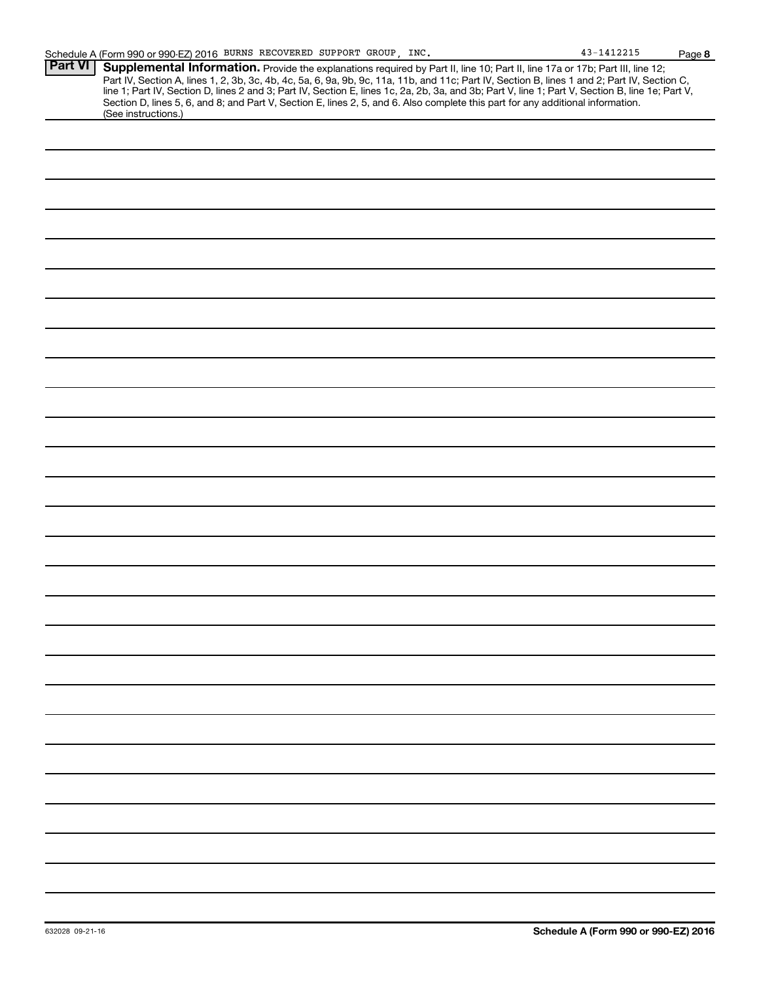|                | Schedule A (Form 990 or 990-EZ) 2016 BURNS RECOVERED SUPPORT GROUP, INC.                                                                               |  |  | 43-1412215                                                                                                                                                                                                                                                                                                                                                                                                                        | Page |
|----------------|--------------------------------------------------------------------------------------------------------------------------------------------------------|--|--|-----------------------------------------------------------------------------------------------------------------------------------------------------------------------------------------------------------------------------------------------------------------------------------------------------------------------------------------------------------------------------------------------------------------------------------|------|
| <b>Part VI</b> | Section D, lines 5, 6, and 8; and Part V, Section E, lines 2, 5, and 6. Also complete this part for any additional information.<br>(See instructions.) |  |  | Supplemental Information. Provide the explanations required by Part II, line 10; Part II, line 17a or 17b; Part III, line 12;<br>Part IV, Section A, lines 1, 2, 3b, 3c, 4b, 4c, 5a, 6, 9a, 9b, 9c, 11a, 11b, and 11c; Part IV, Section B, lines 1 and 2; Part IV, Section C,<br>line 1; Part IV, Section D, lines 2 and 3; Part IV, Section E, lines 1c, 2a, 2b, 3a, and 3b; Part V, line 1; Part V, Section B, line 1e; Part V, |      |
|                |                                                                                                                                                        |  |  |                                                                                                                                                                                                                                                                                                                                                                                                                                   |      |
|                |                                                                                                                                                        |  |  |                                                                                                                                                                                                                                                                                                                                                                                                                                   |      |
|                |                                                                                                                                                        |  |  |                                                                                                                                                                                                                                                                                                                                                                                                                                   |      |
|                |                                                                                                                                                        |  |  |                                                                                                                                                                                                                                                                                                                                                                                                                                   |      |
|                |                                                                                                                                                        |  |  |                                                                                                                                                                                                                                                                                                                                                                                                                                   |      |
|                |                                                                                                                                                        |  |  |                                                                                                                                                                                                                                                                                                                                                                                                                                   |      |
|                |                                                                                                                                                        |  |  |                                                                                                                                                                                                                                                                                                                                                                                                                                   |      |
|                |                                                                                                                                                        |  |  |                                                                                                                                                                                                                                                                                                                                                                                                                                   |      |
|                |                                                                                                                                                        |  |  |                                                                                                                                                                                                                                                                                                                                                                                                                                   |      |
|                |                                                                                                                                                        |  |  |                                                                                                                                                                                                                                                                                                                                                                                                                                   |      |
|                |                                                                                                                                                        |  |  |                                                                                                                                                                                                                                                                                                                                                                                                                                   |      |
|                |                                                                                                                                                        |  |  |                                                                                                                                                                                                                                                                                                                                                                                                                                   |      |
|                |                                                                                                                                                        |  |  |                                                                                                                                                                                                                                                                                                                                                                                                                                   |      |
|                |                                                                                                                                                        |  |  |                                                                                                                                                                                                                                                                                                                                                                                                                                   |      |
|                |                                                                                                                                                        |  |  |                                                                                                                                                                                                                                                                                                                                                                                                                                   |      |
|                |                                                                                                                                                        |  |  |                                                                                                                                                                                                                                                                                                                                                                                                                                   |      |
|                |                                                                                                                                                        |  |  |                                                                                                                                                                                                                                                                                                                                                                                                                                   |      |
|                |                                                                                                                                                        |  |  |                                                                                                                                                                                                                                                                                                                                                                                                                                   |      |
|                |                                                                                                                                                        |  |  |                                                                                                                                                                                                                                                                                                                                                                                                                                   |      |

**8**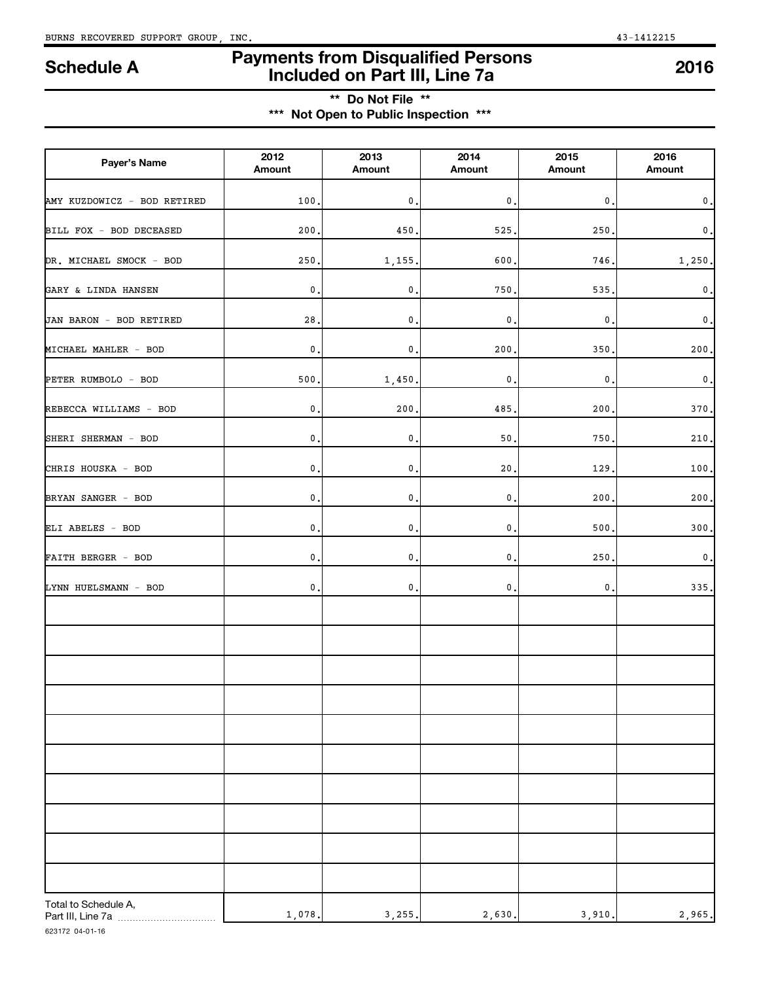## **Payments from Disqualified Persons Included on Part III, Line 7a Schedule A <sup>2016</sup>**

**\*\* Do Not File \*\* \*\*\* Not Open to Public Inspection \*\*\***

| Payer's Name                               | 2012<br>Amount  | 2013<br>Amount | 2014<br>Amount | 2015<br>Amount | 2016<br>Amount |
|--------------------------------------------|-----------------|----------------|----------------|----------------|----------------|
| AMY KUZDOWICZ - BOD RETIRED                | 100             | $\pmb{0}$      | 0              | $\mathbf 0$    | $\mathsf{0}$ . |
| BILL FOX - BOD DECEASED                    | 200             | 450            | 525            | 250            | $\mathsf{0}$ . |
| DR. MICHAEL SMOCK - BOD                    | 250             | 1,155          | 600            | 746            | 1,250.         |
| GARY & LINDA HANSEN                        | $\mathfrak o$ . | $\pmb{0}$      | 750            | 535            | $\mathbf 0$ .  |
| JAN BARON - BOD RETIRED                    | 28              | 0              | 0              | $\mathbf 0$    | $\mathsf{0}$ . |
| MICHAEL MAHLER - BOD                       | $\mathfrak o$ . | $\pmb{0}$      | 200            | 350            | 200,           |
| PETER RUMBOLO - BOD                        | 500             | 1,450          | 0              | 0              | $\mathbf 0$ .  |
| REBECCA WILLIAMS - BOD                     | $\mathfrak o$ . | 200            | 485            | 200            | 370.           |
| SHERI SHERMAN - BOD                        | $\mathfrak o$ . | $\pmb{0}$      | 50             | 750            | 210            |
| CHRIS HOUSKA - BOD                         | $\mathfrak o$ . | $\pmb{0}$      | $20\,$         | 129            | 100,           |
| BRYAN SANGER - BOD                         | $\mathfrak o$ . | $\pmb{0}$      | $\mathbf{0}$ . | 200            | 200,           |
| ELI ABELES - BOD                           | $\mathfrak o$ . | $\pmb{0}$      | $\mathbf{0}$ . | 500            | 300,           |
| FAITH BERGER - BOD                         | $\mathsf{0}$ .  | $\pmb{0}$      | $\mathbf{0}$ . | 250            | $\mathbf 0$ .  |
| LYNN HUELSMANN - BOD                       | $\mathfrak o$ . | $\mathbf{0}$   | $\mathbf{0}$ . | $\mathbf 0$    | 335.           |
|                                            |                 |                |                |                |                |
|                                            |                 |                |                |                |                |
|                                            |                 |                |                |                |                |
|                                            |                 |                |                |                |                |
|                                            |                 |                |                |                |                |
|                                            |                 |                |                |                |                |
|                                            |                 |                |                |                |                |
|                                            |                 |                |                |                |                |
|                                            |                 |                |                |                |                |
|                                            |                 |                |                |                |                |
| Total to Schedule A,<br>Part III, Line 7a. | 1,078.          | 3,255.         | 2,630.         | 3,910.         | 2,965.         |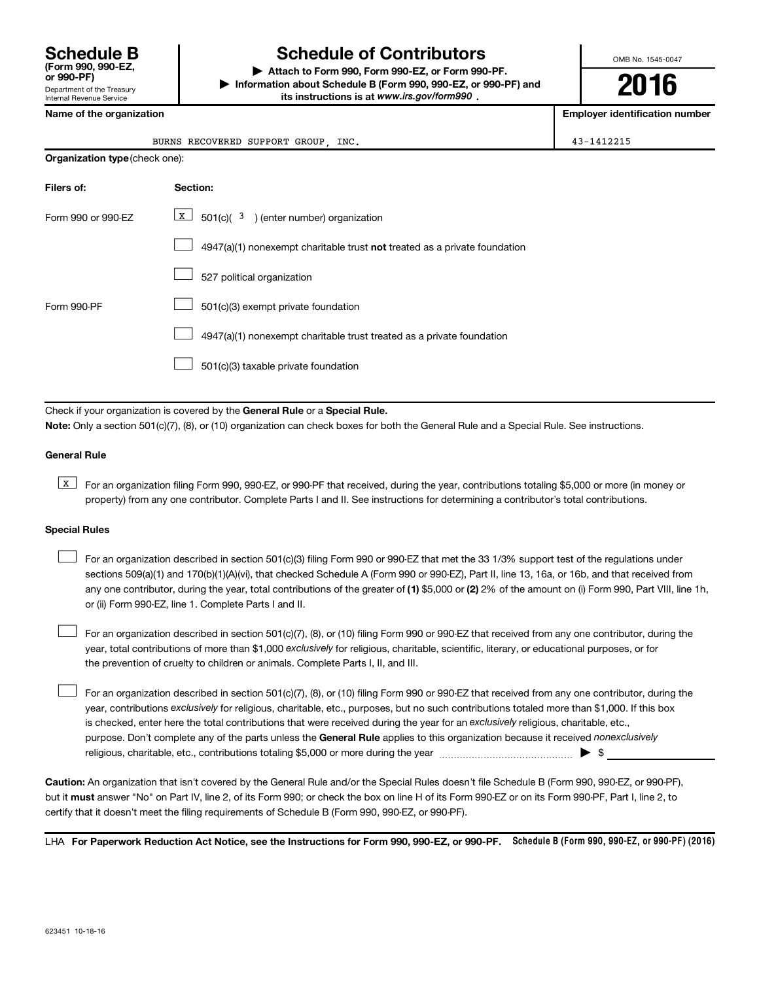Department of the Treasury Internal Revenue Service **(Form 990, 990-EZ,**

## **Schedule B Schedule of Contributors**

**or 990-PF) | Attach to Form 990, Form 990-EZ, or Form 990-PF. | Information about Schedule B (Form 990, 990-EZ, or 990-PF) and** its instructions is at www.irs.gov/form990.

OMB No. 1545-0047

**2016**

**Name of the organization Employer identification number**

|  | Name of the organization |
|--|--------------------------|
|--|--------------------------|

| INC.<br>RECOVERED<br>SUPPORT<br>GROUP<br>BURNS |  |  |  |
|------------------------------------------------|--|--|--|
| Organization type (check one):                 |  |  |  |

| Filers of:         | Section:                                                                           |
|--------------------|------------------------------------------------------------------------------------|
| Form 990 or 990-EZ | $X$ 501(c)( 3) (enter number) organization                                         |
|                    | $4947(a)(1)$ nonexempt charitable trust <b>not</b> treated as a private foundation |
|                    | 527 political organization                                                         |
| Form 990-PF        | 501(c)(3) exempt private foundation                                                |
|                    | 4947(a)(1) nonexempt charitable trust treated as a private foundation              |
|                    | 501(c)(3) taxable private foundation                                               |

Check if your organization is covered by the General Rule or a Special Rule.

**Note:**  Only a section 501(c)(7), (8), or (10) organization can check boxes for both the General Rule and a Special Rule. See instructions.

### **General Rule**

**K** For an organization filing Form 990, 990-EZ, or 990-PF that received, during the year, contributions totaling \$5,000 or more (in money or property) from any one contributor. Complete Parts I and II. See instructions for determining a contributor's total contributions.

### **Special Rules**

 $\Box$ 

any one contributor, during the year, total contributions of the greater of **(1)** \$5,000 or **(2)** 2% of the amount on (i) Form 990, Part VIII, line 1h, For an organization described in section 501(c)(3) filing Form 990 or 990-EZ that met the 33 1/3% support test of the regulations under sections 509(a)(1) and 170(b)(1)(A)(vi), that checked Schedule A (Form 990 or 990-EZ), Part II, line 13, 16a, or 16b, and that received from or (ii) Form 990-EZ, line 1. Complete Parts I and II.  $\Box$ 

year, total contributions of more than \$1,000 *exclusively* for religious, charitable, scientific, literary, or educational purposes, or for For an organization described in section 501(c)(7), (8), or (10) filing Form 990 or 990-EZ that received from any one contributor, during the the prevention of cruelty to children or animals. Complete Parts I, II, and III.  $\Box$ 

purpose. Don't complete any of the parts unless the General Rule applies to this organization because it received nonexclusively year, contributions exclusively for religious, charitable, etc., purposes, but no such contributions totaled more than \$1,000. If this box is checked, enter here the total contributions that were received during the year for an exclusively religious, charitable, etc., For an organization described in section 501(c)(7), (8), or (10) filing Form 990 or 990-EZ that received from any one contributor, during the religious, charitable, etc., contributions totaling \$5,000 or more during the year  $\ldots$  $\ldots$  $\ldots$  $\ldots$  $\ldots$  $\ldots$ 

**Caution:**  An organization that isn't covered by the General Rule and/or the Special Rules doesn't file Schedule B (Form 990, 990-EZ, or 990-PF),  **must** but it answer "No" on Part IV, line 2, of its Form 990; or check the box on line H of its Form 990-EZ or on its Form 990-PF, Part I, line 2, to certify that it doesn't meet the filing requirements of Schedule B (Form 990, 990-EZ, or 990-PF).

LHA For Paperwork Reduction Act Notice, see the Instructions for Form 990, 990-EZ, or 990-PF. Schedule B (Form 990, 990-EZ, or 990-PF) (2016)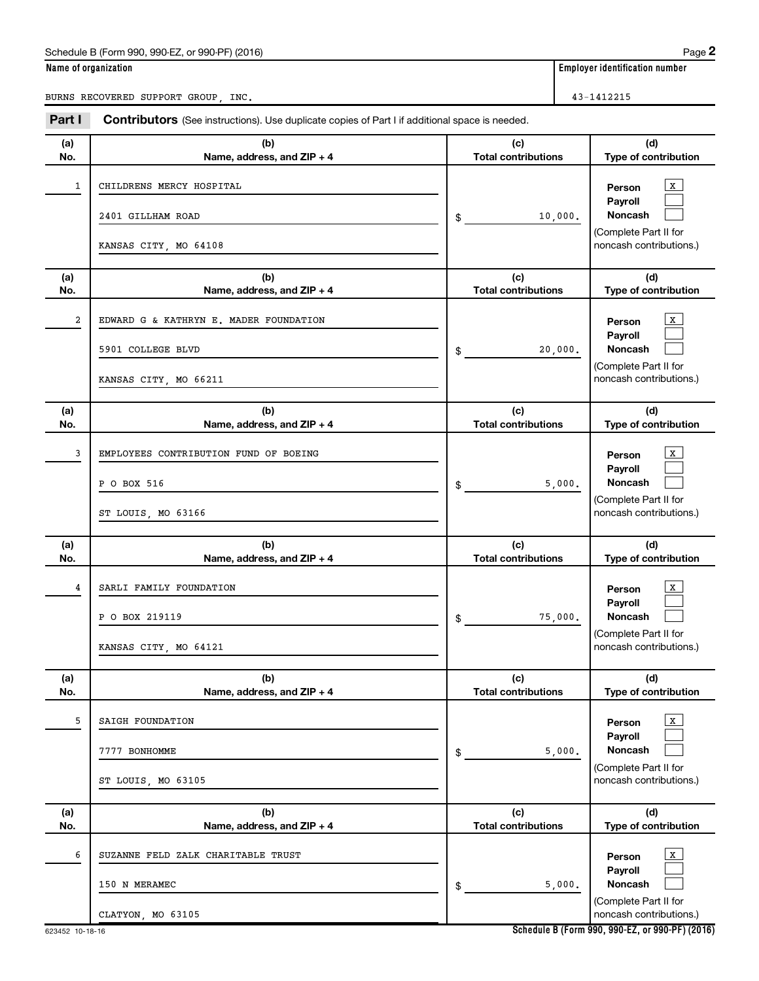### Schedule B (Form 990, 990-EZ, or 990-PF) (2016)

|--|--|

**Name of organization Employer identification number**

BURNS RECOVERED SUPPORT GROUP, INC.

| Part I                  | Contributors (See instructions). Use duplicate copies of Part I if additional space is needed. |                                   |                                                                                                        |  |  |
|-------------------------|------------------------------------------------------------------------------------------------|-----------------------------------|--------------------------------------------------------------------------------------------------------|--|--|
| (a)<br>No.              | (b)<br>Name, address, and ZIP + 4                                                              | (c)<br><b>Total contributions</b> | (d)<br>Type of contribution                                                                            |  |  |
| 1                       | CHILDRENS MERCY HOSPITAL<br>2401 GILLHAM ROAD<br>KANSAS CITY, MO 64108                         | 10,000.<br>\$                     | $\mathbf{x}$<br>Person<br>Payroll<br>Noncash<br>(Complete Part II for<br>noncash contributions.)       |  |  |
| (a)<br>No.              | (b)<br>Name, address, and ZIP + 4                                                              | (c)<br><b>Total contributions</b> | (d)<br>Type of contribution                                                                            |  |  |
| $\overline{\mathbf{2}}$ | EDWARD G & KATHRYN E. MADER FOUNDATION<br>5901 COLLEGE BLVD<br>KANSAS CITY, MO 66211           | 20,000.<br>\$                     | $\mathbf{x}$<br>Person<br>Payroll<br>Noncash<br>(Complete Part II for<br>noncash contributions.)       |  |  |
| (a)<br>No.              | (b)<br>Name, address, and ZIP + 4                                                              | (c)<br><b>Total contributions</b> | (d)<br>Type of contribution                                                                            |  |  |
| 3                       | EMPLOYEES CONTRIBUTION FUND OF BOEING<br>P O BOX 516<br>ST LOUIS, MO 63166                     | 5,000.<br>\$                      | $\mathbf{x}$<br>Person<br>Payroll<br>Noncash<br>(Complete Part II for<br>noncash contributions.)       |  |  |
| (a)<br>No.              | (b)<br>Name, address, and ZIP + 4                                                              | (c)<br><b>Total contributions</b> | (d)<br>Type of contribution                                                                            |  |  |
| 4                       | SARLI FAMILY FOUNDATION<br>P O BOX 219119<br>KANSAS CITY, MO 64121                             | 75,000.<br>\$                     | $\mathbf{X}$<br>Person<br>Payroll<br>Noncash<br>(Complete Part II for<br>noncash contributions.)       |  |  |
| (a)<br>No.              | (b)<br>Name, address, and ZIP + 4                                                              | (c)<br><b>Total contributions</b> | (d)<br>Type of contribution                                                                            |  |  |
| 5                       | SAIGH FOUNDATION<br>7777 BONHOMME<br>ST LOUIS, MO 63105                                        | 5,000.<br>\$                      | $\mathbf X$<br>Person<br>Pavroll<br><b>Noncash</b><br>(Complete Part II for<br>noncash contributions.) |  |  |
| (a)<br>No.              | (b)<br>Name, address, and ZIP + 4                                                              | (c)<br><b>Total contributions</b> | (d)<br>Type of contribution                                                                            |  |  |
| 6                       | SUZANNE FELD ZALK CHARITABLE TRUST<br>150 N MERAMEC<br>CLATYON, MO 63105                       | 5,000.<br>\$                      | $\mathbf X$<br>Person<br>Payroll<br><b>Noncash</b><br>(Complete Part II for<br>noncash contributions.) |  |  |

**Schedule B (Form 990, 990-EZ, or 990-PF) (2016)**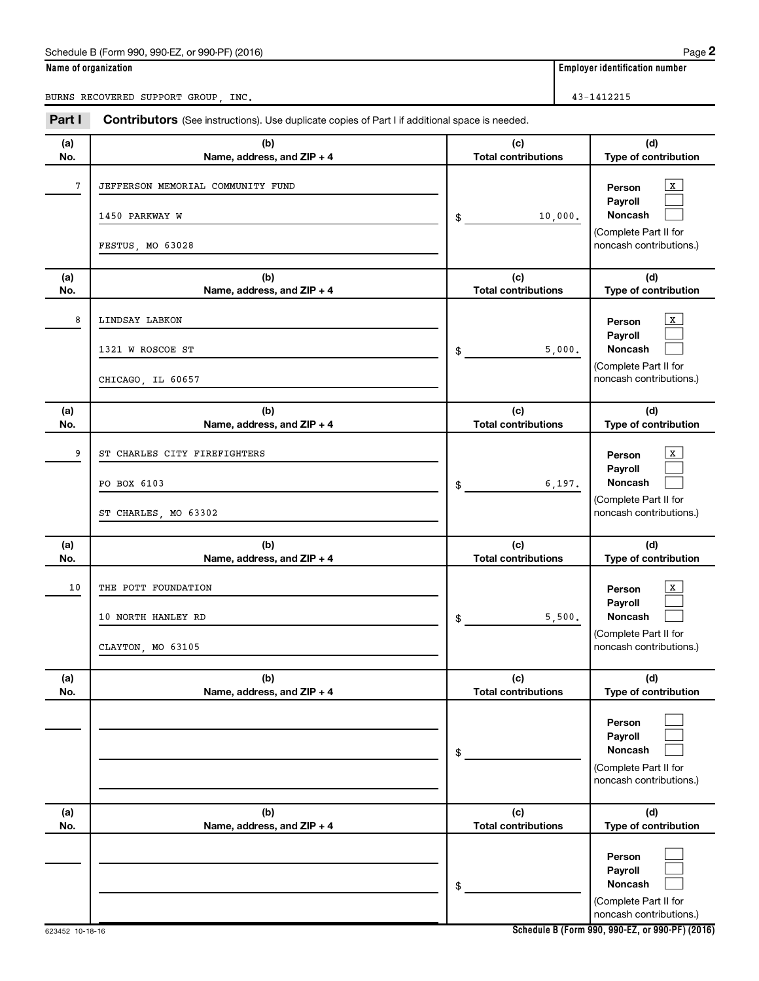### Schedule B (Form 990, 990-EZ, or 990-PF) (2016)

|--|--|

BURNS RECOVERED SUPPORT GROUP, INC.

| Name of organization | <b>Employer identification number</b> |
|----------------------|---------------------------------------|
|                      |                                       |

| Part I     | Contributors (See instructions). Use duplicate copies of Part I if additional space is needed. |                                   |                                                                                         |
|------------|------------------------------------------------------------------------------------------------|-----------------------------------|-----------------------------------------------------------------------------------------|
| (a)<br>No. | (b)<br>Name, address, and ZIP + 4                                                              | (c)<br><b>Total contributions</b> | (d)<br>Type of contribution                                                             |
| 7          | JEFFERSON MEMORIAL COMMUNITY FUND<br>1450 PARKWAY W<br>FESTUS, MO 63028                        | 10,000.<br>\$                     | X<br>Person<br>Payroll<br>Noncash<br>(Complete Part II for<br>noncash contributions.)   |
| (a)<br>No. | (b)<br>Name, address, and ZIP + 4                                                              | (c)<br><b>Total contributions</b> | (d)<br>Type of contribution                                                             |
| 8          | LINDSAY LABKON<br>1321 W ROSCOE ST<br>CHICAGO, IL 60657                                        | 5,000.<br>\$                      | x<br>Person<br>Payroll<br>Noncash<br>(Complete Part II for<br>noncash contributions.)   |
| (a)<br>No. | (b)<br>Name, address, and ZIP + 4                                                              | (c)<br><b>Total contributions</b> | (d)<br>Type of contribution                                                             |
| 9          | ST CHARLES CITY FIREFIGHTERS<br>PO BOX 6103<br>ST CHARLES, MO 63302                            | 6,197.<br>\$                      | x<br>Person<br>Payroll<br>Noncash<br>(Complete Part II for<br>noncash contributions.)   |
| (a)<br>No. | (b)<br>Name, address, and ZIP + 4                                                              | (c)<br><b>Total contributions</b> | (d)<br>Type of contribution                                                             |
| 10         | THE POTT FOUNDATION<br>10 NORTH HANLEY RD<br>CLAYTON, MO 63105                                 | 5,500.<br>\$                      | x<br>Person<br>Payroll<br>Noncash<br>(Complete Part II for<br>noncash contributions.)   |
| (a)<br>No. | (b)<br>Name, address, and ZIP + 4                                                              | (c)<br><b>Total contributions</b> | (d)<br>Type of contribution                                                             |
|            |                                                                                                | \$                                | Person<br>Pavroll<br><b>Noncash</b><br>(Complete Part II for<br>noncash contributions.) |
| (a)<br>No. | (b)<br>Name, address, and ZIP + 4                                                              | (c)<br><b>Total contributions</b> | (d)<br>Type of contribution                                                             |
|            |                                                                                                | \$                                | Person<br>Payroll<br><b>Noncash</b><br>(Complete Part II for<br>noncash contributions.) |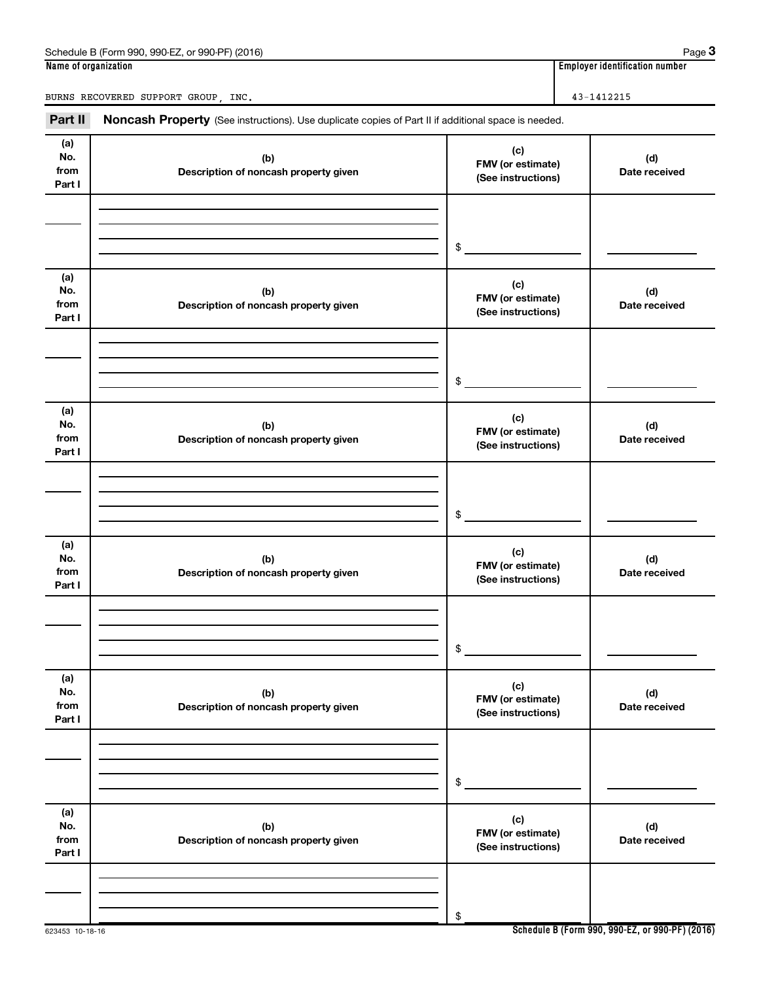| Schedule B (Form 990,<br>) (2016)<br>990-EZ<br>or 990-PF) | Paɑe                               |
|-----------------------------------------------------------|------------------------------------|
| Name of organization                                      | <br>Emplover identification number |

**Name of organization Employer identification number**

BURNS RECOVERED SUPPORT GROUP, INC. 43-1412215

Part II Noncash Property (See instructions). Use duplicate copies of Part II if additional space is needed.

| .                            | <b>abii i i oporty</b> (600 mondonomo <i>j</i> . 600 daphodto oopioo or i dit ii ii ddantomar o |                                                |                      |
|------------------------------|-------------------------------------------------------------------------------------------------|------------------------------------------------|----------------------|
| (a)<br>No.<br>from<br>Part I | (b)<br>Description of noncash property given                                                    | (c)<br>FMV (or estimate)<br>(See instructions) | (d)<br>Date received |
|                              |                                                                                                 |                                                |                      |
|                              |                                                                                                 |                                                |                      |
|                              |                                                                                                 | \$                                             |                      |
| (a)<br>No.<br>from<br>Part I | (b)<br>Description of noncash property given                                                    | (c)<br>FMV (or estimate)<br>(See instructions) | (d)<br>Date received |
|                              |                                                                                                 |                                                |                      |
|                              |                                                                                                 |                                                |                      |
|                              |                                                                                                 | \$                                             |                      |
| (a)                          |                                                                                                 |                                                |                      |
| No.<br>from<br>Part I        | (b)<br>Description of noncash property given                                                    | (c)<br>FMV (or estimate)<br>(See instructions) | (d)<br>Date received |
|                              |                                                                                                 |                                                |                      |
|                              |                                                                                                 |                                                |                      |
|                              |                                                                                                 | $\frac{1}{2}$                                  |                      |
| (a)<br>No.<br>from<br>Part I | (b)<br>Description of noncash property given                                                    | (c)<br>FMV (or estimate)<br>(See instructions) | (d)<br>Date received |
|                              |                                                                                                 |                                                |                      |
|                              |                                                                                                 |                                                |                      |
|                              |                                                                                                 | $\frac{1}{2}$                                  |                      |
|                              |                                                                                                 |                                                |                      |
| (a)<br>No.<br>from<br>Part I | (b)<br>Description of noncash property given                                                    | (c)<br>FMV (or estimate)<br>(See instructions) | (d)<br>Date received |
|                              |                                                                                                 |                                                |                      |
|                              |                                                                                                 |                                                |                      |
|                              |                                                                                                 | \$                                             |                      |
| (a)                          |                                                                                                 |                                                |                      |
| No.                          | (b)                                                                                             | (c)<br>FMV (or estimate)                       | (d)                  |
| from<br>Part I               | Description of noncash property given                                                           | (See instructions)                             | Date received        |
|                              |                                                                                                 |                                                |                      |
|                              |                                                                                                 |                                                |                      |
|                              |                                                                                                 | \$                                             |                      |

**3**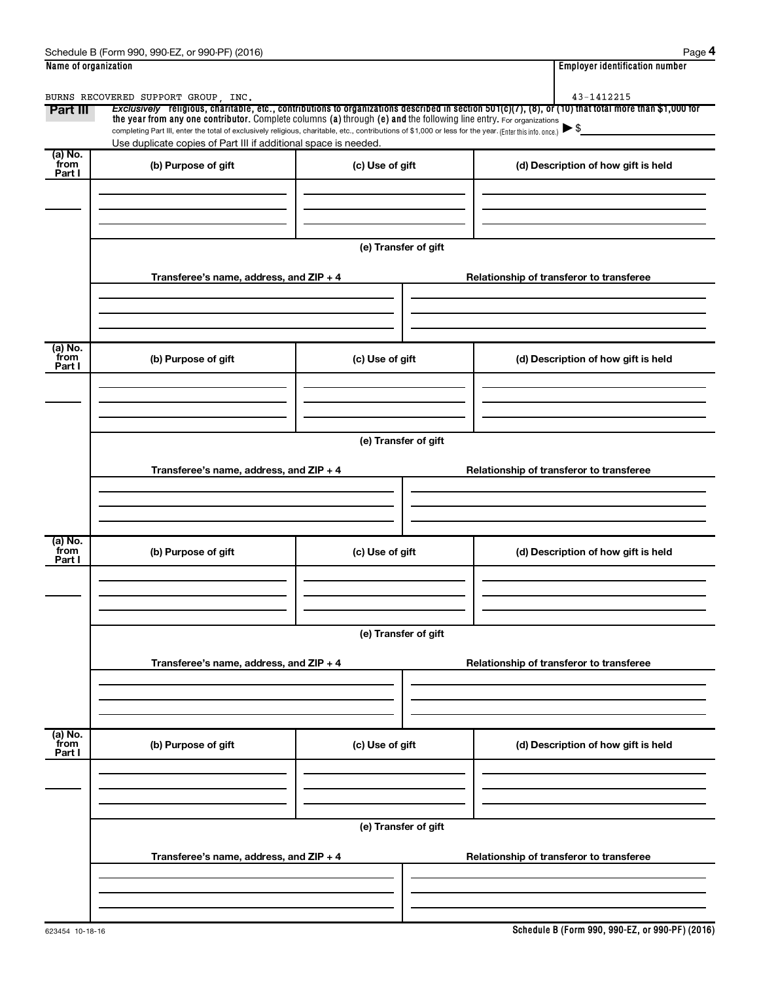| Name of organization      |                                                                                                                                                                                                                             |                                          | <b>Employer identification number</b>                                                                                                                 |  |  |  |  |
|---------------------------|-----------------------------------------------------------------------------------------------------------------------------------------------------------------------------------------------------------------------------|------------------------------------------|-------------------------------------------------------------------------------------------------------------------------------------------------------|--|--|--|--|
|                           | BURNS RECOVERED SUPPORT GROUP, INC.                                                                                                                                                                                         |                                          | 43-1412215                                                                                                                                            |  |  |  |  |
| Part III                  | the year from any one contributor. Complete columns (a) through (e) and the following line entry. For organizations                                                                                                         |                                          | Exclusively religious, charitable, etc., contributions to organizations described in section 501(c)(7), (8), or (10) that total more than \$1,000 for |  |  |  |  |
|                           | completing Part III, enter the total of exclusively religious, charitable, etc., contributions of \$1,000 or less for the year. (Enter this info. once.)<br>Use duplicate copies of Part III if additional space is needed. |                                          |                                                                                                                                                       |  |  |  |  |
| (a) No.                   |                                                                                                                                                                                                                             |                                          |                                                                                                                                                       |  |  |  |  |
| from<br>Part I            | (b) Purpose of gift                                                                                                                                                                                                         | (c) Use of gift                          | (d) Description of how gift is held                                                                                                                   |  |  |  |  |
|                           |                                                                                                                                                                                                                             |                                          |                                                                                                                                                       |  |  |  |  |
|                           |                                                                                                                                                                                                                             |                                          |                                                                                                                                                       |  |  |  |  |
|                           |                                                                                                                                                                                                                             |                                          |                                                                                                                                                       |  |  |  |  |
|                           |                                                                                                                                                                                                                             | (e) Transfer of gift                     |                                                                                                                                                       |  |  |  |  |
|                           |                                                                                                                                                                                                                             |                                          |                                                                                                                                                       |  |  |  |  |
|                           | Transferee's name, address, and $ZIP + 4$                                                                                                                                                                                   |                                          | Relationship of transferor to transferee                                                                                                              |  |  |  |  |
|                           |                                                                                                                                                                                                                             |                                          |                                                                                                                                                       |  |  |  |  |
|                           |                                                                                                                                                                                                                             |                                          |                                                                                                                                                       |  |  |  |  |
|                           |                                                                                                                                                                                                                             |                                          |                                                                                                                                                       |  |  |  |  |
| (a) No.<br>from           | (b) Purpose of gift                                                                                                                                                                                                         | (c) Use of gift                          | (d) Description of how gift is held                                                                                                                   |  |  |  |  |
| Part I                    |                                                                                                                                                                                                                             |                                          |                                                                                                                                                       |  |  |  |  |
|                           |                                                                                                                                                                                                                             |                                          |                                                                                                                                                       |  |  |  |  |
|                           |                                                                                                                                                                                                                             |                                          |                                                                                                                                                       |  |  |  |  |
|                           |                                                                                                                                                                                                                             |                                          |                                                                                                                                                       |  |  |  |  |
|                           | (e) Transfer of gift                                                                                                                                                                                                        |                                          |                                                                                                                                                       |  |  |  |  |
|                           | Transferee's name, address, and ZIP + 4                                                                                                                                                                                     | Relationship of transferor to transferee |                                                                                                                                                       |  |  |  |  |
|                           |                                                                                                                                                                                                                             |                                          |                                                                                                                                                       |  |  |  |  |
|                           |                                                                                                                                                                                                                             |                                          |                                                                                                                                                       |  |  |  |  |
|                           |                                                                                                                                                                                                                             |                                          |                                                                                                                                                       |  |  |  |  |
| (a) No.                   |                                                                                                                                                                                                                             |                                          |                                                                                                                                                       |  |  |  |  |
| from<br>Part I            | (b) Purpose of gift                                                                                                                                                                                                         | (c) Use of gift                          | (d) Description of how gift is held                                                                                                                   |  |  |  |  |
|                           |                                                                                                                                                                                                                             |                                          |                                                                                                                                                       |  |  |  |  |
|                           |                                                                                                                                                                                                                             |                                          |                                                                                                                                                       |  |  |  |  |
|                           |                                                                                                                                                                                                                             |                                          |                                                                                                                                                       |  |  |  |  |
|                           |                                                                                                                                                                                                                             | (e) Transfer of gift                     |                                                                                                                                                       |  |  |  |  |
|                           |                                                                                                                                                                                                                             |                                          |                                                                                                                                                       |  |  |  |  |
|                           | Transferee's name, address, and ZIP + 4                                                                                                                                                                                     |                                          | Relationship of transferor to transferee                                                                                                              |  |  |  |  |
|                           |                                                                                                                                                                                                                             |                                          |                                                                                                                                                       |  |  |  |  |
|                           |                                                                                                                                                                                                                             |                                          |                                                                                                                                                       |  |  |  |  |
|                           |                                                                                                                                                                                                                             |                                          |                                                                                                                                                       |  |  |  |  |
| (a) No.<br>from<br>Part I | (b) Purpose of gift                                                                                                                                                                                                         | (c) Use of gift                          | (d) Description of how gift is held                                                                                                                   |  |  |  |  |
|                           |                                                                                                                                                                                                                             |                                          |                                                                                                                                                       |  |  |  |  |
|                           |                                                                                                                                                                                                                             |                                          |                                                                                                                                                       |  |  |  |  |
|                           |                                                                                                                                                                                                                             |                                          |                                                                                                                                                       |  |  |  |  |
|                           |                                                                                                                                                                                                                             |                                          |                                                                                                                                                       |  |  |  |  |
|                           | (e) Transfer of gift                                                                                                                                                                                                        |                                          |                                                                                                                                                       |  |  |  |  |
|                           | Transferee's name, address, and ZIP + 4                                                                                                                                                                                     |                                          | Relationship of transferor to transferee                                                                                                              |  |  |  |  |
|                           |                                                                                                                                                                                                                             |                                          |                                                                                                                                                       |  |  |  |  |
|                           |                                                                                                                                                                                                                             |                                          |                                                                                                                                                       |  |  |  |  |
|                           |                                                                                                                                                                                                                             |                                          |                                                                                                                                                       |  |  |  |  |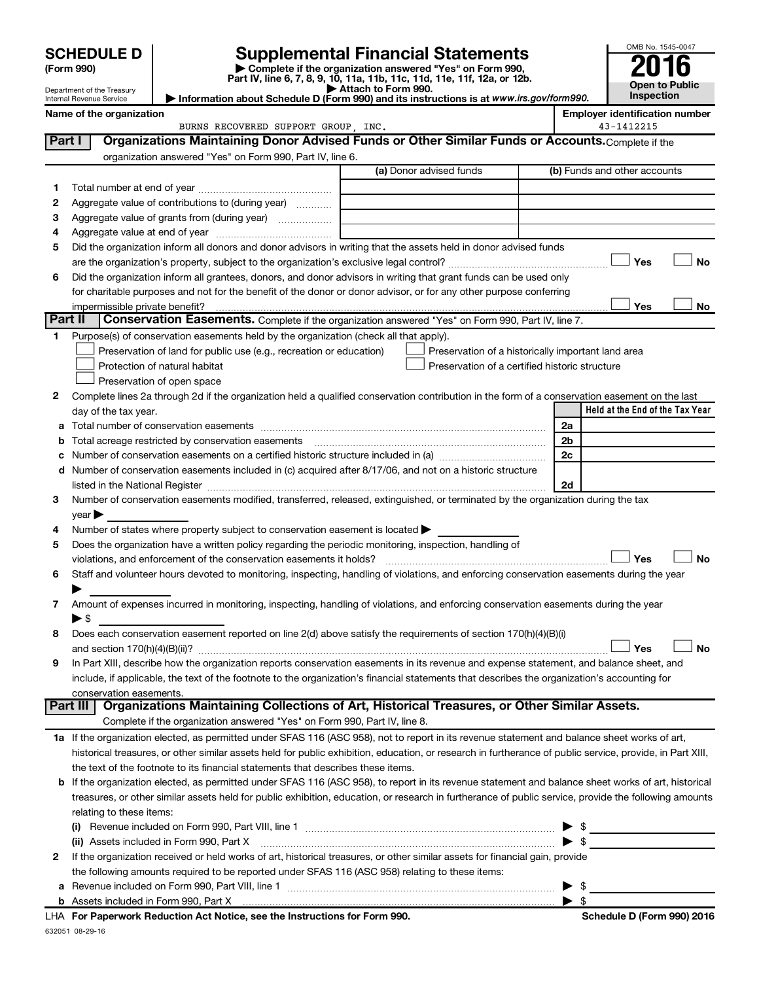|         |                                                                                                                                                                          |                                                                                                                                                                                                                                                                                                                                                                   |  |                                                                                                                                                                                                                                                                                                                                                                                                                                               |  |                          | OMB No. 1545-0047                     |
|---------|--------------------------------------------------------------------------------------------------------------------------------------------------------------------------|-------------------------------------------------------------------------------------------------------------------------------------------------------------------------------------------------------------------------------------------------------------------------------------------------------------------------------------------------------------------|--|-----------------------------------------------------------------------------------------------------------------------------------------------------------------------------------------------------------------------------------------------------------------------------------------------------------------------------------------------------------------------------------------------------------------------------------------------|--|--------------------------|---------------------------------------|
|         | <b>Supplemental Financial Statements</b><br><b>SCHEDULE D</b><br>Complete if the organization answered "Yes" on Form 990,<br>(Form 990)                                  |                                                                                                                                                                                                                                                                                                                                                                   |  |                                                                                                                                                                                                                                                                                                                                                                                                                                               |  |                          |                                       |
|         |                                                                                                                                                                          | Part IV, line 6, 7, 8, 9, 10, 11a, 11b, 11c, 11d, 11e, 11f, 12a, or 12b.                                                                                                                                                                                                                                                                                          |  |                                                                                                                                                                                                                                                                                                                                                                                                                                               |  |                          |                                       |
|         | Attach to Form 990.<br>Department of the Treasury<br>Information about Schedule D (Form 990) and its instructions is at www.irs.gov/form990.<br>Internal Revenue Service |                                                                                                                                                                                                                                                                                                                                                                   |  |                                                                                                                                                                                                                                                                                                                                                                                                                                               |  |                          | Open to Public<br><b>Inspection</b>   |
|         | Name of the organization                                                                                                                                                 |                                                                                                                                                                                                                                                                                                                                                                   |  |                                                                                                                                                                                                                                                                                                                                                                                                                                               |  |                          | <b>Employer identification number</b> |
|         |                                                                                                                                                                          | BURNS RECOVERED SUPPORT GROUP INC.                                                                                                                                                                                                                                                                                                                                |  |                                                                                                                                                                                                                                                                                                                                                                                                                                               |  |                          | 43-1412215                            |
| Part I  |                                                                                                                                                                          | Organizations Maintaining Donor Advised Funds or Other Similar Funds or Accounts. Complete if the                                                                                                                                                                                                                                                                 |  |                                                                                                                                                                                                                                                                                                                                                                                                                                               |  |                          |                                       |
|         |                                                                                                                                                                          | organization answered "Yes" on Form 990, Part IV, line 6.                                                                                                                                                                                                                                                                                                         |  |                                                                                                                                                                                                                                                                                                                                                                                                                                               |  |                          |                                       |
|         |                                                                                                                                                                          |                                                                                                                                                                                                                                                                                                                                                                   |  | (a) Donor advised funds                                                                                                                                                                                                                                                                                                                                                                                                                       |  |                          | (b) Funds and other accounts          |
| 1.      |                                                                                                                                                                          |                                                                                                                                                                                                                                                                                                                                                                   |  |                                                                                                                                                                                                                                                                                                                                                                                                                                               |  |                          |                                       |
| 2       |                                                                                                                                                                          | Aggregate value of contributions to (during year)                                                                                                                                                                                                                                                                                                                 |  |                                                                                                                                                                                                                                                                                                                                                                                                                                               |  |                          |                                       |
| З       |                                                                                                                                                                          | Aggregate value of grants from (during year)                                                                                                                                                                                                                                                                                                                      |  |                                                                                                                                                                                                                                                                                                                                                                                                                                               |  |                          |                                       |
| 4<br>5  |                                                                                                                                                                          | Did the organization inform all donors and donor advisors in writing that the assets held in donor advised funds                                                                                                                                                                                                                                                  |  |                                                                                                                                                                                                                                                                                                                                                                                                                                               |  |                          |                                       |
|         |                                                                                                                                                                          |                                                                                                                                                                                                                                                                                                                                                                   |  |                                                                                                                                                                                                                                                                                                                                                                                                                                               |  |                          | Yes<br><b>No</b>                      |
| 6       |                                                                                                                                                                          | Did the organization inform all grantees, donors, and donor advisors in writing that grant funds can be used only                                                                                                                                                                                                                                                 |  |                                                                                                                                                                                                                                                                                                                                                                                                                                               |  |                          |                                       |
|         |                                                                                                                                                                          | for charitable purposes and not for the benefit of the donor or donor advisor, or for any other purpose conferring                                                                                                                                                                                                                                                |  |                                                                                                                                                                                                                                                                                                                                                                                                                                               |  |                          |                                       |
|         | impermissible private benefit?                                                                                                                                           |                                                                                                                                                                                                                                                                                                                                                                   |  |                                                                                                                                                                                                                                                                                                                                                                                                                                               |  |                          | Yes<br>No                             |
| Part II |                                                                                                                                                                          | Conservation Easements. Complete if the organization answered "Yes" on Form 990, Part IV, line 7.                                                                                                                                                                                                                                                                 |  |                                                                                                                                                                                                                                                                                                                                                                                                                                               |  |                          |                                       |
| 1.      |                                                                                                                                                                          | Purpose(s) of conservation easements held by the organization (check all that apply).                                                                                                                                                                                                                                                                             |  |                                                                                                                                                                                                                                                                                                                                                                                                                                               |  |                          |                                       |
|         |                                                                                                                                                                          | Preservation of land for public use (e.g., recreation or education)                                                                                                                                                                                                                                                                                               |  | Preservation of a historically important land area                                                                                                                                                                                                                                                                                                                                                                                            |  |                          |                                       |
|         |                                                                                                                                                                          | Protection of natural habitat                                                                                                                                                                                                                                                                                                                                     |  | Preservation of a certified historic structure                                                                                                                                                                                                                                                                                                                                                                                                |  |                          |                                       |
|         |                                                                                                                                                                          | Preservation of open space                                                                                                                                                                                                                                                                                                                                        |  |                                                                                                                                                                                                                                                                                                                                                                                                                                               |  |                          |                                       |
| 2       |                                                                                                                                                                          | Complete lines 2a through 2d if the organization held a qualified conservation contribution in the form of a conservation easement on the last                                                                                                                                                                                                                    |  |                                                                                                                                                                                                                                                                                                                                                                                                                                               |  |                          |                                       |
|         | day of the tax year.                                                                                                                                                     |                                                                                                                                                                                                                                                                                                                                                                   |  |                                                                                                                                                                                                                                                                                                                                                                                                                                               |  |                          | Held at the End of the Tax Year       |
| а       |                                                                                                                                                                          |                                                                                                                                                                                                                                                                                                                                                                   |  |                                                                                                                                                                                                                                                                                                                                                                                                                                               |  | 2a                       |                                       |
| b       |                                                                                                                                                                          | Total acreage restricted by conservation easements                                                                                                                                                                                                                                                                                                                |  |                                                                                                                                                                                                                                                                                                                                                                                                                                               |  | 2b                       |                                       |
| с       |                                                                                                                                                                          | Number of conservation easements included in (c) acquired after 8/17/06, and not on a historic structure                                                                                                                                                                                                                                                          |  |                                                                                                                                                                                                                                                                                                                                                                                                                                               |  | 2c                       |                                       |
| d       |                                                                                                                                                                          |                                                                                                                                                                                                                                                                                                                                                                   |  |                                                                                                                                                                                                                                                                                                                                                                                                                                               |  | 2d                       |                                       |
| 3       |                                                                                                                                                                          | listed in the National Register [111] Marshall Register [11] Marshall Register [11] Marshall Register [11] Marshall Register [11] Marshall Register [11] Marshall Register [11] Marshall Register [11] Marshall Register [11]<br>Number of conservation easements modified, transferred, released, extinguished, or terminated by the organization during the tax |  |                                                                                                                                                                                                                                                                                                                                                                                                                                               |  |                          |                                       |
|         | $year \blacktriangleright$                                                                                                                                               |                                                                                                                                                                                                                                                                                                                                                                   |  |                                                                                                                                                                                                                                                                                                                                                                                                                                               |  |                          |                                       |
| 4       |                                                                                                                                                                          | Number of states where property subject to conservation easement is located >                                                                                                                                                                                                                                                                                     |  |                                                                                                                                                                                                                                                                                                                                                                                                                                               |  |                          |                                       |
| 5       |                                                                                                                                                                          | Does the organization have a written policy regarding the periodic monitoring, inspection, handling of                                                                                                                                                                                                                                                            |  |                                                                                                                                                                                                                                                                                                                                                                                                                                               |  |                          |                                       |
|         |                                                                                                                                                                          | violations, and enforcement of the conservation easements it holds?                                                                                                                                                                                                                                                                                               |  |                                                                                                                                                                                                                                                                                                                                                                                                                                               |  |                          | <b>No</b><br>Yes                      |
| 6       |                                                                                                                                                                          | Staff and volunteer hours devoted to monitoring, inspecting, handling of violations, and enforcing conservation easements during the year                                                                                                                                                                                                                         |  |                                                                                                                                                                                                                                                                                                                                                                                                                                               |  |                          |                                       |
|         |                                                                                                                                                                          |                                                                                                                                                                                                                                                                                                                                                                   |  |                                                                                                                                                                                                                                                                                                                                                                                                                                               |  |                          |                                       |
| 7       |                                                                                                                                                                          | Amount of expenses incurred in monitoring, inspecting, handling of violations, and enforcing conservation easements during the year                                                                                                                                                                                                                               |  |                                                                                                                                                                                                                                                                                                                                                                                                                                               |  |                          |                                       |
|         | $\blacktriangleright$ \$                                                                                                                                                 |                                                                                                                                                                                                                                                                                                                                                                   |  |                                                                                                                                                                                                                                                                                                                                                                                                                                               |  |                          |                                       |
| 8       |                                                                                                                                                                          | Does each conservation easement reported on line 2(d) above satisfy the requirements of section 170(h)(4)(B)(i)                                                                                                                                                                                                                                                   |  |                                                                                                                                                                                                                                                                                                                                                                                                                                               |  |                          |                                       |
|         |                                                                                                                                                                          |                                                                                                                                                                                                                                                                                                                                                                   |  |                                                                                                                                                                                                                                                                                                                                                                                                                                               |  |                          | Yes<br><b>No</b>                      |
| 9       |                                                                                                                                                                          | In Part XIII, describe how the organization reports conservation easements in its revenue and expense statement, and balance sheet, and                                                                                                                                                                                                                           |  |                                                                                                                                                                                                                                                                                                                                                                                                                                               |  |                          |                                       |
|         | conservation easements.                                                                                                                                                  | include, if applicable, the text of the footnote to the organization's financial statements that describes the organization's accounting for                                                                                                                                                                                                                      |  |                                                                                                                                                                                                                                                                                                                                                                                                                                               |  |                          |                                       |
|         | Part III                                                                                                                                                                 | Organizations Maintaining Collections of Art, Historical Treasures, or Other Similar Assets.                                                                                                                                                                                                                                                                      |  |                                                                                                                                                                                                                                                                                                                                                                                                                                               |  |                          |                                       |
|         |                                                                                                                                                                          | Complete if the organization answered "Yes" on Form 990, Part IV, line 8.                                                                                                                                                                                                                                                                                         |  |                                                                                                                                                                                                                                                                                                                                                                                                                                               |  |                          |                                       |
|         |                                                                                                                                                                          | 1a If the organization elected, as permitted under SFAS 116 (ASC 958), not to report in its revenue statement and balance sheet works of art,                                                                                                                                                                                                                     |  |                                                                                                                                                                                                                                                                                                                                                                                                                                               |  |                          |                                       |
|         |                                                                                                                                                                          | historical treasures, or other similar assets held for public exhibition, education, or research in furtherance of public service, provide, in Part XIII,                                                                                                                                                                                                         |  |                                                                                                                                                                                                                                                                                                                                                                                                                                               |  |                          |                                       |
|         |                                                                                                                                                                          | the text of the footnote to its financial statements that describes these items.                                                                                                                                                                                                                                                                                  |  |                                                                                                                                                                                                                                                                                                                                                                                                                                               |  |                          |                                       |
| b       |                                                                                                                                                                          | If the organization elected, as permitted under SFAS 116 (ASC 958), to report in its revenue statement and balance sheet works of art, historical                                                                                                                                                                                                                 |  |                                                                                                                                                                                                                                                                                                                                                                                                                                               |  |                          |                                       |
|         |                                                                                                                                                                          | treasures, or other similar assets held for public exhibition, education, or research in furtherance of public service, provide the following amounts                                                                                                                                                                                                             |  |                                                                                                                                                                                                                                                                                                                                                                                                                                               |  |                          |                                       |
|         | relating to these items:                                                                                                                                                 |                                                                                                                                                                                                                                                                                                                                                                   |  |                                                                                                                                                                                                                                                                                                                                                                                                                                               |  |                          |                                       |
|         |                                                                                                                                                                          |                                                                                                                                                                                                                                                                                                                                                                   |  |                                                                                                                                                                                                                                                                                                                                                                                                                                               |  |                          |                                       |
|         |                                                                                                                                                                          | (ii) Assets included in Form 990, Part X                                                                                                                                                                                                                                                                                                                          |  | $\begin{minipage}{0.5\textwidth} \begin{tabular}{ l l l } \hline & \multicolumn{1}{ l l } \hline & \multicolumn{1}{ l } \multicolumn{1}{ l } \hline \multicolumn{1}{ l } \multicolumn{1}{ l } \multicolumn{1}{ l } \multicolumn{1}{ l } \multicolumn{1}{ l } \multicolumn{1}{ l } \multicolumn{1}{ l } \multicolumn{1}{ l } \multicolumn{1}{ l } \multicolumn{1}{ l } \multicolumn{1}{ l } \multicolumn{1}{ l } \multicolumn{1}{ l } \multic$ |  | $\blacktriangleright$ s  |                                       |
| 2       |                                                                                                                                                                          | If the organization received or held works of art, historical treasures, or other similar assets for financial gain, provide                                                                                                                                                                                                                                      |  |                                                                                                                                                                                                                                                                                                                                                                                                                                               |  |                          |                                       |
|         |                                                                                                                                                                          | the following amounts required to be reported under SFAS 116 (ASC 958) relating to these items:                                                                                                                                                                                                                                                                   |  |                                                                                                                                                                                                                                                                                                                                                                                                                                               |  |                          |                                       |
| а       |                                                                                                                                                                          |                                                                                                                                                                                                                                                                                                                                                                   |  |                                                                                                                                                                                                                                                                                                                                                                                                                                               |  | $\blacktriangleright$ \$ |                                       |

| Assets included in Form 990, Part X                                        |                            |
|----------------------------------------------------------------------------|----------------------------|
| LHA For Paperwork Reduction Act Notice, see the Instructions for Form 990. | Schedule D (Form 990) 2016 |

632051 08-29-16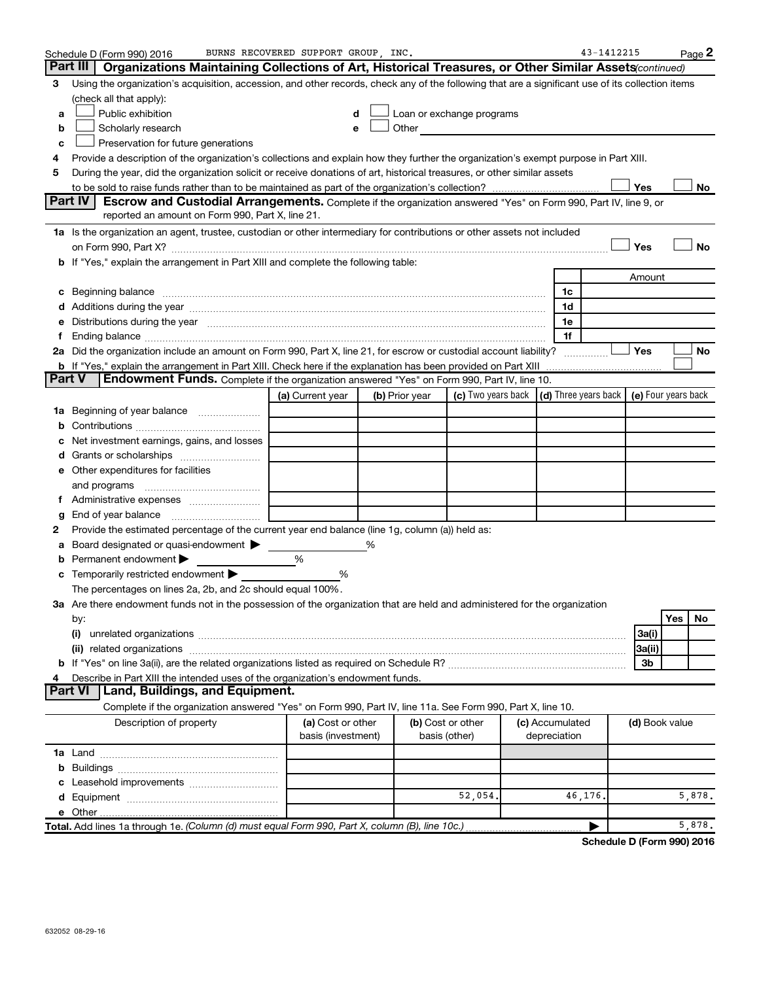|        | Schedule D (Form 990) 2016                                                                                                                                                                                                     | BURNS RECOVERED SUPPORT GROUP, INC.     |                |                                                                                                                                                                                                                               |                                                   | 43-1412215 |                | Page 2    |
|--------|--------------------------------------------------------------------------------------------------------------------------------------------------------------------------------------------------------------------------------|-----------------------------------------|----------------|-------------------------------------------------------------------------------------------------------------------------------------------------------------------------------------------------------------------------------|---------------------------------------------------|------------|----------------|-----------|
|        | Part III<br><b>Organizations Maintaining Collections of Art, Historical Treasures, or Other Similar Assets</b> <i>continued</i> )                                                                                              |                                         |                |                                                                                                                                                                                                                               |                                                   |            |                |           |
| з      | Using the organization's acquisition, accession, and other records, check any of the following that are a significant use of its collection items                                                                              |                                         |                |                                                                                                                                                                                                                               |                                                   |            |                |           |
|        | (check all that apply):                                                                                                                                                                                                        |                                         |                |                                                                                                                                                                                                                               |                                                   |            |                |           |
| a      | Public exhibition                                                                                                                                                                                                              | d                                       |                | Loan or exchange programs                                                                                                                                                                                                     |                                                   |            |                |           |
| b      | Scholarly research                                                                                                                                                                                                             | е                                       |                | Other and the contract of the contract of the contract of the contract of the contract of the contract of the contract of the contract of the contract of the contract of the contract of the contract of the contract of the |                                                   |            |                |           |
| c      | Preservation for future generations                                                                                                                                                                                            |                                         |                |                                                                                                                                                                                                                               |                                                   |            |                |           |
| 4      | Provide a description of the organization's collections and explain how they further the organization's exempt purpose in Part XIII.                                                                                           |                                         |                |                                                                                                                                                                                                                               |                                                   |            |                |           |
| 5      | During the year, did the organization solicit or receive donations of art, historical treasures, or other similar assets                                                                                                       |                                         |                |                                                                                                                                                                                                                               |                                                   |            |                |           |
|        |                                                                                                                                                                                                                                |                                         |                |                                                                                                                                                                                                                               |                                                   |            | Yes            | No        |
|        | <b>Part IV</b><br>Escrow and Custodial Arrangements. Complete if the organization answered "Yes" on Form 990, Part IV, line 9, or                                                                                              |                                         |                |                                                                                                                                                                                                                               |                                                   |            |                |           |
|        | reported an amount on Form 990, Part X, line 21.                                                                                                                                                                               |                                         |                |                                                                                                                                                                                                                               |                                                   |            |                |           |
|        | 1a Is the organization an agent, trustee, custodian or other intermediary for contributions or other assets not included                                                                                                       |                                         |                |                                                                                                                                                                                                                               |                                                   |            |                |           |
|        |                                                                                                                                                                                                                                |                                         |                |                                                                                                                                                                                                                               |                                                   |            | Yes            | <b>No</b> |
|        | <b>b</b> If "Yes," explain the arrangement in Part XIII and complete the following table:                                                                                                                                      |                                         |                |                                                                                                                                                                                                                               |                                                   |            |                |           |
|        |                                                                                                                                                                                                                                |                                         |                |                                                                                                                                                                                                                               |                                                   |            | Amount         |           |
| С      | Beginning balance measurements and the contract of the contract of the contract of the contract of the contract of the contract of the contract of the contract of the contract of the contract of the contract of the contrac |                                         |                |                                                                                                                                                                                                                               | 1c                                                |            |                |           |
|        | Additions during the year manufactured and an account of the state of the state of the state of the state of the state of the state of the state of the state of the state of the state of the state of the state of the state |                                         |                |                                                                                                                                                                                                                               | 1d                                                |            |                |           |
|        | Distributions during the year manufactured and an account of the year manufactured and the year manufactured and the year manufactured and the year manufactured and the year manufactured and the year manufactured and the y |                                         |                |                                                                                                                                                                                                                               | 1e                                                |            |                |           |
|        |                                                                                                                                                                                                                                |                                         |                |                                                                                                                                                                                                                               | 1f                                                |            |                |           |
|        | 2a Did the organization include an amount on Form 990, Part X, line 21, for escrow or custodial account liability?                                                                                                             |                                         |                |                                                                                                                                                                                                                               |                                                   |            | Yes            | No        |
|        | <b>b</b> If "Yes," explain the arrangement in Part XIII. Check here if the explanation has been provided on Part XIII                                                                                                          |                                         |                |                                                                                                                                                                                                                               |                                                   |            |                |           |
| Part V | Endowment Funds. Complete if the organization answered "Yes" on Form 990, Part IV, line 10.                                                                                                                                    |                                         |                |                                                                                                                                                                                                                               |                                                   |            |                |           |
|        |                                                                                                                                                                                                                                | (a) Current year                        | (b) Prior year | (c) Two years back                                                                                                                                                                                                            | $(d)$ Three years back $\mid$ (e) Four years back |            |                |           |
| ٦а     | Beginning of year balance                                                                                                                                                                                                      |                                         |                |                                                                                                                                                                                                                               |                                                   |            |                |           |
|        |                                                                                                                                                                                                                                |                                         |                |                                                                                                                                                                                                                               |                                                   |            |                |           |
|        | Net investment earnings, gains, and losses                                                                                                                                                                                     |                                         |                |                                                                                                                                                                                                                               |                                                   |            |                |           |
|        |                                                                                                                                                                                                                                |                                         |                |                                                                                                                                                                                                                               |                                                   |            |                |           |
|        | e Other expenditures for facilities                                                                                                                                                                                            |                                         |                |                                                                                                                                                                                                                               |                                                   |            |                |           |
|        | and programs                                                                                                                                                                                                                   |                                         |                |                                                                                                                                                                                                                               |                                                   |            |                |           |
|        |                                                                                                                                                                                                                                |                                         |                |                                                                                                                                                                                                                               |                                                   |            |                |           |
| g      | End of year balance                                                                                                                                                                                                            |                                         |                |                                                                                                                                                                                                                               |                                                   |            |                |           |
| 2      | Provide the estimated percentage of the current year end balance (line 1g, column (a)) held as:                                                                                                                                |                                         |                |                                                                                                                                                                                                                               |                                                   |            |                |           |
|        | Board designated or quasi-endowment >                                                                                                                                                                                          |                                         | ℅              |                                                                                                                                                                                                                               |                                                   |            |                |           |
| b      | Permanent endowment                                                                                                                                                                                                            | %                                       |                |                                                                                                                                                                                                                               |                                                   |            |                |           |
| c      | Temporarily restricted endowment                                                                                                                                                                                               | ℅                                       |                |                                                                                                                                                                                                                               |                                                   |            |                |           |
|        | The percentages on lines 2a, 2b, and 2c should equal 100%.                                                                                                                                                                     |                                         |                |                                                                                                                                                                                                                               |                                                   |            |                |           |
|        | 3a Are there endowment funds not in the possession of the organization that are held and administered for the organization                                                                                                     |                                         |                |                                                                                                                                                                                                                               |                                                   |            |                |           |
|        | by:                                                                                                                                                                                                                            |                                         |                |                                                                                                                                                                                                                               |                                                   |            |                | Yes<br>No |
|        | (i)                                                                                                                                                                                                                            |                                         |                |                                                                                                                                                                                                                               |                                                   |            | 3a(i)          |           |
|        |                                                                                                                                                                                                                                |                                         |                |                                                                                                                                                                                                                               |                                                   |            | 3a(ii)         |           |
|        |                                                                                                                                                                                                                                |                                         |                |                                                                                                                                                                                                                               |                                                   |            | 3b             |           |
| 4      | Describe in Part XIII the intended uses of the organization's endowment funds.                                                                                                                                                 |                                         |                |                                                                                                                                                                                                                               |                                                   |            |                |           |
|        | Land, Buildings, and Equipment.<br><b>Part VI</b>                                                                                                                                                                              |                                         |                |                                                                                                                                                                                                                               |                                                   |            |                |           |
|        | Complete if the organization answered "Yes" on Form 990, Part IV, line 11a. See Form 990, Part X, line 10.                                                                                                                     |                                         |                |                                                                                                                                                                                                                               |                                                   |            |                |           |
|        | Description of property                                                                                                                                                                                                        | (a) Cost or other<br>basis (investment) |                | (b) Cost or other<br>basis (other)                                                                                                                                                                                            | (c) Accumulated<br>depreciation                   |            | (d) Book value |           |
|        |                                                                                                                                                                                                                                |                                         |                |                                                                                                                                                                                                                               |                                                   |            |                |           |
| b      |                                                                                                                                                                                                                                |                                         |                |                                                                                                                                                                                                                               |                                                   |            |                |           |
|        |                                                                                                                                                                                                                                |                                         |                |                                                                                                                                                                                                                               |                                                   |            |                |           |
|        |                                                                                                                                                                                                                                |                                         |                | 52,054.                                                                                                                                                                                                                       | 46,176.                                           |            |                | 5,878.    |
|        |                                                                                                                                                                                                                                |                                         |                |                                                                                                                                                                                                                               |                                                   |            |                |           |
|        | Total. Add lines 1a through 1e. (Column (d) must equal Form 990, Part X, column (B), line 10c.)                                                                                                                                |                                         |                |                                                                                                                                                                                                                               |                                                   |            |                | 5,878.    |

**Schedule D (Form 990) 2016**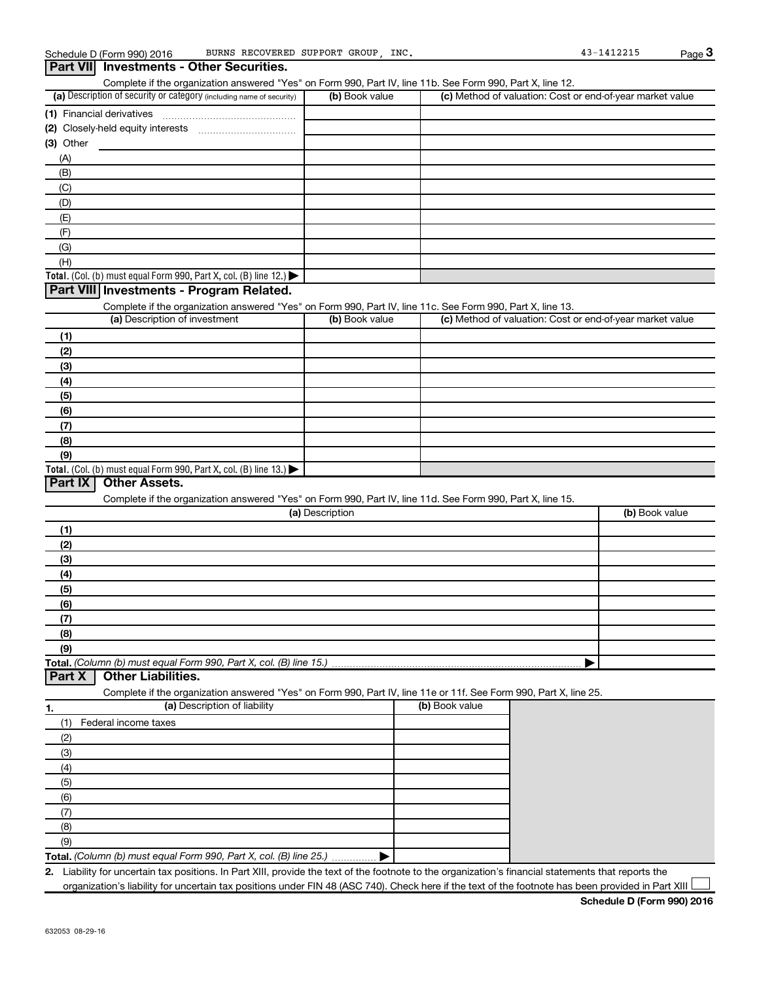### (a) Description of security or category (including name of security)  $\vert$  (b) Book value  $\vert$  (c) **Total.** (Col. (b) must equal Form 990, Part X, col. (B) line 12.)  $\blacktriangleright$ **(1)** Financial derivatives ~~~~~~~~~~~~~~~ **(2)** Closely-held equity interests ~~~~~~~~~~~ **(3)** Other (a) Description of investment **b (b)** Book value **c c c c (1) (2) (3) (4) (5)** Complete if the organization answered "Yes" on Form 990, Part IV, line 11b. See Form 990, Part X, line 12.  $(b)$  Book value  $\vert$  (c) Method of valuation: Cost or end-of-year market value (A) (B) (C) (D) (E) (F) (G) (H) Complete if the organization answered "Yes" on Form 990, Part IV, line 11c. See Form 990, Part X, line 13. Description of investment **Book value Method** of valuation: Cost or end-of-year market value **Part VII Investments - Other Securities. Part VIII Investments - Program Related.**

| (a) Description of investment                                                           | (b) Book value | (c) Method of valuation: Cost or end-of-year market value |
|-----------------------------------------------------------------------------------------|----------------|-----------------------------------------------------------|
| (1)                                                                                     |                |                                                           |
| (2)                                                                                     |                |                                                           |
| (3)                                                                                     |                |                                                           |
| (4)                                                                                     |                |                                                           |
| (5)                                                                                     |                |                                                           |
| (6)                                                                                     |                |                                                           |
| (7)                                                                                     |                |                                                           |
| (8)                                                                                     |                |                                                           |
| (9)                                                                                     |                |                                                           |
| Total. (Col. (b) must equal Form 990, Part X, col. (B) line $13.$ $\blacktriangleright$ |                |                                                           |

### **Part IX Other Assets.**

Complete if the organization answered "Yes" on Form 990, Part IV, line 11d. See Form 990, Part X, line 15.

| (a) Description | (b) Book value |
|-----------------|----------------|
|                 |                |
| (2)             |                |
| (3)             |                |
| (4)             |                |
| (5)             |                |
| (6)             |                |
| (7)             |                |
| (8)             |                |
| (9)             |                |
|                 |                |

### **Part X Other Liabilities.**

Complete if the organization answered "Yes" on Form 990, Part IV, line 11e or 11f. See Form 990, Part X, line 25.

| 1.  | (a) Description of liability                                       | (b) Book value |
|-----|--------------------------------------------------------------------|----------------|
| (1) | Federal income taxes                                               |                |
| (2) |                                                                    |                |
| (3) |                                                                    |                |
| (4) |                                                                    |                |
| (5) |                                                                    |                |
| (6) |                                                                    |                |
|     |                                                                    |                |
| (8) |                                                                    |                |
| (9) |                                                                    |                |
|     | Total. (Column (b) must equal Form 990, Part X, col. (B) line 25.) |                |

**2.** Liability for uncertain tax positions. In Part XIII, provide the text of the footnote to the organization's financial statements that reports the organization's liability for uncertain tax positions under FIN 48 (ASC 740). Check here if the text of the footnote has been provided in Part XIII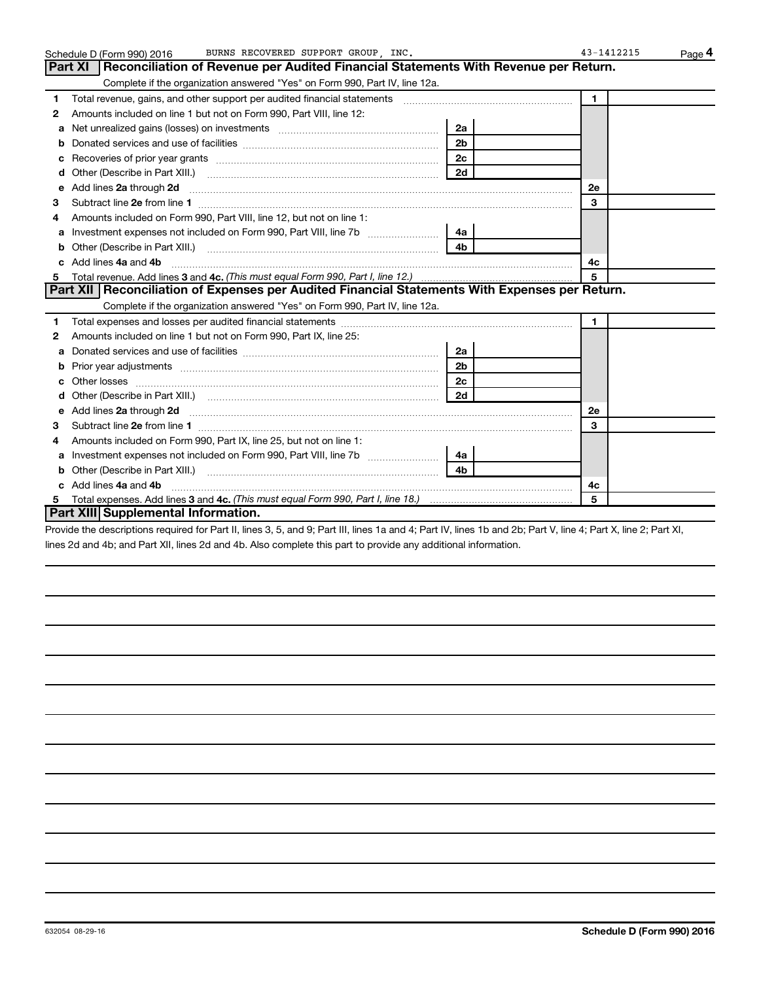|    | BURNS RECOVERED SUPPORT GROUP INC.<br>Schedule D (Form 990) 2016                                                                                                                                                                                  |                | 43-1412215   | Page 4 |
|----|---------------------------------------------------------------------------------------------------------------------------------------------------------------------------------------------------------------------------------------------------|----------------|--------------|--------|
|    | Part XI   Reconciliation of Revenue per Audited Financial Statements With Revenue per Return.                                                                                                                                                     |                |              |        |
|    | Complete if the organization answered "Yes" on Form 990, Part IV, line 12a.                                                                                                                                                                       |                |              |        |
| 1  | Total revenue, gains, and other support per audited financial statements [111] [11] Total revenue, gains, and other support per audited financial statements                                                                                      |                | $\mathbf{1}$ |        |
| 2  | Amounts included on line 1 but not on Form 990, Part VIII, line 12:                                                                                                                                                                               |                |              |        |
| a  | Net unrealized gains (losses) on investments [111] [12] matter and all the unrealized gains (losses) on investments [11] matter and the unrealized gains (losses) on investments [11] matter and the unrealized gains (losses)                    | 2a             |              |        |
|    |                                                                                                                                                                                                                                                   | 2 <sub>b</sub> |              |        |
|    | Recoveries of prior year grants [11,111] Recoveries of prior year grants [11] Recoveries of prior year grants                                                                                                                                     | 2 <sub>c</sub> |              |        |
| d  |                                                                                                                                                                                                                                                   | 2d             |              |        |
| е  | Add lines 2a through 2d <b>[10]</b> [20] <b>All and Primes 22</b> through 2d <b>[10] All and Primes 24</b> through 2d <b>[10] All and Primes 24</b> through 2d <b>[10] All and Primes 24</b> through 2d <b>[10] All and Primes 2d Exhibits Ex</b> |                | 2е           |        |
| З  |                                                                                                                                                                                                                                                   |                | 3            |        |
| 4  | Amounts included on Form 990, Part VIII, line 12, but not on line 1:                                                                                                                                                                              |                |              |        |
|    | Investment expenses not included on Form 990, Part VIII, line 7b [11, 111, 120]                                                                                                                                                                   | 4a             |              |        |
| b  |                                                                                                                                                                                                                                                   | 4 <sub>b</sub> |              |        |
| c. | Add lines 4a and 4b                                                                                                                                                                                                                               |                | 4c           |        |
|    |                                                                                                                                                                                                                                                   |                | 5            |        |
|    | Part XII   Reconciliation of Expenses per Audited Financial Statements With Expenses per Return.                                                                                                                                                  |                |              |        |
|    | Complete if the organization answered "Yes" on Form 990, Part IV, line 12a.                                                                                                                                                                       |                |              |        |
| 1  |                                                                                                                                                                                                                                                   |                | $\mathbf{1}$ |        |
| 2  | Amounts included on line 1 but not on Form 990, Part IX, line 25:                                                                                                                                                                                 |                |              |        |
| a  |                                                                                                                                                                                                                                                   | 2a             |              |        |
| b  |                                                                                                                                                                                                                                                   | 2 <sub>b</sub> |              |        |
| c  |                                                                                                                                                                                                                                                   | 2 <sub>c</sub> |              |        |
| d  |                                                                                                                                                                                                                                                   | 2d             |              |        |
|    |                                                                                                                                                                                                                                                   |                | <b>2e</b>    |        |
| з  |                                                                                                                                                                                                                                                   |                | 3            |        |
| 4  | Amounts included on Form 990, Part IX, line 25, but not on line 1:                                                                                                                                                                                |                |              |        |
| a  | Investment expenses not included on Form 990, Part VIII, line 7b [11, 111, 120]                                                                                                                                                                   | 4a l           |              |        |
| b  |                                                                                                                                                                                                                                                   | 4 <sub>b</sub> |              |        |
| c. | Add lines 4a and 4b                                                                                                                                                                                                                               |                | 4c           |        |
|    |                                                                                                                                                                                                                                                   |                | 5            |        |
|    | Part XIII Supplemental Information.                                                                                                                                                                                                               |                |              |        |

Provide the descriptions required for Part II, lines 3, 5, and 9; Part III, lines 1a and 4; Part IV, lines 1b and 2b; Part V, line 4; Part X, line 2; Part XI, lines 2d and 4b; and Part XII, lines 2d and 4b. Also complete this part to provide any additional information.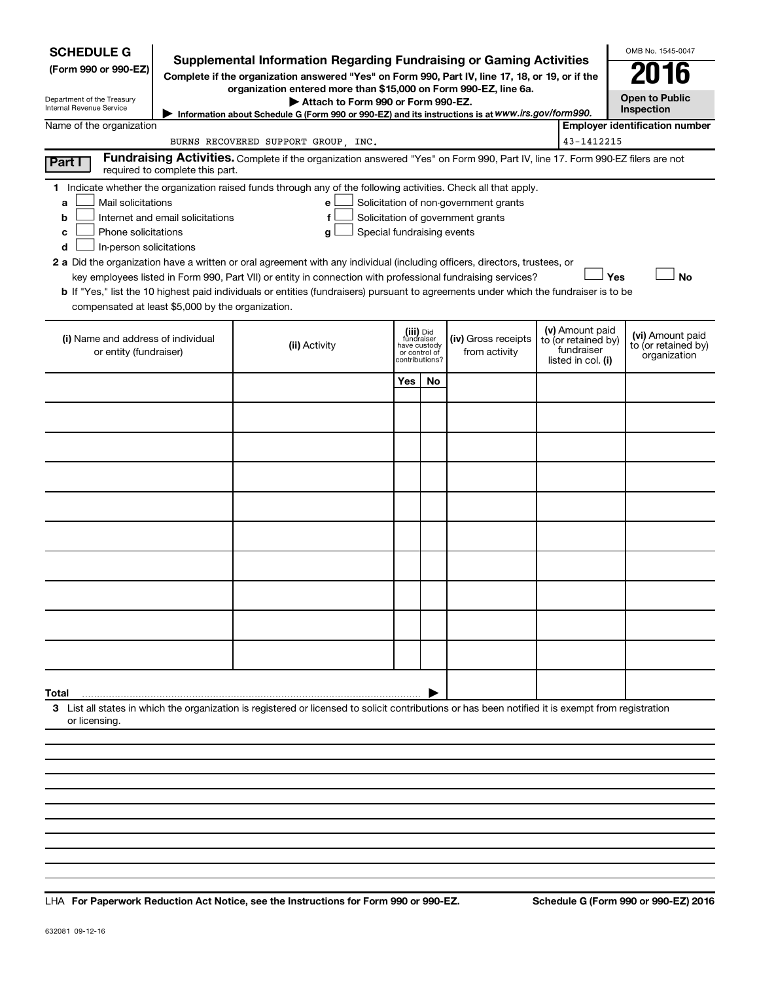| <b>SCHEDULE G</b><br>(Form 990 or 990-EZ)<br>Department of the Treasury<br>Internal Revenue Service                                                                                                                                                                                                                                                                                                                                                                                                                                                                                                                                                                                                                                                                                                                                              |  | <b>Supplemental Information Regarding Fundraising or Gaming Activities</b><br>Complete if the organization answered "Yes" on Form 990, Part IV, line 17, 18, or 19, or if the<br>organization entered more than \$15,000 on Form 990-EZ, line 6a.<br>Attach to Form 990 or Form 990-EZ. |                                             |                             |                                      |  |                                                                            | OMB No. 1545-0047<br><b>Open to Public</b><br>Inspection |
|--------------------------------------------------------------------------------------------------------------------------------------------------------------------------------------------------------------------------------------------------------------------------------------------------------------------------------------------------------------------------------------------------------------------------------------------------------------------------------------------------------------------------------------------------------------------------------------------------------------------------------------------------------------------------------------------------------------------------------------------------------------------------------------------------------------------------------------------------|--|-----------------------------------------------------------------------------------------------------------------------------------------------------------------------------------------------------------------------------------------------------------------------------------------|---------------------------------------------|-----------------------------|--------------------------------------|--|----------------------------------------------------------------------------|----------------------------------------------------------|
| Name of the organization                                                                                                                                                                                                                                                                                                                                                                                                                                                                                                                                                                                                                                                                                                                                                                                                                         |  | Information about Schedule G (Form 990 or 990-EZ) and its instructions is at WWW.irs.gov/form990.                                                                                                                                                                                       |                                             |                             |                                      |  |                                                                            | <b>Employer identification number</b>                    |
|                                                                                                                                                                                                                                                                                                                                                                                                                                                                                                                                                                                                                                                                                                                                                                                                                                                  |  | BURNS RECOVERED SUPPORT GROUP, INC.                                                                                                                                                                                                                                                     |                                             |                             |                                      |  | 43-1412215                                                                 |                                                          |
| Part I<br>required to complete this part.                                                                                                                                                                                                                                                                                                                                                                                                                                                                                                                                                                                                                                                                                                                                                                                                        |  | Fundraising Activities. Complete if the organization answered "Yes" on Form 990, Part IV, line 17. Form 990-EZ filers are not                                                                                                                                                           |                                             |                             |                                      |  |                                                                            |                                                          |
| 1 Indicate whether the organization raised funds through any of the following activities. Check all that apply.<br>Mail solicitations<br>Solicitation of non-government grants<br>e<br>a<br>Internet and email solicitations<br>Solicitation of government grants<br>f<br>b<br>Phone solicitations<br>Special fundraising events<br>g<br>с<br>In-person solicitations<br>d<br>2 a Did the organization have a written or oral agreement with any individual (including officers, directors, trustees, or<br>Yes<br><b>No</b><br>key employees listed in Form 990, Part VII) or entity in connection with professional fundraising services?<br><b>b</b> If "Yes," list the 10 highest paid individuals or entities (fundraisers) pursuant to agreements under which the fundraiser is to be<br>compensated at least \$5,000 by the organization. |  |                                                                                                                                                                                                                                                                                         |                                             |                             |                                      |  |                                                                            |                                                          |
| (i) Name and address of individual<br>or entity (fundraiser)                                                                                                                                                                                                                                                                                                                                                                                                                                                                                                                                                                                                                                                                                                                                                                                     |  | (ii) Activity                                                                                                                                                                                                                                                                           | fundraiser<br>have custody<br>or control of | (iii) Did<br>contributions? | (iv) Gross receipts<br>from activity |  | (v) Amount paid<br>to (or retained by)<br>fundraiser<br>listed in col. (i) | (vi) Amount paid<br>to (or retained by)<br>organization  |
|                                                                                                                                                                                                                                                                                                                                                                                                                                                                                                                                                                                                                                                                                                                                                                                                                                                  |  |                                                                                                                                                                                                                                                                                         | Yes                                         | No.                         |                                      |  |                                                                            |                                                          |
|                                                                                                                                                                                                                                                                                                                                                                                                                                                                                                                                                                                                                                                                                                                                                                                                                                                  |  |                                                                                                                                                                                                                                                                                         |                                             |                             |                                      |  |                                                                            |                                                          |
|                                                                                                                                                                                                                                                                                                                                                                                                                                                                                                                                                                                                                                                                                                                                                                                                                                                  |  |                                                                                                                                                                                                                                                                                         |                                             |                             |                                      |  |                                                                            |                                                          |
|                                                                                                                                                                                                                                                                                                                                                                                                                                                                                                                                                                                                                                                                                                                                                                                                                                                  |  |                                                                                                                                                                                                                                                                                         |                                             |                             |                                      |  |                                                                            |                                                          |
|                                                                                                                                                                                                                                                                                                                                                                                                                                                                                                                                                                                                                                                                                                                                                                                                                                                  |  |                                                                                                                                                                                                                                                                                         |                                             |                             |                                      |  |                                                                            |                                                          |
|                                                                                                                                                                                                                                                                                                                                                                                                                                                                                                                                                                                                                                                                                                                                                                                                                                                  |  |                                                                                                                                                                                                                                                                                         |                                             |                             |                                      |  |                                                                            |                                                          |
|                                                                                                                                                                                                                                                                                                                                                                                                                                                                                                                                                                                                                                                                                                                                                                                                                                                  |  |                                                                                                                                                                                                                                                                                         |                                             |                             |                                      |  |                                                                            |                                                          |
|                                                                                                                                                                                                                                                                                                                                                                                                                                                                                                                                                                                                                                                                                                                                                                                                                                                  |  |                                                                                                                                                                                                                                                                                         |                                             |                             |                                      |  |                                                                            |                                                          |
|                                                                                                                                                                                                                                                                                                                                                                                                                                                                                                                                                                                                                                                                                                                                                                                                                                                  |  |                                                                                                                                                                                                                                                                                         |                                             |                             |                                      |  |                                                                            |                                                          |
|                                                                                                                                                                                                                                                                                                                                                                                                                                                                                                                                                                                                                                                                                                                                                                                                                                                  |  |                                                                                                                                                                                                                                                                                         |                                             |                             |                                      |  |                                                                            |                                                          |
| Total                                                                                                                                                                                                                                                                                                                                                                                                                                                                                                                                                                                                                                                                                                                                                                                                                                            |  |                                                                                                                                                                                                                                                                                         |                                             |                             |                                      |  |                                                                            |                                                          |
| or licensing.                                                                                                                                                                                                                                                                                                                                                                                                                                                                                                                                                                                                                                                                                                                                                                                                                                    |  | 3 List all states in which the organization is registered or licensed to solicit contributions or has been notified it is exempt from registration                                                                                                                                      |                                             |                             |                                      |  |                                                                            |                                                          |
|                                                                                                                                                                                                                                                                                                                                                                                                                                                                                                                                                                                                                                                                                                                                                                                                                                                  |  |                                                                                                                                                                                                                                                                                         |                                             |                             |                                      |  |                                                                            |                                                          |
|                                                                                                                                                                                                                                                                                                                                                                                                                                                                                                                                                                                                                                                                                                                                                                                                                                                  |  |                                                                                                                                                                                                                                                                                         |                                             |                             |                                      |  |                                                                            |                                                          |
|                                                                                                                                                                                                                                                                                                                                                                                                                                                                                                                                                                                                                                                                                                                                                                                                                                                  |  |                                                                                                                                                                                                                                                                                         |                                             |                             |                                      |  |                                                                            |                                                          |

**For Paperwork Reduction Act Notice, see the Instructions for Form 990 or 990-EZ. Schedule G (Form 990 or 990-EZ) 2016** LHA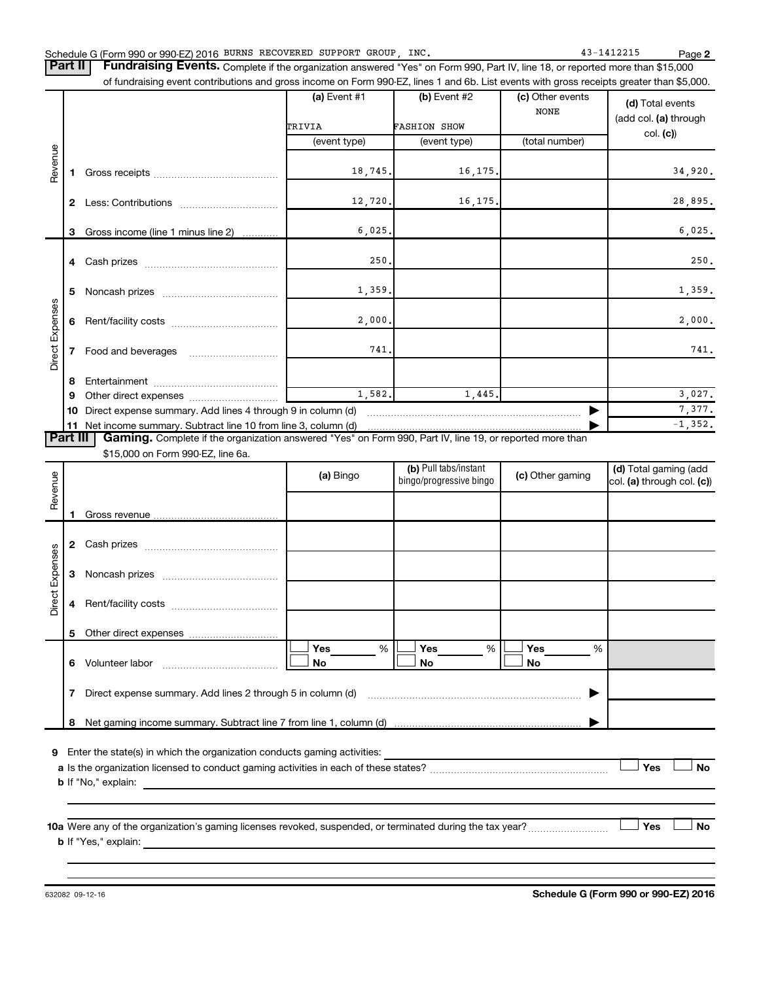Part II | Fundraising Events. Complete if the organization answered "Yes" on Form 990, Part IV, line 18, or reported more than \$15,000 of fundraising event contributions and gross income on Form 990-EZ, lines 1 and 6b. List events with gross receipts greater than \$5,000.

|                 |    |                                                                 | (a) Event $#1$ | (b) Event $#2$      | (c) Other events<br><b>NONE</b> | (d) Total events<br>(add col. (a) through |
|-----------------|----|-----------------------------------------------------------------|----------------|---------------------|---------------------------------|-------------------------------------------|
|                 |    |                                                                 | TRIVIA         | <b>FASHION SHOW</b> |                                 | col. (c)                                  |
|                 |    |                                                                 | (event type)   | (event type)        | (total number)                  |                                           |
| Revenue         |    |                                                                 |                |                     |                                 |                                           |
|                 |    |                                                                 | 18, 745.       | 16, 175.            |                                 | 34,920.                                   |
|                 |    |                                                                 |                |                     |                                 |                                           |
|                 | 2  |                                                                 | 12,720.        | 16,175.             |                                 | 28,895.                                   |
|                 | 3  | Gross income (line 1 minus line 2)                              | 6,025.         |                     |                                 | 6,025.                                    |
|                 | 4  |                                                                 | 250            |                     |                                 | 250.                                      |
|                 | 5  |                                                                 | 1,359.         |                     |                                 | 1,359.                                    |
|                 | 6  |                                                                 | 2,000.         |                     |                                 | 2,000.                                    |
| Direct Expenses |    |                                                                 | 741.           |                     |                                 | 741.                                      |
|                 | 8  |                                                                 |                |                     |                                 |                                           |
|                 | 9  |                                                                 | 1,582.         | 1,445.              |                                 | 3,027.                                    |
|                 | 10 | Direct expense summary. Add lines 4 through 9 in column (d)     |                |                     |                                 | 7,377.                                    |
|                 |    | 11 Net income summary. Subtract line 10 from line 3, column (d) |                |                     |                                 | $-1, 352.$                                |

Part III | Gaming. Complete if the organization answered "Yes" on Form 990, Part IV, line 19, or reported more than

\$15,000 on Form 990-EZ, line 6a.

| Revenue         |              |                                                             | (a) Bingo             | (b) Pull tabs/instant<br>bingo/progressive bingo | (c) Other gaming      | (d) Total gaming (add<br>col. (a) through col. (c)) |
|-----------------|--------------|-------------------------------------------------------------|-----------------------|--------------------------------------------------|-----------------------|-----------------------------------------------------|
|                 |              |                                                             |                       |                                                  |                       |                                                     |
|                 | $\mathbf{2}$ |                                                             |                       |                                                  |                       |                                                     |
| Direct Expenses | 3            |                                                             |                       |                                                  |                       |                                                     |
|                 | 4            |                                                             |                       |                                                  |                       |                                                     |
|                 | 5            |                                                             |                       |                                                  |                       |                                                     |
|                 | 6            |                                                             | <b>Yes</b><br>%<br>No | Yes<br>%<br><b>No</b>                            | Yes<br>%<br><b>No</b> |                                                     |
|                 |              | Direct expense summary. Add lines 2 through 5 in column (d) |                       |                                                  | ▶                     |                                                     |
|                 | 8            |                                                             |                       |                                                  |                       |                                                     |
| 9               |              |                                                             |                       |                                                  |                       |                                                     |
|                 |              |                                                             |                       |                                                  |                       | Yes<br><b>No</b>                                    |
|                 |              |                                                             |                       |                                                  |                       |                                                     |
|                 |              |                                                             |                       |                                                  |                       | Yes<br><b>No</b>                                    |
|                 |              | <b>b</b> If "Yes," explain:                                 |                       |                                                  |                       |                                                     |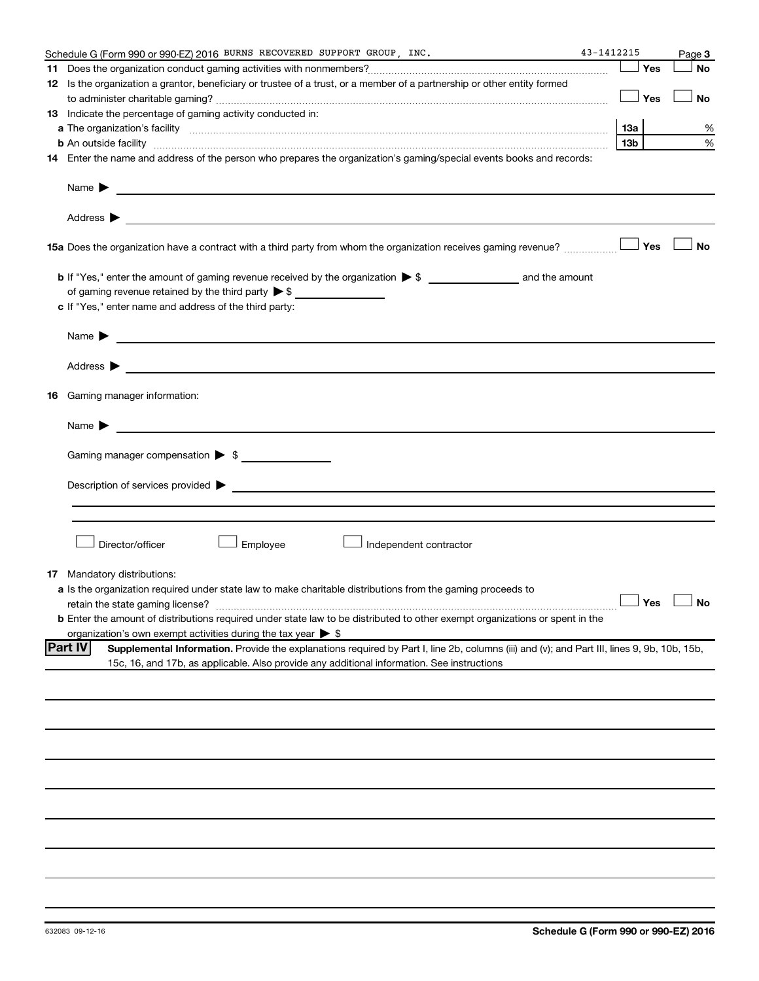|    | Schedule G (Form 990 or 990-EZ) 2016 BURNS RECOVERED SUPPORT GROUP, INC.                                                                                      | 43-1412215      |               | Page 3    |
|----|---------------------------------------------------------------------------------------------------------------------------------------------------------------|-----------------|---------------|-----------|
| 11 |                                                                                                                                                               |                 | Yes           | <b>No</b> |
|    | 12 Is the organization a grantor, beneficiary or trustee of a trust, or a member of a partnership or other entity formed                                      |                 |               |           |
|    |                                                                                                                                                               |                 | ⊥ Yes         | No        |
|    | 13 Indicate the percentage of gaming activity conducted in:                                                                                                   |                 |               |           |
|    |                                                                                                                                                               | 13a             |               | %         |
|    | <b>b</b> An outside facility <i>www.communicality www.communicality.communicality www.communicality www.communicality.communicality www.communicality.com</i> | 13 <sub>b</sub> |               | %         |
|    | 14 Enter the name and address of the person who prepares the organization's gaming/special events books and records:                                          |                 |               |           |
|    | Name $\blacktriangleright$<br><u> 1989 - Johann Barbara, martin amerikan basal dan berasal dan berasal dalam basal dan berasal dan berasal dan</u>            |                 |               |           |
|    |                                                                                                                                                               |                 |               |           |
|    |                                                                                                                                                               |                 |               | <b>No</b> |
|    |                                                                                                                                                               |                 |               |           |
|    | of gaming revenue retained by the third party $\triangleright$ \$                                                                                             |                 |               |           |
|    | c If "Yes," enter name and address of the third party:                                                                                                        |                 |               |           |
|    |                                                                                                                                                               |                 |               |           |
|    | Name $\blacktriangleright$                                                                                                                                    |                 |               |           |
|    | Address $\blacktriangleright$                                                                                                                                 |                 |               |           |
|    | <b>16</b> Gaming manager information:                                                                                                                         |                 |               |           |
|    | <u> 1980 - Jan Samuel Barbara, martin a shekara 1980 - An tsarani a shekara 1980 - An tsara</u><br>Name $\blacktriangleright$                                 |                 |               |           |
|    | Gaming manager compensation > \$                                                                                                                              |                 |               |           |
|    |                                                                                                                                                               |                 |               |           |
|    | Description of services provided > example and the contract of the contract of the contract of the contract of                                                |                 |               |           |
|    |                                                                                                                                                               |                 |               |           |
|    |                                                                                                                                                               |                 |               |           |
|    | Director/officer<br>Employee<br>Independent contractor                                                                                                        |                 |               |           |
|    | <b>17</b> Mandatory distributions:                                                                                                                            |                 |               |           |
|    | a Is the organization required under state law to make charitable distributions from the gaming proceeds to                                                   |                 |               |           |
|    | retain the state gaming license?                                                                                                                              |                 | Yes $\lfloor$ |           |
|    | <b>b</b> Enter the amount of distributions required under state law to be distributed to other exempt organizations or spent in the                           |                 |               |           |
|    | organization's own exempt activities during the tax year $\triangleright$ \$                                                                                  |                 |               |           |
|    | <b>Part IV</b><br>Supplemental Information. Provide the explanations required by Part I, line 2b, columns (iii) and (v); and Part III, lines 9, 9b, 10b, 15b, |                 |               |           |
|    | 15c, 16, and 17b, as applicable. Also provide any additional information. See instructions                                                                    |                 |               |           |
|    |                                                                                                                                                               |                 |               |           |
|    |                                                                                                                                                               |                 |               |           |
|    |                                                                                                                                                               |                 |               |           |
|    |                                                                                                                                                               |                 |               |           |
|    |                                                                                                                                                               |                 |               |           |
|    |                                                                                                                                                               |                 |               |           |
|    |                                                                                                                                                               |                 |               |           |
|    |                                                                                                                                                               |                 |               |           |
|    |                                                                                                                                                               |                 |               |           |
|    |                                                                                                                                                               |                 |               |           |
|    |                                                                                                                                                               |                 |               |           |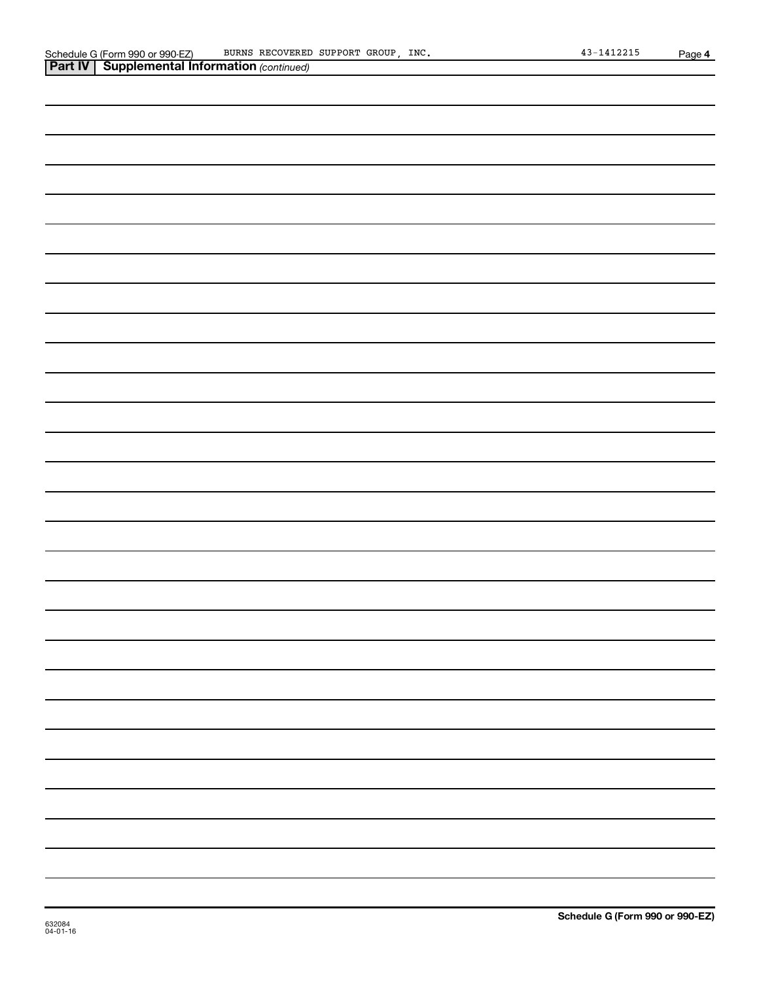| <b>Part IV   Supplemental Information (continued)</b> |
|-------------------------------------------------------|
|                                                       |
|                                                       |
|                                                       |
|                                                       |
|                                                       |
|                                                       |
|                                                       |
|                                                       |
|                                                       |
|                                                       |
|                                                       |
|                                                       |
|                                                       |
|                                                       |
|                                                       |
|                                                       |
|                                                       |
|                                                       |
|                                                       |
|                                                       |
|                                                       |
|                                                       |
|                                                       |
|                                                       |
|                                                       |
|                                                       |
|                                                       |
|                                                       |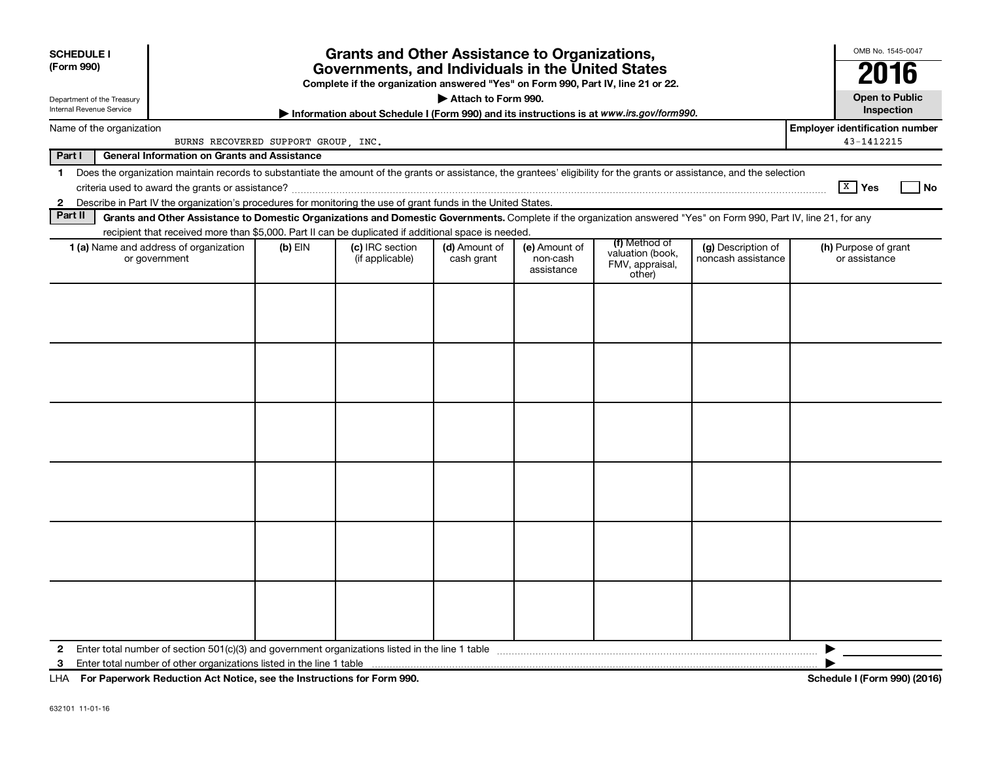| <b>SCHEDULE I</b><br>(Form 990)<br>Department of the Treasury<br>Internal Revenue Service |                                                                                                                                                                                                                                                                                           |           | <b>Grants and Other Assistance to Organizations,</b><br>Governments, and Individuals in the United States<br>Complete if the organization answered "Yes" on Form 990, Part IV, line 21 or 22.<br>Information about Schedule I (Form 990) and its instructions is at www.irs.gov/form990. | Attach to Form 990.         |                                         |                                                                |                                          | OMB No. 1545-0047<br>2016<br><b>Open to Public</b><br>Inspection |
|-------------------------------------------------------------------------------------------|-------------------------------------------------------------------------------------------------------------------------------------------------------------------------------------------------------------------------------------------------------------------------------------------|-----------|------------------------------------------------------------------------------------------------------------------------------------------------------------------------------------------------------------------------------------------------------------------------------------------|-----------------------------|-----------------------------------------|----------------------------------------------------------------|------------------------------------------|------------------------------------------------------------------|
| Name of the organization                                                                  |                                                                                                                                                                                                                                                                                           |           |                                                                                                                                                                                                                                                                                          |                             |                                         |                                                                |                                          | <b>Employer identification number</b>                            |
|                                                                                           | BURNS RECOVERED SUPPORT GROUP, INC.                                                                                                                                                                                                                                                       |           |                                                                                                                                                                                                                                                                                          |                             |                                         |                                                                |                                          | 43-1412215                                                       |
| Part I                                                                                    | <b>General Information on Grants and Assistance</b>                                                                                                                                                                                                                                       |           |                                                                                                                                                                                                                                                                                          |                             |                                         |                                                                |                                          |                                                                  |
| $\mathbf 1$<br>$\mathbf{2}$                                                               | Does the organization maintain records to substantiate the amount of the grants or assistance, the grantees' eligibility for the grants or assistance, and the selection<br>Describe in Part IV the organization's procedures for monitoring the use of grant funds in the United States. |           |                                                                                                                                                                                                                                                                                          |                             |                                         |                                                                |                                          | $\boxed{\text{X}}$ Yes<br><b>No</b>                              |
| Part II                                                                                   | Grants and Other Assistance to Domestic Organizations and Domestic Governments. Complete if the organization answered "Yes" on Form 990, Part IV, line 21, for any                                                                                                                        |           |                                                                                                                                                                                                                                                                                          |                             |                                         |                                                                |                                          |                                                                  |
|                                                                                           | recipient that received more than \$5,000. Part II can be duplicated if additional space is needed.                                                                                                                                                                                       |           |                                                                                                                                                                                                                                                                                          |                             |                                         |                                                                |                                          |                                                                  |
|                                                                                           | 1 (a) Name and address of organization<br>or government                                                                                                                                                                                                                                   | $(b)$ EIN | (c) IRC section<br>(if applicable)                                                                                                                                                                                                                                                       | (d) Amount of<br>cash grant | (e) Amount of<br>non-cash<br>assistance | (f) Method of<br>valuation (book,<br>FMV, appraisal,<br>other) | (g) Description of<br>noncash assistance | (h) Purpose of grant<br>or assistance                            |
|                                                                                           |                                                                                                                                                                                                                                                                                           |           |                                                                                                                                                                                                                                                                                          |                             |                                         |                                                                |                                          |                                                                  |
| $\mathbf{2}$                                                                              | 3 Enter total number of other organizations listed in the line 1 table <b>manuformal continuum continuum contract</b>                                                                                                                                                                     |           |                                                                                                                                                                                                                                                                                          |                             |                                         |                                                                |                                          |                                                                  |

**For Paperwork Reduction Act Notice, see the Instructions for Form 990. Schedule I (Form 990) (2016)** LHA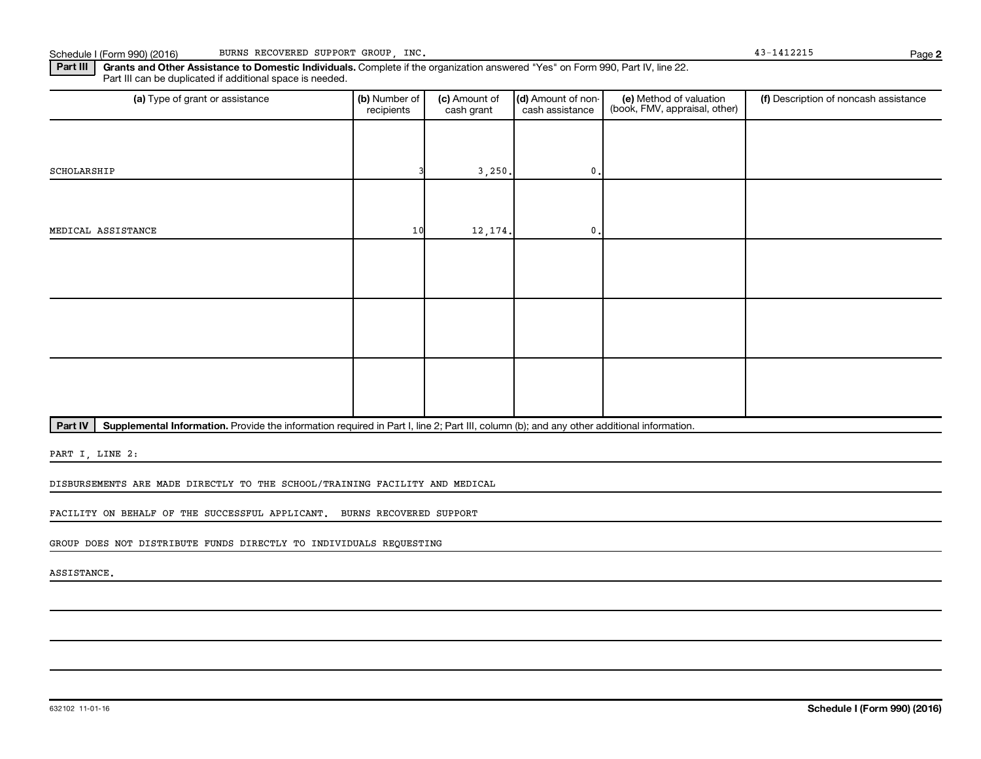Part III | Grants and Other Assistance to Domestic Individuals. Complete if the organization answered "Yes" on Form 990, Part IV, line 22. Part III can be duplicated if additional space is needed.

| (a) Type of grant or assistance | (b) Number of<br>recipients | (c) Amount of<br>cash grant | (d) Amount of non-<br>cash assistance | (e) Method of valuation<br>(book, FMV, appraisal, other) | (f) Description of noncash assistance |
|---------------------------------|-----------------------------|-----------------------------|---------------------------------------|----------------------------------------------------------|---------------------------------------|
|                                 |                             |                             |                                       |                                                          |                                       |
| SCHOLARSHIP                     |                             | 3,250.                      | $\mathbf{0}$ .                        |                                                          |                                       |
|                                 |                             |                             |                                       |                                                          |                                       |
| MEDICAL ASSISTANCE              | 10                          | 12, 174.                    | $\mathbf 0$ .                         |                                                          |                                       |
|                                 |                             |                             |                                       |                                                          |                                       |
|                                 |                             |                             |                                       |                                                          |                                       |
|                                 |                             |                             |                                       |                                                          |                                       |
|                                 |                             |                             |                                       |                                                          |                                       |
|                                 |                             |                             |                                       |                                                          |                                       |
|                                 |                             |                             |                                       |                                                          |                                       |

Part IV | Supplemental Information. Provide the information required in Part I, line 2; Part III, column (b); and any other additional information.

PART I, LINE 2:

DISBURSEMENTS ARE MADE DIRECTLY TO THE SCHOOL/TRAINING FACILITY AND MEDICAL

FACILITY ON BEHALF OF THE SUCCESSFUL APPLICANT. BURNS RECOVERED SUPPORT

GROUP DOES NOT DISTRIBUTE FUNDS DIRECTLY TO INDIVIDUALS REQUESTING

ASSISTANCE.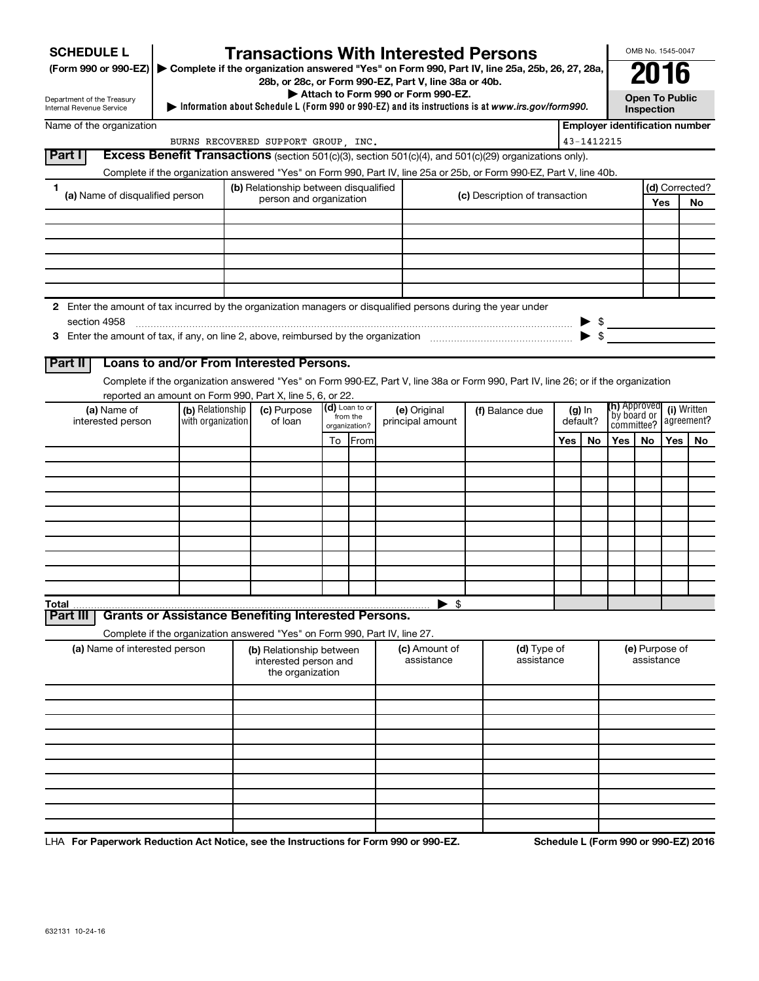| <b>SCHEDULE L</b>                                                                                                    |                                                                            | <b>Transactions With Interested Persons</b>                           |    |                            |                                    |                                                                                                                                    |     |                      |                                                                           | OMB No. 1545-0047                   |     |                           |
|----------------------------------------------------------------------------------------------------------------------|----------------------------------------------------------------------------|-----------------------------------------------------------------------|----|----------------------------|------------------------------------|------------------------------------------------------------------------------------------------------------------------------------|-----|----------------------|---------------------------------------------------------------------------|-------------------------------------|-----|---------------------------|
| (Form 990 or 990-EZ) ▶ Complete if the organization answered "Yes" on Form 990, Part IV, line 25a, 25b, 26, 27, 28a, |                                                                            | 28b, or 28c, or Form 990-EZ, Part V, line 38a or 40b.                 |    |                            |                                    |                                                                                                                                    |     |                      |                                                                           | 2016                                |     |                           |
| Department of the Treasury<br>Internal Revenue Service                                                               |                                                                            |                                                                       |    |                            | Attach to Form 990 or Form 990-EZ. | Information about Schedule L (Form 990 or 990-EZ) and its instructions is at www.irs.gov/form990.                                  |     |                      |                                                                           | <b>Open To Public</b><br>Inspection |     |                           |
| Name of the organization                                                                                             |                                                                            |                                                                       |    |                            |                                    |                                                                                                                                    |     |                      | <b>Employer identification number</b>                                     |                                     |     |                           |
|                                                                                                                      |                                                                            | BURNS RECOVERED SUPPORT GROUP, INC.                                   |    |                            |                                    |                                                                                                                                    |     | 43-1412215           |                                                                           |                                     |     |                           |
| Part I                                                                                                               |                                                                            |                                                                       |    |                            |                                    | <b>Excess Benefit Transactions</b> (section 501(c)(3), section 501(c)(4), and 501(c)(29) organizations only).                      |     |                      |                                                                           |                                     |     |                           |
|                                                                                                                      |                                                                            |                                                                       |    |                            |                                    | Complete if the organization answered "Yes" on Form 990, Part IV, line 25a or 25b, or Form 990-EZ, Part V, line 40b.               |     |                      |                                                                           |                                     |     |                           |
| 1.<br>(a) Name of disqualified person                                                                                |                                                                            | (b) Relationship between disqualified<br>person and organization      |    |                            |                                    | (c) Description of transaction                                                                                                     |     |                      |                                                                           |                                     | Yes | (d) Corrected?            |
|                                                                                                                      |                                                                            |                                                                       |    |                            |                                    |                                                                                                                                    |     |                      |                                                                           |                                     |     | No.                       |
|                                                                                                                      |                                                                            |                                                                       |    |                            |                                    |                                                                                                                                    |     |                      |                                                                           |                                     |     |                           |
|                                                                                                                      |                                                                            |                                                                       |    |                            |                                    |                                                                                                                                    |     |                      |                                                                           |                                     |     |                           |
|                                                                                                                      |                                                                            |                                                                       |    |                            |                                    |                                                                                                                                    |     |                      |                                                                           |                                     |     |                           |
|                                                                                                                      |                                                                            |                                                                       |    |                            |                                    |                                                                                                                                    |     |                      |                                                                           |                                     |     |                           |
|                                                                                                                      |                                                                            |                                                                       |    |                            |                                    |                                                                                                                                    |     |                      |                                                                           |                                     |     |                           |
| 2 Enter the amount of tax incurred by the organization managers or disqualified persons during the year under        |                                                                            |                                                                       |    |                            |                                    |                                                                                                                                    |     |                      |                                                                           |                                     |     |                           |
| section 4958                                                                                                         |                                                                            |                                                                       |    |                            |                                    |                                                                                                                                    |     |                      | $\begin{array}{c}\n\blacktriangleright \  \  \, \text{\AA}\n \end{array}$ |                                     |     |                           |
|                                                                                                                      |                                                                            |                                                                       |    |                            |                                    |                                                                                                                                    |     |                      |                                                                           |                                     |     |                           |
| Part II                                                                                                              | Loans to and/or From Interested Persons.                                   |                                                                       |    |                            |                                    |                                                                                                                                    |     |                      |                                                                           |                                     |     |                           |
|                                                                                                                      |                                                                            |                                                                       |    |                            |                                    | Complete if the organization answered "Yes" on Form 990-EZ, Part V, line 38a or Form 990, Part IV, line 26; or if the organization |     |                      |                                                                           |                                     |     |                           |
|                                                                                                                      | reported an amount on Form 990, Part X, line 5, 6, or 22.                  |                                                                       |    |                            |                                    |                                                                                                                                    |     |                      |                                                                           |                                     |     |                           |
| (a) Name of<br>interested person                                                                                     | (b) Relationship<br>with organization                                      | (c) Purpose<br>of loan                                                |    | (d) Loan to or<br>from the | (e) Original<br>principal amount   | (f) Balance due                                                                                                                    |     | $(g)$ In<br>default? | <b>(h)</b> Approved<br>by board or                                        |                                     |     | (i) Written<br>agreement? |
|                                                                                                                      |                                                                            |                                                                       |    | organization?              |                                    |                                                                                                                                    |     |                      | committee?                                                                |                                     |     |                           |
|                                                                                                                      |                                                                            |                                                                       | To | From                       |                                    |                                                                                                                                    | Yes | No                   | Yes I                                                                     | No.                                 | Yes | No.                       |
|                                                                                                                      |                                                                            |                                                                       |    |                            |                                    |                                                                                                                                    |     |                      |                                                                           |                                     |     |                           |
|                                                                                                                      |                                                                            |                                                                       |    |                            |                                    |                                                                                                                                    |     |                      |                                                                           |                                     |     |                           |
|                                                                                                                      |                                                                            |                                                                       |    |                            |                                    |                                                                                                                                    |     |                      |                                                                           |                                     |     |                           |
|                                                                                                                      |                                                                            |                                                                       |    |                            |                                    |                                                                                                                                    |     |                      |                                                                           |                                     |     |                           |
|                                                                                                                      |                                                                            |                                                                       |    |                            |                                    |                                                                                                                                    |     |                      |                                                                           |                                     |     |                           |
|                                                                                                                      |                                                                            |                                                                       |    |                            |                                    |                                                                                                                                    |     |                      |                                                                           |                                     |     |                           |
|                                                                                                                      |                                                                            |                                                                       |    |                            |                                    |                                                                                                                                    |     |                      |                                                                           |                                     |     |                           |
|                                                                                                                      |                                                                            |                                                                       |    |                            |                                    |                                                                                                                                    |     |                      |                                                                           |                                     |     |                           |
| <b>Total</b>                                                                                                         |                                                                            |                                                                       |    |                            | -\$                                |                                                                                                                                    |     |                      |                                                                           |                                     |     |                           |
| Part III                                                                                                             | <b>Grants or Assistance Benefiting Interested Persons.</b>                 |                                                                       |    |                            |                                    |                                                                                                                                    |     |                      |                                                                           |                                     |     |                           |
|                                                                                                                      | Complete if the organization answered "Yes" on Form 990, Part IV, line 27. |                                                                       |    |                            |                                    |                                                                                                                                    |     |                      |                                                                           |                                     |     |                           |
| (a) Name of interested person                                                                                        |                                                                            | (b) Relationship between<br>interested person and<br>the organization |    |                            | (c) Amount of<br>assistance        | (d) Type of<br>assistance                                                                                                          |     |                      |                                                                           | (e) Purpose of<br>assistance        |     |                           |
|                                                                                                                      |                                                                            |                                                                       |    |                            |                                    |                                                                                                                                    |     |                      |                                                                           |                                     |     |                           |
|                                                                                                                      |                                                                            |                                                                       |    |                            |                                    |                                                                                                                                    |     |                      |                                                                           |                                     |     |                           |
|                                                                                                                      |                                                                            |                                                                       |    |                            |                                    |                                                                                                                                    |     |                      |                                                                           |                                     |     |                           |
|                                                                                                                      |                                                                            |                                                                       |    |                            |                                    |                                                                                                                                    |     |                      |                                                                           |                                     |     |                           |
|                                                                                                                      |                                                                            |                                                                       |    |                            |                                    |                                                                                                                                    |     |                      |                                                                           |                                     |     |                           |
|                                                                                                                      |                                                                            |                                                                       |    |                            |                                    |                                                                                                                                    |     |                      |                                                                           |                                     |     |                           |
|                                                                                                                      |                                                                            |                                                                       |    |                            |                                    |                                                                                                                                    |     |                      |                                                                           |                                     |     |                           |
|                                                                                                                      |                                                                            |                                                                       |    |                            |                                    |                                                                                                                                    |     |                      |                                                                           |                                     |     |                           |
|                                                                                                                      |                                                                            |                                                                       |    |                            |                                    |                                                                                                                                    |     |                      |                                                                           |                                     |     |                           |

LHA For Paperwork Reduction Act Notice, see the Instructions for Form 990 or 990-EZ. Schedule L (Form 990 or 990-EZ) 2016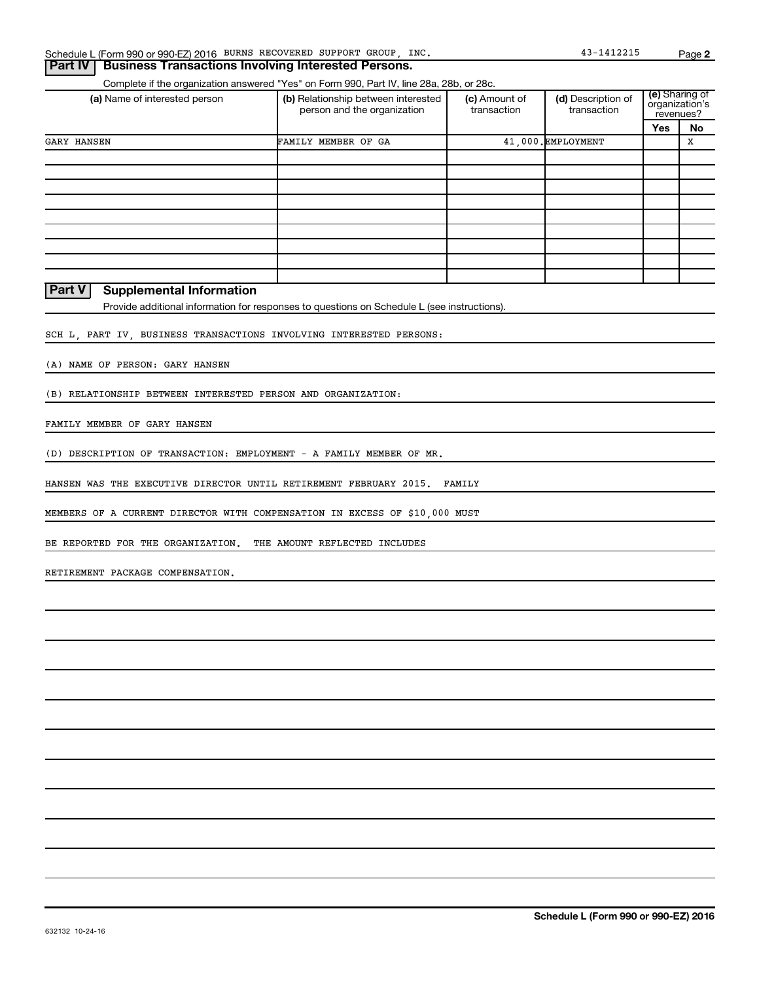|  | Schedule L (Form 990 or 990-EZ) 2016 BURNS RECOVERED SUPPORT GROUP, |  |  |  |  | INC. | $-141221!$ | Page |  |
|--|---------------------------------------------------------------------|--|--|--|--|------|------------|------|--|
|--|---------------------------------------------------------------------|--|--|--|--|------|------------|------|--|

### Complete if the organization answered "Yes" on Form 990, Part IV, line 28a, 28b, or 28c. **Part IV Business Transactions Involving Interested Persons.**

| (a) Name of interested person | (b) Relationship between interested<br>person and the organization | (c) Amount of<br>transaction | (d) Description of<br>transaction | revenues? | (e) Sharing of<br>organization's |
|-------------------------------|--------------------------------------------------------------------|------------------------------|-----------------------------------|-----------|----------------------------------|
|                               |                                                                    |                              |                                   | Yes       | No                               |
| <b>GARY HANSEN</b>            | FAMILY MEMBER OF GA                                                |                              | 41.000. EMPLOYMENT                |           | x                                |
|                               |                                                                    |                              |                                   |           |                                  |
|                               |                                                                    |                              |                                   |           |                                  |
|                               |                                                                    |                              |                                   |           |                                  |
|                               |                                                                    |                              |                                   |           |                                  |
|                               |                                                                    |                              |                                   |           |                                  |
|                               |                                                                    |                              |                                   |           |                                  |
|                               |                                                                    |                              |                                   |           |                                  |
|                               |                                                                    |                              |                                   |           |                                  |
|                               |                                                                    |                              |                                   |           |                                  |

### **Part V Supplemental Information**

Provide additional information for responses to questions on Schedule L (see instructions).

SCH L, PART IV, BUSINESS TRANSACTIONS INVOLVING INTERESTED PERSONS:

(A) NAME OF PERSON: GARY HANSEN

(B) RELATIONSHIP BETWEEN INTERESTED PERSON AND ORGANIZATION:

FAMILY MEMBER OF GARY HANSEN

(D) DESCRIPTION OF TRANSACTION: EMPLOYMENT - A FAMILY MEMBER OF MR.

HANSEN WAS THE EXECUTIVE DIRECTOR UNTIL RETIREMENT FEBRUARY 2015. FAMILY

MEMBERS OF A CURRENT DIRECTOR WITH COMPENSATION IN EXCESS OF \$10,000 MUST

BE REPORTED FOR THE ORGANIZATION. THE AMOUNT REFLECTED INCLUDES

RETIREMENT PACKAGE COMPENSATION.